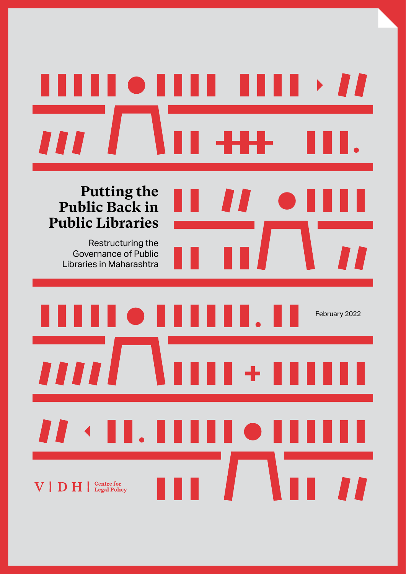# $\rightarrow$   $\blacksquare$  $\blacksquare$ II **Putting the Public Back in Public Libraries** Restructuring the Governance of Public Libraries in Maharashtra

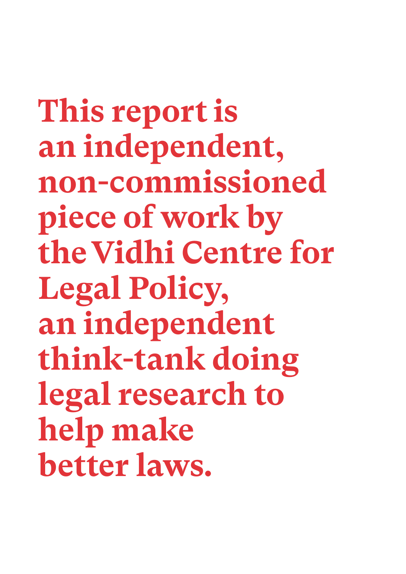**This report is an independent, non-commissioned piece of work by the Vidhi Centre for Legal Policy, an independent think-tank doing legal research to help make better laws.**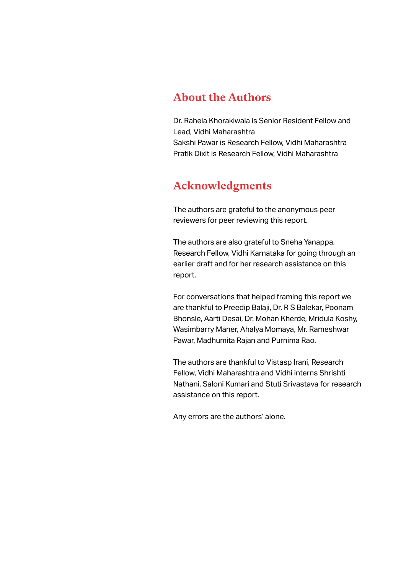### **About the Authors**

Dr. Rahela Khorakiwala is Senior Resident Fellow and Lead, Vidhi Maharashtra Sakshi Pawar is Research Fellow, Vidhi Maharashtra Pratik Dixit is Research Fellow, Vidhi Maharashtra

### **Acknowledgments**

The authors are grateful to the anonymous peer reviewers for peer reviewing this report.

The authors are also grateful to Sneha Yanappa, Research Fellow, Vidhi Karnataka for going through an earlier draft and for her research assistance on this report.

For conversations that helped framing this report we are thankful to Preedip Balaji, Dr. R S Balekar, Poonam Bhonsle, Aarti Desai, Dr. Mohan Kherde, Mridula Koshy, Wasimbarry Maner, Ahalya Momaya, Mr. Rameshwar Pawar, Madhumita Rajan and Purnima Rao.

The authors are thankful to Vistasp Irani, Research Fellow, Vidhi Maharashtra and Vidhi interns Shrishti Nathani, Saloni Kumari and Stuti Srivastava for research assistance on this report.

Any errors are the authors' alone.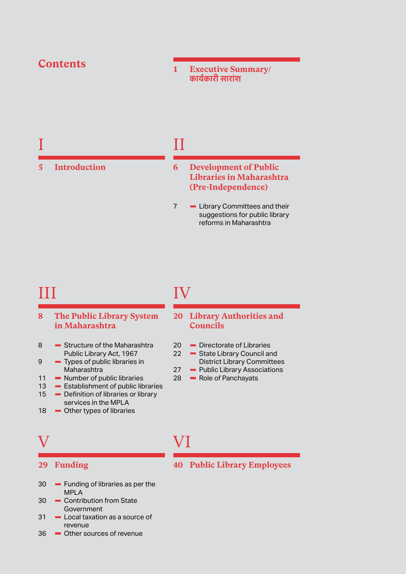### **Contents**

**5 [Introduction](#page-10-0)**

**1 [Executive Summary/](#page-6-0)  [कार्य कारी सारां श](#page-6-0)**

### II

#### **6 [Development of Public](#page-11-0)  [Libraries in Maharashtra](#page-11-0)  [\(Pre-Independence\)](#page-11-0)**

7 - Library Committees and their [suggestions for public library](#page-12-0)  [reforms in Maharashtra](#page-12-0)

### III

I

- **8 [The Public Library System](#page-13-0)  [in Maharashtra](#page-13-0)**
- 8 Structure of the Maharashtra [Public Library Act, 1967](#page-13-0)
- 9 [Types of public libraries in](#page-14-0)  [Maharashtra](#page-14-0)
- 
- 11 [Number of public libraries](#page-16-0)<br>13 Establishment of public lib
- 13 **Exablishment of public libraries**<br>15 **Polynmian** Definition of libraries or library  $\blacksquare$  Definition of libraries or library
- [services in the MPLA](#page-20-0) 18 - [Other types of libraries](#page-23-0)

## V

#### **29 [Funding](#page-34-0)**

- VI
- $30 -$  Funding of libraries as per the [MPLA](#page-35-0)
- 30 Contribution from State **[Government](#page-35-0)**
- 31 **-** Local taxation as a source of [revenue](#page-36-0)
- 36 [Other sources of revenue](#page-41-0)

# IV

#### **20 [Library Authorities and](#page-25-0)  [Councils](#page-25-0)**

- 20 **-** [Directorate of Libraries](#page-25-0)<br>22 State Library Council are
	- **State Library Council and**
	- [District Library Committees](#page-27-0)
- 27 [Public Library Associations](#page-32-0)<br>28 Pole of Panchavats
	- $\blacksquare$  [Role of Panchayats](#page-33-0)

# **40 [Public Library Employees](#page-45-0)**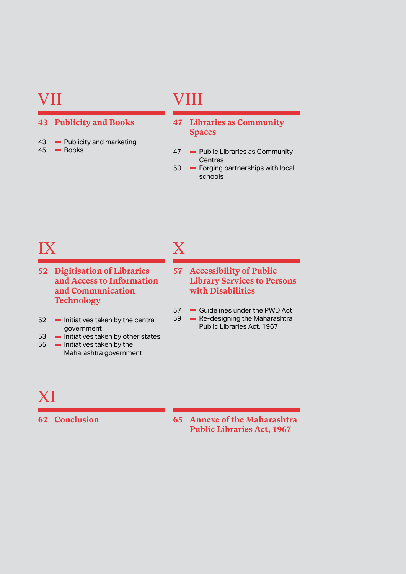## VII

#### **43 [Publicity and Books](#page-48-0)**

43  $-$  [Publicity and marketing](#page-48-0)<br>45  $-$  Books **- [Books](#page-50-0)** 

# VIII

- **47 [Libraries as Community](#page-52-0)  [Spaces](#page-52-0)**
- 47 Public Libraries as Community **[Centres](#page-52-0)**
- 50 **-** Forging partnerships with local [schools](#page-55-0)

# IX

- **52 [Digitisation of Libraries](#page-57-0)  [and Access to Information](#page-57-0)  [and Communication](#page-57-0)  [Technology](#page-57-0)**
- 52 Initiatives taken by the central [government](#page-57-0)
- $53$  **-** [Initiatives taken by other states](#page-58-0)<br> $55$  **-** Initiatives taken by the
- $\blacksquare$  Initiatives taken by the [Maharashtra government](#page-60-0)

# X

- **57 [Accessibility of Public](#page-62-0)  [Library Services to Persons](#page-62-0)  [with Disabilities](#page-62-0)**
- $57 -$  [Guidelines under the PWD Act](#page-62-0)  $59 -$  Re-designing the Maharashtra
	- Re-designing the Maharashtra [Public Libraries Act, 1967](#page-64-0)

# XI

**62 [Conclusion](#page-67-0) 65 [Annexe of the Maharashtra](#page-70-0)  [Public Libraries Act, 1967](#page-70-0)**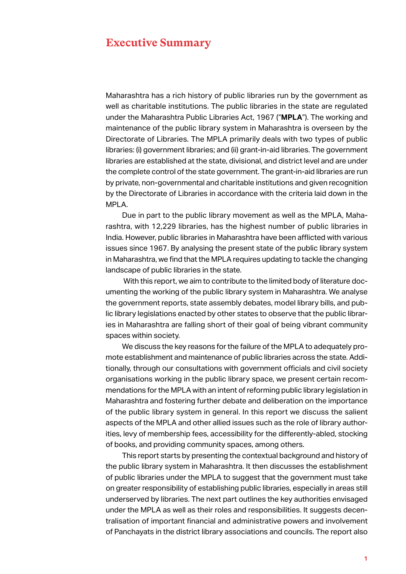### <span id="page-6-0"></span>**Executive Summary**

Maharashtra has a rich history of public libraries run by the government as well as charitable institutions. The public libraries in the state are regulated under the Maharashtra Public Libraries Act, 1967 ("**MPLA**"). The working and maintenance of the public library system in Maharashtra is overseen by the Directorate of Libraries. The MPLA primarily deals with two types of public libraries: (i) government libraries; and (ii) grant-in-aid libraries. The government libraries are established at the state, divisional, and district level and are under the complete control of the state government. The grant-in-aid libraries are run by private, non-governmental and charitable institutions and given recognition by the Directorate of Libraries in accordance with the criteria laid down in the MPLA.

Due in part to the public library movement as well as the MPLA, Maharashtra, with 12,229 libraries, has the highest number of public libraries in India. However, public libraries in Maharashtra have been afflicted with various issues since 1967. By analysing the present state of the public library system in Maharashtra, we find that the MPLA requires updating to tackle the changing landscape of public libraries in the state.

 With this report, we aim to contribute to the limited body of literature documenting the working of the public library system in Maharashtra. We analyse the government reports, state assembly debates, model library bills, and public library legislations enacted by other states to observe that the public libraries in Maharashtra are falling short of their goal of being vibrant community spaces within society.

We discuss the key reasons for the failure of the MPLA to adequately promote establishment and maintenance of public libraries across the state. Additionally, through our consultations with government officials and civil society organisations working in the public library space, we present certain recommendations for the MPLA with an intent of reforming public library legislation in Maharashtra and fostering further debate and deliberation on the importance of the public library system in general. In this report we discuss the salient aspects of the MPLA and other allied issues such as the role of library authorities, levy of membership fees, accessibility for the differently-abled, stocking of books, and providing community spaces, among others.

This report starts by presenting the contextual background and history of the public library system in Maharashtra. It then discusses the establishment of public libraries under the MPLA to suggest that the government must take on greater responsibility of establishing public libraries, especially in areas still underserved by libraries. The next part outlines the key authorities envisaged under the MPLA as well as their roles and responsibilities. It suggests decentralisation of important financial and administrative powers and involvement of Panchayats in the district library associations and councils. The report also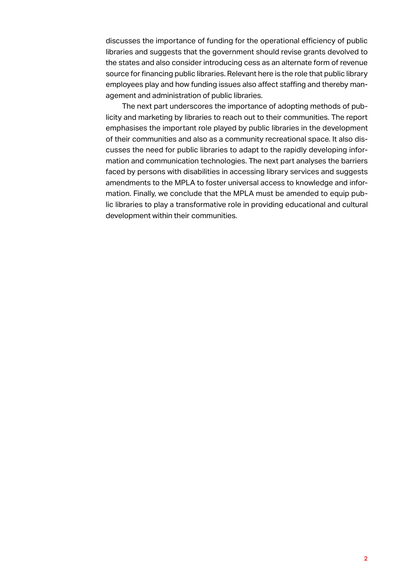discusses the importance of funding for the operational efficiency of public libraries and suggests that the government should revise grants devolved to the states and also consider introducing cess as an alternate form of revenue source for financing public libraries. Relevant here is the role that public library employees play and how funding issues also affect staffing and thereby management and administration of public libraries.

The next part underscores the importance of adopting methods of publicity and marketing by libraries to reach out to their communities. The report emphasises the important role played by public libraries in the development of their communities and also as a community recreational space. It also discusses the need for public libraries to adapt to the rapidly developing information and communication technologies. The next part analyses the barriers faced by persons with disabilities in accessing library services and suggests amendments to the MPLA to foster universal access to knowledge and information. Finally, we conclude that the MPLA must be amended to equip public libraries to play a transformative role in providing educational and cultural development within their communities.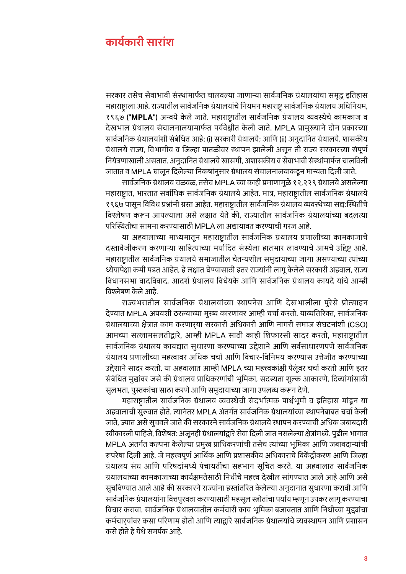### **कार्य कारी सारां श**

सरकार तसेच सेवाभावी संस्थांमार्फत चालवल्या जाणाऱ्या सार्वजनिक ग्रंथालयांचा समृद्ध इतिहास महाराष्ट्राला आहे. राज्यातील सार्वजनिक ग्रंथालयांचे नियमन महाराष्ट्र सार्वजनिक ग्रंथालय अधिनियम, १९६७ ("**MPLA**") अन्वयेके लेजाते . महाराष्ट्रातील सार्वजनिक ग्रंथालय व्यवस्थेचेकामकाज व देखभाल ग्रंथालय संचालनालयामार्फत पर्यवेक्षीत केली जाते. MPLA प्रामुख्याने दोन प्रकारच्या सार्वजनिक ग्रंथालयांशी संबंधित आहे: (i) सरकारी ग्रंथालये: आणि (ii) अनुदानित ग्रंथालये. शासकीय ग्रंथालये राज्य, विभागीय व जिल्हा पातळीवर स्थापन झालेली असून ती राज्य सरकारच्या संपूर्ण नियंत्रणाखाली असतात. अनुदानित ग्रंथालये खासगी, अशासकीय व सेवाभावी संस्थांमार्फत चालविली जातात व MPLA घालून दिलेल्या निकषांनुसार ग्रंथालय संचालनालयाकडून मान्यता दिली जाते.

सार्वजनिक ग्रंथालय चळवळ, तसेच MPLA च्या काही प्रमाणामुळे १२,२२९ ग्रंथालये असलेल्या महाराष्ट्रात, भारतात सर्वाधिक सार्वजनिक ग्रंथालये आहेत. मात्र, महाराष्ट्रातील सार्वजनिक ग्रंथालये १९६७ पासून विविध प्रश्नांनी ग्रस्त आहेत. महाराष्ट्रातील सार्वजनिक ग्रंथालय व्यवस्थेच्या सद्य:स्थितीचे विश्लेषण करून आपल्याला असे लक्षात येते की. राज्यातील सार्वजनिक ग्रंथालयांच्या बदलत्या परिस्थितीचा सामना करण्यासाठी MPLA ला अद्यायावत करण्याची गरज आहे .

या अहवालाच्या माध्यमातून महाराष्ट्रातील सार्वजनिक ग्रंथालय प्रणालीच्या कामकाजाचे दस्तावेजीकरण करणाऱ्या साहित्याच्या मर्यादित संस्थेला हातभार लावण्याचे आमचे उद्दिष्ट आहे. महाराष्ट्रातील सार्वजनिक ग्रंथालये समाजातील चैतन्यशील समुदायाच्या जागा असण्याच्या त्यांच्या ध्येयापेक्षा कमी पडत आहेत, हे लक्षात घेण्यासाठी इतर राज्यांनी लागू केलेले सरकारी अहवाल, राज्य विधानसभा वादविवाद, आदर्श ग्रंथालय विधेयके आणि सार्वजनिक ग्रंथालय कायदे यांचे आम्ही विश्लेषण केले आहे.

राज्यभरातील सार्वजनिक ग्रंथालयांच्या स्थापनेस आणि देखभालीला पुरेसे प्रोत्साहन दे ण्यात MPLA अपयशी ठरल्याच्या मुख्य कारणां वर आम्ही चर्चा करतो. याव्यतिरिक्त, सार्वजनिक ग्रंथालयाच्या क्षेत्रात काम करणार्**या सरकारी अधिकारी आणि नागरी समाज संघटनां**शी (CSO) आमच्या सल्लामसलतीद्वारे, आम्ही MPLA साठी काही शिफारसी सादर करतो, महाराष्ट्रातील सार्वजनिक ग्रंथालय कायद्यात सुधारणा करण्याच्या उद्देशाने आणि सर्वसाधारणपणे सार्वजनिक ग्रंथालय प्रणालीच्या महत्वावर अधिक चर्चा आणि विचार-विनिमय करण्यास उत्तेजीत करण्याच्या उद्देशाने सादर करतो. या अहवालात आम्ही MPLA च्या महत्त्वकांक्षी पैलूंवर चर्चा करतो आणि इतर संबंधित मुद्यांवर जसे की ग्रंथालय प्राधिकरणांची भूमिका, सदस्यता शुल्क आकारणे, दिव्यांगांसाठी सुलभता, पुस्तकांचा साठा करणे आणि समुदायाच्या जागा उपलब्ध करून देणे.

महाराष्ट्रातील सार्वजनिक ग्रंथालय व्यवस्थेची संदर्भात्मक पार्श्वभूमी व इतिहास मांडून या अहवालाची सुरुवात होते. त्यानंतर MPLA अंतर्गत सार्वजनिक ग्रंथालयांच्या स्थापनेबाबत चर्चा केली जाते. ज्यात असे सचवले जाते की सरकारने सार्वजनिक ग्रंथालये स्थापन करण्याची अधिक जबाबदारी स्वीकारली पाहिजे, विशेषत: अजूनही ग्रंथालयांद्वारे सेवा दिली जात नसलेल्या क्षेत्रांमध्ये. पुढील भागात MPLA अंतर्गत कल्पना केलेल्या प्रमुख प्राधिकरणांची तसेच त्यांच्या भूमिका आणि जबाबदाऱ्यांची रूपरेषा दिली आहे. जे महत्त्वपूर्ण आर्थिक आणि प्रशासकीय अधिकारांचे विकेंद्रीकरण आणि जिल्हा ग्रंथालय संघ आणि परिषदांमध्ये पंचायतींचा सहभाग सूचित करते. या अहवालात सार्वजनिक ग्रंथालयांच्या कामकाजाच्या कार्यक्षमतेसाठी निधीचे महत्त्व देखील सांगण्यात आले आहे आणि असे सुचविण्यात आले आहे की सरकारने राज्यांना हस्तांतरित केलेल्या अनुदानात सुधारणा करावी आणि सार्वजनिक ग्रंथालयांना वित्तपुरवठा करण्यासाठी महसूल स्त्रोतांचा पर्याय म्हणून उपकर लागू करण्याचा विचार करावा. सार्वजनिक ग्रंथालयातील कर्मचारी काय भूमिका बजावतात आणि निधीच्या मुद्द्यांचा कर्मचार्**यांवर कसा परिणाम होतो आणि त्याद्वारे** सार्वजनिक ग्रंथालयांचे व्यवस्थापन आणि प्रशासन कसे होते हे येथे समर्पक आहे.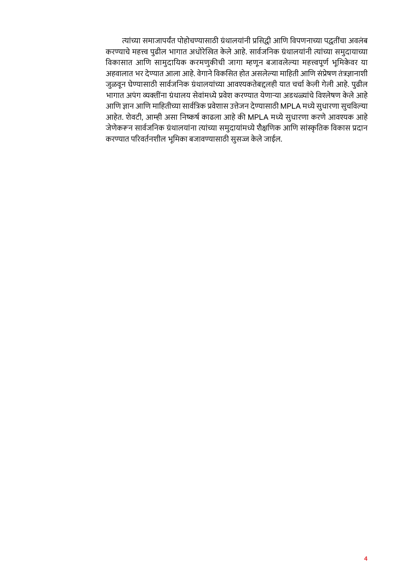त्यांच्या समाजापर्यंत पोहोचण्यासाठी ग्रंथालयांनी प्रसिद्धी आणि विपणनाच्या पद्धतींचा अवलंब करण्याचे महत्त्व पुढील भागात अधोरेखित केले आहे. सार्वजनिक ग्रंथालयांनी त्यांच्या समुदायाच्या विकासात आणि सामुदायिक करमणुकीची जागा म्हणून बजावलेल्या महत्त्वपूर्ण भूमिकेवर या अहवालात भर देण्यात आला आहे . वे गाने विकसित होत असलेल्या माहिती आणि सं प्रेषण तं त्रज्ञानाशी जुळवून घेण्यासाठी सार्वजनिक ग्रंथालयांच्या आवश्यकतेबद्दलही यात चर्चा केली गेली आहे. पुढील भागात अपंग व्यक्तींना ग्रंथालय सेवांमध्ये प्रवेश करण्यात येणाऱ्या अडथळ्यांचे विश्लेषण केले आहे आणि ज्ञान आणि माहितीच्या सार्वत्रिक प्रवेशास उत्तेजन देण्यासाठी MPLA मध्ये सुधारणा सुचविल्या आहेत. शेवटी, आम्ही असा निष्कर्ष काढला आहे की MPLA मध्ये सुधारणा करणे आवश्यक आहे जे णे करून सार्वजनिक ग्रंथालयांना त्यांच्या समु दायां मध्ये शैक्षणिक आणि सांस्कृ तिक विकास प्रदान करण्यात परिवर्तनशील भमिका बजावण्यासाठी सुसज्ज केले जाईल.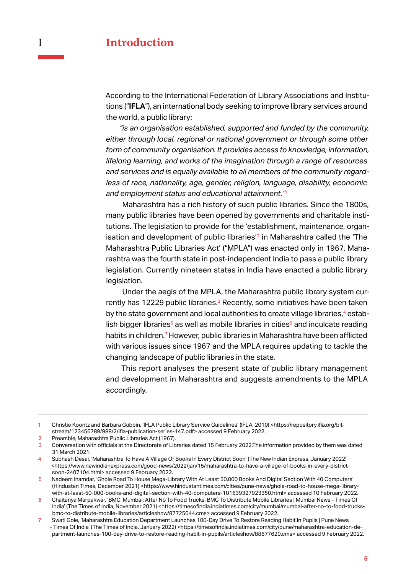<span id="page-10-0"></span>According to the International Federation of Library Associations and Institutions ("**IFLA**"), an international body seeking to improve library services around the world, a public library:

*"is an organisation established, supported and funded by the community, either through local, regional or national government or through some other form of community organisation. It provides access to knowledge, information, lifelong learning, and works of the imagination through a range of resources and services and is equally available to all members of the community regardless of race, nationality, age, gender, religion, language, disability, economic and employment status and educational attainment."*<sup>1</sup>

Maharashtra has a rich history of such public libraries. Since the 1800s, many public libraries have been opened by governments and charitable institutions. The legislation to provide for the 'establishment, maintenance, organisation and development of public libraries<sup>'2</sup> in Maharashtra called the 'The Maharashtra Public Libraries Act' ("MPLA") was enacted only in 1967. Maharashtra was the fourth state in post-independent India to pass a public library legislation. Currently nineteen states in India have enacted a public library legislation.

Under the aegis of the MPLA, the Maharashtra public library system currently has 12229 public libraries.<sup>3</sup> Recently, some initiatives have been taken by the state government and local authorities to create village libraries,<sup>4</sup> establish bigger libraries<sup>5</sup> as well as mobile libraries in cities<sup>6</sup> and inculcate reading habits in children.<sup>7</sup> However, public libraries in Maharashtra have been afflicted with various issues since 1967 and the MPLA requires updating to tackle the changing landscape of public libraries in the state.

This report analyses the present state of public library management and development in Maharashtra and suggests amendments to the MPLA accordingly.

1 Christie Koontz and Barbara Gubbin, 'IFLA Public Library Service Guidelines' (IFLA, 2010) <https://repository.ifla.org/bitstream/123456789/988/2/ifla-publication-series-147.pdf> accessed 9 February 2022.

2 Preamble, Maharashtra Public Libraries Act (1967).<br>3 Conversation with officials at the Directorate of Lib

Conversation with officials at the Directorate of Libraries dated 15 February 2022.The information provided by them was dated 31 March 2021.

<sup>4</sup> Subhash Desai, 'Maharashtra To Have A Village Of Books In Every District Soon' (The New Indian Express, January 2022) <https://www.newindianexpress.com/good-news/2022/jan/15/maharashtra-to-have-a-village-of-books-in-every-districtsoon-2407104.html> accessed 9 February 2022.

<sup>5</sup> Nadeem Inamdar, 'Ghole Road To House Mega-Library With At Least 50,000 Books And Digital Section With 40 Computers' (Hindustan Times, December 2021) <https://www.hindustantimes.com/cities/pune-news/ghole-road-to-house-mega-librarywith-at-least-50-000-books-and-digital-section-with-40-computers-101639327923350.html> accessed 10 February 2022.

<sup>6</sup> Chaitanya Marpakwar, 'BMC: Mumbai: After No To Food Trucks, BMC To Distribute Mobile Libraries | Mumbai News - Times Of India' (The Times of India, November 2021) <https://timesofindia.indiatimes.com/city/mumbai/mumbai-after-no-to-food-trucksbmc-to-distribute-mobile-libraries/articleshow/87725044.cms> accessed 9 February 2022.

<sup>7</sup> Swati Gole, 'Maharashtra Education Department Launches 100-Day Drive To Restore Reading Habit In Pupils | Pune News - Times Of India' (The Times of India, January 2022) <https://timesofindia.indiatimes.com/city/pune/maharashtra-education-department-launches-100-day-drive-to-restore-reading-habit-in-pupils/articleshow/88677620.cms> accessed 9 February 2022.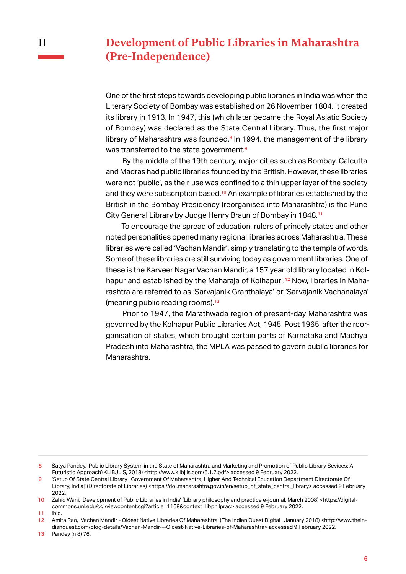### <span id="page-11-0"></span>**Development of Public Libraries in Maharashtra (Pre-Independence)**

One of the first steps towards developing public libraries in India was when the Literary Society of Bombay was established on 26 November 1804. It created its library in 1913. In 1947, this (which later became the Royal Asiatic Society of Bombay) was declared as the State Central Library. Thus, the first major library of Maharashtra was founded.<sup>8</sup> In 1994, the management of the library was transferred to the state government.<sup>9</sup>

By the middle of the 19th century, major cities such as Bombay, Calcutta and Madras had public libraries founded by the British. However, these libraries were not 'public', as their use was confined to a thin upper layer of the society and they were subscription based.<sup>10</sup> An example of libraries established by the British in the Bombay Presidency (reorganised into Maharashtra) is the Pune City General Library by Judge Henry Braun of Bombay in 1848.<sup>11</sup>

To encourage the spread of education, rulers of princely states and other noted personalities opened many regional libraries across Maharashtra. These libraries were called 'Vachan Mandir', simply translating to the temple of words. Some of these libraries are still surviving today as government libraries. One of these is the Karveer Nagar Vachan Mandir, a 157 year old library located in Kolhapur and established by the Maharaja of Kolhapur'.<sup>12</sup> Now, libraries in Maharashtra are referred to as 'Sarvajanik Granthalaya' or 'Sarvajanik Vachanalaya' (meaning public reading rooms).<sup>13</sup>

Prior to 1947, the Marathwada region of present-day Maharashtra was governed by the Kolhapur Public Libraries Act, 1945. Post 1965, after the reorganisation of states, which brought certain parts of Karnataka and Madhya Pradesh into Maharashtra, the MPLA was passed to govern public libraries for Maharashtra.

<sup>8</sup> Satya Pandey, 'Public Library System in the State of Maharashtra and Marketing and Promotion of Public Library Sevices: A Futuristic Approach'(KLIBJLIS, 2018) <http://www.klibjlis.com/5.1.7.pdf> accessed 9 February 2022.

<sup>9</sup> 'Setup Of State Central Library | Government Of Maharashtra, Higher And Technical Education Department Directorate Of Library, India|' (Directorate of Libraries) <https://dol.maharashtra.gov.in/en/setup\_of\_state\_central\_library> accessed 9 February 2022.

<sup>10</sup> Zahid Wani, 'Development of Public Libraries in India' (Library philosophy and practice e-journal, March 2008) <https://digitalcommons.unl.edu/cgi/viewcontent.cgi?article=1168&context=libphilprac> accessed 9 February 2022.

<sup>11</sup> ibid.

<sup>12</sup> Amita Rao, 'Vachan Mandir - Oldest Native Libraries Of Maharashtra' (The Indian Quest Digital , January 2018) <http://www.theindianquest.com/blog-details/Vachan-Mandir---Oldest-Native-Libraries-of-Maharashtra> accessed 9 February 2022.

<sup>13</sup> Pandey (n 8) 76.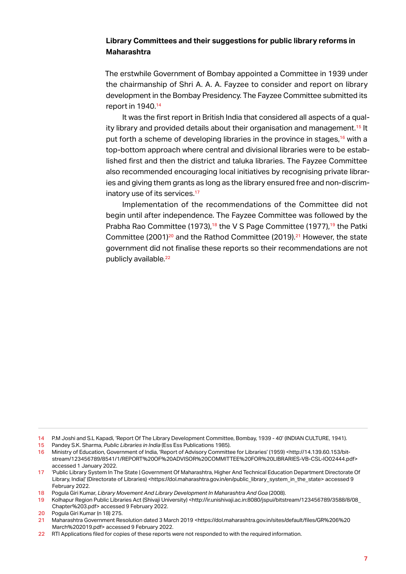#### <span id="page-12-0"></span>**Library Committees and their suggestions for public library reforms in Maharashtra**

The erstwhile Government of Bombay appointed a Committee in 1939 under the chairmanship of Shri A. A. A. Fayzee to consider and report on library development in the Bombay Presidency. The Fayzee Committee submitted its report in 1940.<sup>14</sup>

It was the first report in British India that considered all aspects of a quality library and provided details about their organisation and management.<sup>15</sup> It put forth a scheme of developing libraries in the province in stages,<sup>16</sup> with a top-bottom approach where central and divisional libraries were to be established first and then the district and taluka libraries. The Fayzee Committee also recommended encouraging local initiatives by recognising private libraries and giving them grants as long as the library ensured free and non-discriminatory use of its services.<sup>17</sup>

Implementation of the recommendations of the Committee did not begin until after independence. The Fayzee Committee was followed by the Prabha Rao Committee (1973),<sup>18</sup> the V S Page Committee (1977),<sup>19</sup> the Patki Committee (2001)<sup>20</sup> and the Rathod Committee (2019).<sup>21</sup> However, the state government did not finalise these reports so their recommendations are not publicly available.<sup>22</sup>

- 15 Pandey S.K. Sharma, *Public Libraries in India* (Ess Ess Publications 1985).
- 16 Ministry of Education, Government of India, 'Report of Advisory Committee for Libraries' (1959) <http://14.139.60.153/bitstream/123456789/8541/1/REPORT%20OF%20ADVISOR%20COMMITTEE%20FOR%20LIBRARIES-VB-CSL-IO02444.pdf> accessed 1 January 2022.
- 17 'Public Library System In The State | Government Of Maharashtra, Higher And Technical Education Department Directorate Of Library, India|' (Directorate of Libraries) <https://dol.maharashtra.gov.in/en/public\_library\_system\_in\_the\_state> accessed 9 February 2022.
- 18 Pogula Giri Kumar, *Library Movement And Library Development In Maharashtra And Goa* (2008).
- 19 Kolhapur Region Public Libraries Act (Shivaji University) <http://ir.unishivaji.ac.in:8080/jspui/bitstream/123456789/3588/8/08\_ Chapter%203.pdf> accessed 9 February 2022.
- 20 Pogula Giri Kumar (n 18) 275.<br>21 Maharashtra Government Res
- 21 Maharashtra Government Resolution dated 3 March 2019 <https://dol.maharashtra.gov.in/sites/default/files/GR%206%20 March%202019.pdf> accessed 9 February 2022.
- 22 RTI Applications filed for copies of these reports were not responded to with the required information.

<sup>14</sup> P.M Joshi and S.L Kapadi, 'Report Of The Library Development Committee, Bombay, 1939 - 40' (INDIAN CULTURE, 1941).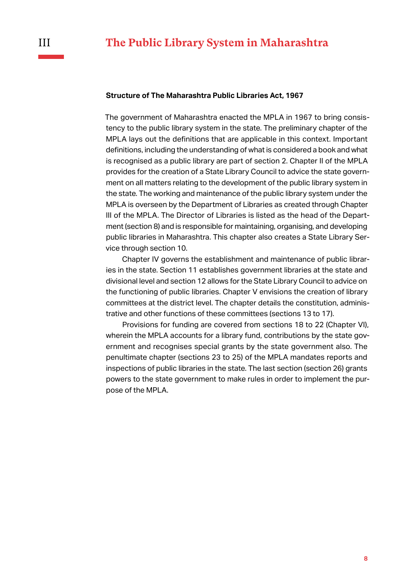#### <span id="page-13-0"></span>**Structure of The Maharashtra Public Libraries Act, 1967**

The government of Maharashtra enacted the MPLA in 1967 to bring consistency to the public library system in the state. The preliminary chapter of the MPLA lays out the definitions that are applicable in this context. Important definitions, including the understanding of what is considered a book and what is recognised as a public library are part of section 2. Chapter II of the MPLA provides for the creation of a State Library Council to advice the state government on all matters relating to the development of the public library system in the state. The working and maintenance of the public library system under the MPLA is overseen by the Department of Libraries as created through Chapter III of the MPLA. The Director of Libraries is listed as the head of the Department (section 8) and is responsible for maintaining, organising, and developing public libraries in Maharashtra. This chapter also creates a State Library Service through section 10.

Chapter IV governs the establishment and maintenance of public libraries in the state. Section 11 establishes government libraries at the state and divisional level and section 12 allows for the State Library Council to advice on the functioning of public libraries. Chapter V envisions the creation of library committees at the district level. The chapter details the constitution, administrative and other functions of these committees (sections 13 to 17).

Provisions for funding are covered from sections 18 to 22 (Chapter VI), wherein the MPLA accounts for a library fund, contributions by the state government and recognises special grants by the state government also. The penultimate chapter (sections 23 to 25) of the MPLA mandates reports and inspections of public libraries in the state. The last section (section 26) grants powers to the state government to make rules in order to implement the purpose of the MPLA.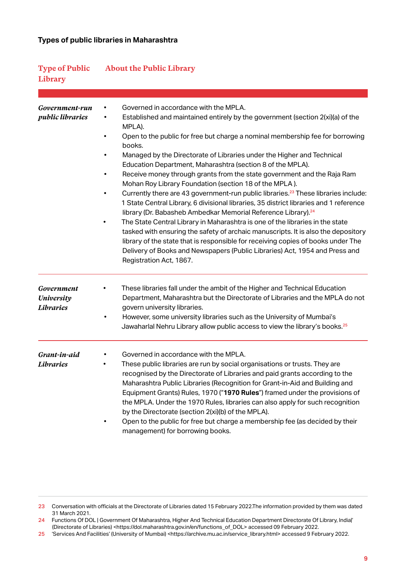#### <span id="page-14-0"></span>**Types of public libraries in Maharashtra**

| <b>Type of Public</b><br>Library                    | <b>About the Public Library</b>                                                                                                                                                                                                                                                                                                                                                                                                                                                                                                                                                                                                                                                                                                                                                                                                                                                                                                                                                                                                                                                                                                                                               |
|-----------------------------------------------------|-------------------------------------------------------------------------------------------------------------------------------------------------------------------------------------------------------------------------------------------------------------------------------------------------------------------------------------------------------------------------------------------------------------------------------------------------------------------------------------------------------------------------------------------------------------------------------------------------------------------------------------------------------------------------------------------------------------------------------------------------------------------------------------------------------------------------------------------------------------------------------------------------------------------------------------------------------------------------------------------------------------------------------------------------------------------------------------------------------------------------------------------------------------------------------|
| Government-run<br><i>public libraries</i>           | Governed in accordance with the MPLA.<br>Established and maintained entirely by the government (section 2(xi)(a) of the<br>MPLA).<br>Open to the public for free but charge a nominal membership fee for borrowing<br>٠<br>books.<br>Managed by the Directorate of Libraries under the Higher and Technical<br>٠<br>Education Department, Maharashtra (section 8 of the MPLA).<br>Receive money through grants from the state government and the Raja Ram<br>$\bullet$<br>Mohan Roy Library Foundation (section 18 of the MPLA).<br>Currently there are 43 government-run public libraries. <sup>23</sup> These libraries include:<br>1 State Central Library, 6 divisional libraries, 35 district libraries and 1 reference<br>library (Dr. Babasheb Ambedkar Memorial Reference Library). <sup>24</sup><br>The State Central Library in Maharashtra is one of the libraries in the state<br>tasked with ensuring the safety of archaic manuscripts. It is also the depository<br>library of the state that is responsible for receiving copies of books under The<br>Delivery of Books and Newspapers (Public Libraries) Act, 1954 and Press and<br>Registration Act, 1867. |
| Government<br><b>University</b><br><b>Libraries</b> | These libraries fall under the ambit of the Higher and Technical Education<br>٠<br>Department, Maharashtra but the Directorate of Libraries and the MPLA do not<br>govern university libraries.<br>However, some university libraries such as the University of Mumbai's<br>$\bullet$<br>Jawaharlal Nehru Library allow public access to view the library's books. <sup>25</sup>                                                                                                                                                                                                                                                                                                                                                                                                                                                                                                                                                                                                                                                                                                                                                                                              |
| Grant-in-aid<br>Libraries                           | Governed in accordance with the MPLA.<br>These public libraries are run by social organisations or trusts. They are<br>recognised by the Directorate of Libraries and paid grants according to the<br>Maharashtra Public Libraries (Recognition for Grant-in-Aid and Building and<br>Equipment Grants) Rules, 1970 ("1970 Rules") framed under the provisions of<br>the MPLA. Under the 1970 Rules, libraries can also apply for such recognition<br>by the Directorate (section 2(xi)(b) of the MPLA).<br>Open to the public for free but charge a membership fee (as decided by their<br>management) for borrowing books.                                                                                                                                                                                                                                                                                                                                                                                                                                                                                                                                                   |

<sup>23</sup> Conversation with officials at the Directorate of Libraries dated 15 February 2022.The information provided by them was dated 31 March 2021.

<sup>24</sup> Functions Of DOL | Government Of Maharashtra, Higher And Technical Education Department Directorate Of Library, India|' (Directorate of Libraries) <https://dol.maharashtra.gov.in/en/functions\_of\_DOL> accessed 09 February 2022.

<sup>25</sup> Services And Facilities' (University of Mumbai) <https://archive.mu.ac.in/service\_library.html> accessed 9 February 2022.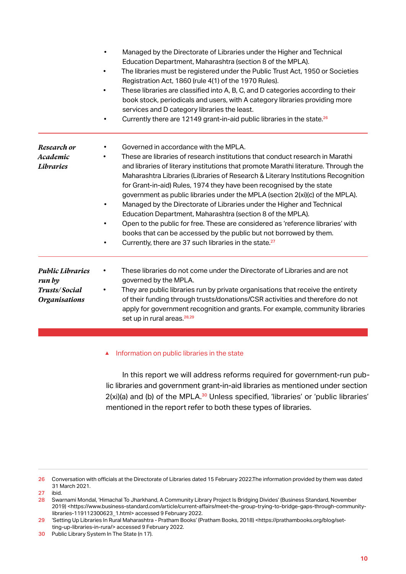|                                                                            | Managed by the Directorate of Libraries under the Higher and Technical<br>$\bullet$<br>Education Department, Maharashtra (section 8 of the MPLA).<br>The libraries must be registered under the Public Trust Act, 1950 or Societies<br>Registration Act, 1860 (rule 4(1) of the 1970 Rules).<br>These libraries are classified into A, B, C, and D categories according to their<br>book stock, periodicals and users, with A category libraries providing more<br>services and D category libraries the least.<br>Currently there are 12149 grant-in-aid public libraries in the state. <sup>26</sup>                                                                                                                                                                                                                                                      |
|----------------------------------------------------------------------------|-------------------------------------------------------------------------------------------------------------------------------------------------------------------------------------------------------------------------------------------------------------------------------------------------------------------------------------------------------------------------------------------------------------------------------------------------------------------------------------------------------------------------------------------------------------------------------------------------------------------------------------------------------------------------------------------------------------------------------------------------------------------------------------------------------------------------------------------------------------|
| Research or<br>Academic<br><b>Libraries</b>                                | Governed in accordance with the MPLA.<br>$\bullet$<br>These are libraries of research institutions that conduct research in Marathi<br>and libraries of literary institutions that promote Marathi literature. Through the<br>Maharashtra Libraries (Libraries of Research & Literary Institutions Recognition<br>for Grant-in-aid) Rules, 1974 they have been recognised by the state<br>government as public libraries under the MPLA (section 2(xi)(c) of the MPLA).<br>Managed by the Directorate of Libraries under the Higher and Technical<br>$\bullet$<br>Education Department, Maharashtra (section 8 of the MPLA).<br>Open to the public for free. These are considered as 'reference libraries' with<br>books that can be accessed by the public but not borrowed by them.<br>Currently, there are 37 such libraries in the state. <sup>27</sup> |
| <b>Public Libraries</b><br>run by<br>Trusts/Social<br><b>Organisations</b> | These libraries do not come under the Directorate of Libraries and are not<br>governed by the MPLA.<br>They are public libraries run by private organisations that receive the entirety<br>of their funding through trusts/donations/CSR activities and therefore do not<br>apply for government recognition and grants. For example, community libraries<br>set up in rural areas. <sup>28,29</sup>                                                                                                                                                                                                                                                                                                                                                                                                                                                        |

#### ▲ Information on public libraries in the state

In this report we will address reforms required for government-run public libraries and government grant-in-aid libraries as mentioned under section  $2(xi)(a)$  and (b) of the MPLA. $30$  Unless specified, 'libraries' or 'public libraries' mentioned in the report refer to both these types of libraries.

<sup>26</sup> Conversation with officials at the Directorate of Libraries dated 15 February 2022.The information provided by them was dated 31 March 2021.

<sup>27</sup> ibid.

<sup>28</sup> Swarnami Mondal, 'Himachal To Jharkhand, A Community Library Project Is Bridging Divides' (Business Standard, November 2019) <https://www.business-standard.com/article/current-affairs/meet-the-group-trying-to-bridge-gaps-through-communitylibraries-119112300623\_1.html> accessed 9 February 2022.

<sup>29</sup> 'Setting Up Libraries In Rural Maharashtra - Pratham Books' (Pratham Books, 2018) <https://prathambooks.org/blog/setting-up-libraries-in-rura/> accessed 9 February 2022.

<sup>30</sup> Public Library System In The State (n 17).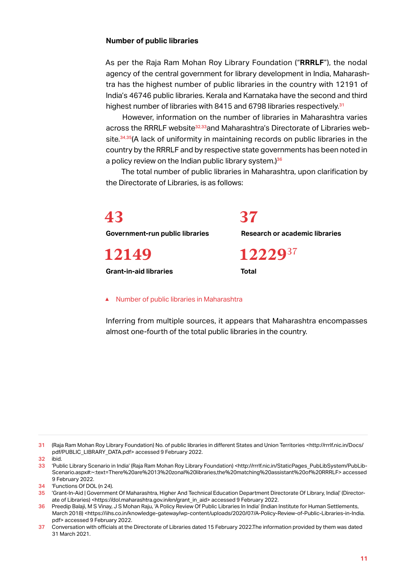#### <span id="page-16-0"></span>**Number of public libraries**

As per the Raja Ram Mohan Roy Library Foundation ("**RRRLF**"), the nodal agency of the central government for library development in India, Maharashtra has the highest number of public libraries in the country with 12191 of India's 46746 public libraries. Kerala and Karnataka have the second and third highest number of libraries with 8415 and 6798 libraries respectively.<sup>31</sup>

However, information on the number of libraries in Maharashtra varies across the RRRLF website<sup>32,33</sup>and Maharashtra's Directorate of Libraries website.<sup>34,35</sup>(A lack of uniformity in maintaining records on public libraries in the country by the RRRLF and by respective state governments has been noted in a policy review on the Indian public library system.) $36$ 

The total number of public libraries in Maharashtra, upon clarification by the Directorate of Libraries, is as follows:

**43**

**Government-run public libraries**

**12149**

**Grant-in-aid libraries**

**Research or academic libraries**

**12229**<sup>37</sup>

**Total**

**37**

#### ▲ Number of public libraries in Maharashtra

Inferring from multiple sources, it appears that Maharashtra encompasses almost one-fourth of the total public libraries in the country.

31 (Raja Ram Mohan Roy Library Foundation) No. of public libraries in different States and Union Territories <http://rrrlf.nic.in/Docs/ pdf/PUBLIC\_LIBRARY\_DATA.pdf> accessed 9 February 2022.

32 ibid.<br>33 'Pub

<sup>33</sup> 'Public Library Scenario in India' (Raja Ram Mohan Roy Library Foundation) <http://rrrlf.nic.in/StaticPages\_PubLibSystem/PubLib-Scenario.aspx#:~:text=There%20are%2013%20zonal%20libraries,the%20matching%20assistant%20of%20RRRLF> accessed 9 February 2022.

<sup>34</sup> 'Functions Of DOL (n 24).

<sup>35 &#</sup>x27;Grant-In-Aid | Government Of Maharashtra, Higher And Technical Education Department Directorate Of Library, Indial' (Directorate of Libraries) <https://dol.maharashtra.gov.in/en/grant\_in\_aid> accessed 9 February 2022.

<sup>36</sup> Preedip Balaji, M S Vinay, J S Mohan Raju, 'A Policy Review Of Public Libraries In India' (Indian Institute for Human Settlements, March 2018) <https://iihs.co.in/knowledge-gateway/wp-content/uploads/2020/07/A-Policy-Review-of-Public-Libraries-in-India. pdf> accessed 9 February 2022.

<sup>37</sup> Conversation with officials at the Directorate of Libraries dated 15 February 2022.The information provided by them was dated 31 March 2021.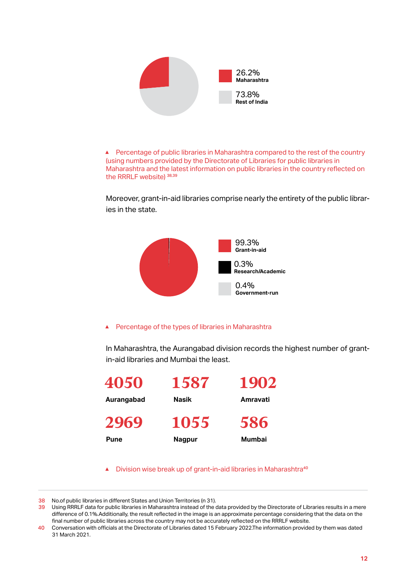

▲ Percentage of public libraries in Maharashtra compared to the rest of the country (using numbers provided by the Directorate of Libraries for public libraries in Maharashtra and the latest information on public libraries in the country reflected on the RRRLF website)<sup>38,39</sup>

Moreover, grant-in-aid libraries comprise nearly the entirety of the public libraries in the state.



#### ▲ Percentage of the types of libraries in Maharashtra

In Maharashtra, the Aurangabad division records the highest number of grantin-aid libraries and Mumbai the least.

| 4050       | 1587          | 1902     |
|------------|---------------|----------|
| Aurangabad | Nasik         | Amravati |
| 2969       | 1055          | 586      |
| Pune       | <b>Nagpur</b> | Mumbai   |

▲ Division wise break up of grant-in-aid libraries in Maharashtra<sup>40</sup>

<sup>38</sup> No.of public libraries in different States and Union Territories (n 31).

<sup>39</sup> Using RRRLF data for public libraries in Maharashtra instead of the data provided by the Directorate of Libraries results in a mere difference of 0.1%.Additionally, the result reflected in the image is an approximate percentage considering that the data on the final number of public libraries across the country may not be accurately reflected on the RRRLF website.

<sup>40</sup> Conversation with officials at the Directorate of Libraries dated 15 February 2022.The information provided by them was dated 31 March 2021.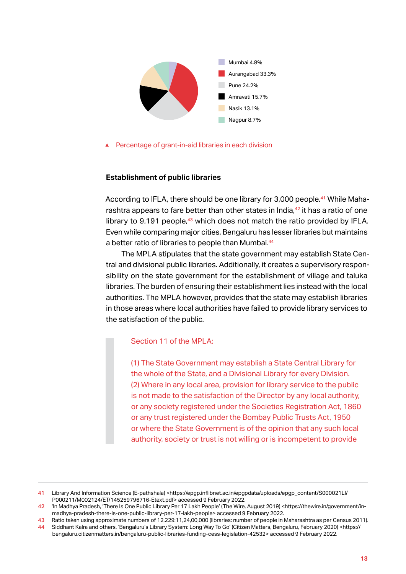<span id="page-18-0"></span>

▲ Percentage of grant-in-aid libraries in each division

#### **Establishment of public libraries**

According to IFLA, there should be one library for 3,000 people.41 While Maharashtra appears to fare better than other states in India, $42$  it has a ratio of one library to 9,191 people, $43$  which does not match the ratio provided by IFLA. Even while comparing major cities, Bengaluru has lesser libraries but maintains a better ratio of libraries to people than Mumbai.<sup>44</sup>

The MPLA stipulates that the state government may establish State Central and divisional public libraries. Additionally, it creates a supervisory responsibility on the state government for the establishment of village and taluka libraries. The burden of ensuring their establishment lies instead with the local authorities. The MPLA however, provides that the state may establish libraries in those areas where local authorities have failed to provide library services to the satisfaction of the public.

#### Section 11 of the MPLA:

(1) The State Government may establish a State Central Library for the whole of the State, and a Divisional Library for every Division. (2) Where in any local area, provision for library service to the public is not made to the satisfaction of the Director by any local authority, or any society registered under the Societies Registration Act, 1860 or any trust registered under the Bombay Public Trusts Act, 1950 or where the State Government is of the opinion that any such local authority, society or trust is not willing or is incompetent to provide

<sup>41</sup> Library And Information Science (E-pathshala) <https://epgp.inflibnet.ac.in/epgpdata/uploads/epgp\_content/S000021LI/ P000211/M002124/ET/145259796716-Etext.pdf> accessed 9 February 2022.

<sup>42</sup> 'In Madhya Pradesh, 'There Is One Public Library Per 17 Lakh People' (The Wire, August 2019) <https://thewire.in/government/inmadhya-pradesh-there-is-one-public-library-per-17-lakh-people> accessed 9 February 2022.

<sup>43</sup> Ratio taken using approximate numbers of 12,229:11,24,00,000 (libraries: number of people in Maharashtra as per Census 2011).<br>44 Siddhant Kalra and others. 'Bengaluru's Library System: Long Way To Go' (Citizen Matters. 44 Siddhant Kalra and others, 'Bengaluru's Library System: Long Way To Go' (Citizen Matters, Bengaluru, February 2020) <https:// bengaluru.citizenmatters.in/bengaluru-public-libraries-funding-cess-legislation-42532> accessed 9 February 2022.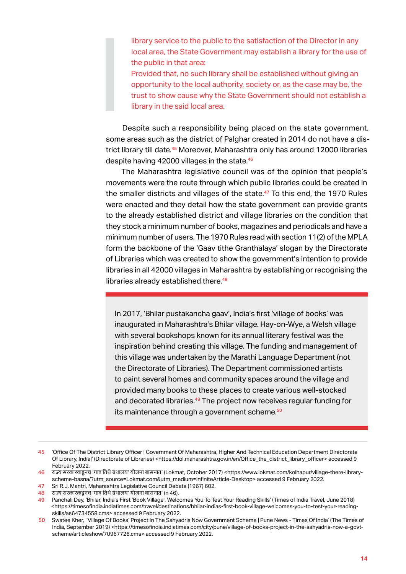library service to the public to the satisfaction of the Director in any local area, the State Government may establish a library for the use of the public in that area:

Provided that, no such library shall be established without giving an opportunity to the local authority, society or, as the case may be, the trust to show cause why the State Government should not establish a library in the said local area.

Despite such a responsibility being placed on the state government, some areas such as the district of Palghar created in 2014 do not have a district library till date.<sup>45</sup> Moreover, Maharashtra only has around 12000 libraries despite having 42000 villages in the state.<sup>46</sup>

The Maharashtra legislative council was of the opinion that people's movements were the route through which public libraries could be created in the smaller districts and villages of the state.<sup>47</sup> To this end, the 1970 Rules were enacted and they detail how the state government can provide grants to the already established district and village libraries on the condition that they stock a minimum number of books, magazines and periodicals and have a minimum number of users. The 1970 Rules read with section 11(2) of the MPLA form the backbone of the 'Gaav tithe Granthalaya' slogan by the Directorate of Libraries which was created to show the government's intention to provide libraries in all 42000 villages in Maharashtra by establishing or recognising the libraries already established there.<sup>48</sup>

In 2017, 'Bhilar pustakancha gaav', India's first 'village of books' was inaugurated in Maharashtra's Bhilar village. Hay-on-Wye, a Welsh village with several bookshops known for its annual literary festival was the inspiration behind creating this village. The funding and management of this village was undertaken by the Marathi Language Department (not the Directorate of Libraries). The Department commissioned artists to paint several homes and community spaces around the village and provided many books to these places to create various well-stocked and decorated libraries.<sup>49</sup> The project now receives regular funding for its maintenance through a government scheme.<sup>50</sup>

<sup>45</sup> **'Office Of The District Library Officer | Government Of Maharashtra, Higher And Technical Education Department Directorate** Of Library, India|' (Directorate of Libraries) <https://dol.maharashtra.gov.in/en/Office\_the\_district\_library\_officer> accessed 9 February 2022.

<sup>46</sup> राज्य सरकारकडूनच 'गाव तिथेग्रंथालय' योजना बासनात' (Lokmat, October 2017) <https://www.lokmat.com/kolhapur/village-there-libraryscheme-basna/?utm\_source=Lokmat.com&utm\_medium=InfiniteArticle-Desktop> accessed 9 February 2022.

<sup>47</sup> Sri R.J. Mantri, Maharashtra Legislative Council Debate (1967) 602.

<sup>48</sup> राज्य सरकारकडूनच 'गाव तिथेग्रंथालय' योजना बासनात' (n 46).

<sup>49</sup> Panchali Dey, 'Bhilar, India's First 'Book Village', Welcomes You To Test Your Reading Skills' (Times of India Travel, June 2018) <https://timesofindia.indiatimes.com/travel/destinations/bhilar-indias-first-book-village-welcomes-you-to-test-your-readingskills/as64734558.cms> accessed 9 February 2022.

<sup>50</sup> Swatee Kher, ''Village Of Books' Project In The Sahyadris Now Government Scheme | Pune News - Times Of India' (The Times of India, September 2019) <https://timesofindia.indiatimes.com/city/pune/village-of-books-project-in-the-sahyadris-now-a-govtscheme/articleshow/70967726.cms> accessed 9 February 2022.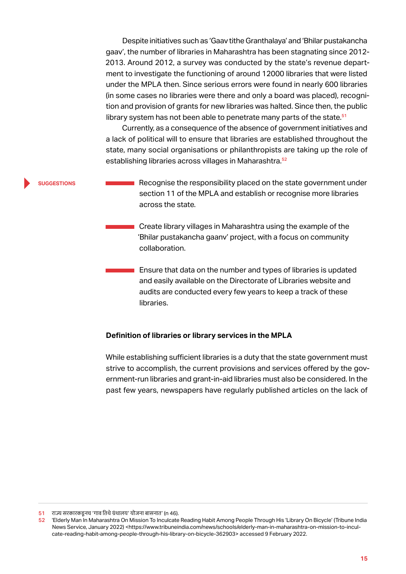<span id="page-20-0"></span>Despite initiatives such as 'Gaav tithe Granthalaya' and 'Bhilar pustakancha gaav', the number of libraries in Maharashtra has been stagnating since 2012- 2013. Around 2012, a survey was conducted by the state's revenue department to investigate the functioning of around 12000 libraries that were listed under the MPLA then. Since serious errors were found in nearly 600 libraries (in some cases no libraries were there and only a board was placed), recognition and provision of grants for new libraries was halted. Since then, the public library system has not been able to penetrate many parts of the state.<sup>51</sup>

Currently, as a consequence of the absence of government initiatives and a lack of political will to ensure that libraries are established throughout the state, many social organisations or philanthropists are taking up the role of establishing libraries across villages in Maharashtra.<sup>52</sup>

**suggestions**

Recognise the responsibility placed on the state government under section 11 of the MPLA and establish or recognise more libraries across the state.

Create library villages in Maharashtra using the example of the 'Bhilar pustakancha gaanv' project, with a focus on community collaboration.

Ensure that data on the number and types of libraries is updated and easily available on the Directorate of Libraries website and audits are conducted every few years to keep a track of these libraries.

#### **Definition of libraries or library services in the MPLA**

While establishing sufficient libraries is a duty that the state government must strive to accomplish, the current provisions and services offered by the government-run libraries and grant-in-aid libraries must also be considered. In the past few years, newspapers have regularly published articles on the lack of

 $51$  राज्य सरकारकडूनच 'गाव तिथे ग्रंथालय' योजना बासनात' (n 46).<br>52 Fiderly Man In Maharashtra On Mission To Inculcate

<sup>52</sup> 'Elderly Man In Maharashtra On Mission To Inculcate Reading Habit Among People Through His 'Library On Bicycle' (Tribune India News Service, January 2022) <https://www.tribuneindia.com/news/schools/elderly-man-in-maharashtra-on-mission-to-inculcate-reading-habit-among-people-through-his-library-on-bicycle-362903> accessed 9 February 2022.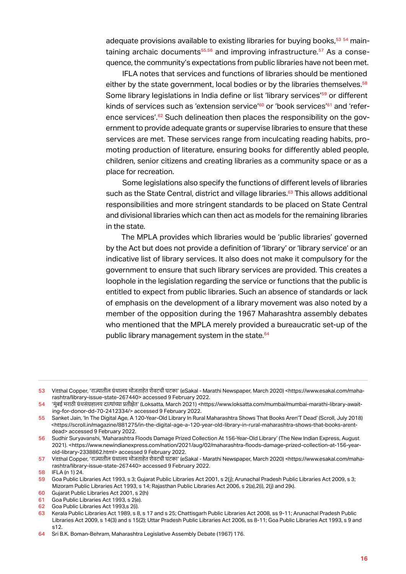adequate provisions available to existing libraries for buying books,<sup>53 54</sup> maintaining archaic documents $55,56$  and improving infrastructure. $57$  As a consequence, the community's expectations from public libraries have not been met.

IFLA notes that services and functions of libraries should be mentioned either by the state government, local bodies or by the libraries themselves.<sup>58</sup> Some library legislations in India define or list 'library services'<sup>59</sup> or different kinds of services such as 'extension service'<sup>60</sup> or 'book services'<sup>61</sup> and 'reference services'.<sup>62</sup> Such delineation then places the responsibility on the government to provide adequate grants or supervise libraries to ensure that these services are met. These services range from inculcating reading habits, promoting production of literature, ensuring books for differently abled people, children, senior citizens and creating libraries as a community space or as a place for recreation.

Some legislations also specify the functions of different levels of libraries such as the State Central, district and village libraries.<sup>63</sup> This allows additional responsibilities and more stringent standards to be placed on State Central and divisional libraries which can then act as models for the remaining libraries in the state.

The MPLA provides which libraries would be 'public libraries' governed by the Act but does not provide a definition of 'library' or 'library service' or an indicative list of library services. It also does not make it compulsory for the government to ensure that such library services are provided. This creates a loophole in the legislation regarding the service or functions that the public is entitled to expect from public libraries. Such an absence of standards or lack of emphasis on the development of a library movement was also noted by a member of the opposition during the 1967 Maharashtra assembly debates who mentioned that the MPLA merely provided a bureaucratic set-up of the public library management system in the state.<sup>64</sup>

<sup>53</sup> Vitthal Copper, 'राज्यातील ग्रंथालय मोजताहेत शेवटची घटका' (eSakal - Marathi Newspaper, March 2020) <https://www.esakal.com/maharashtra/library-issue-state-267440> accessed 9 February 2022.

<sup>54</sup> 'मुं बई मराठी ग्रंथसं ग्रहालय दात्यांच्या प्रतीक्षेत' (Loksatta, March 2021) <https://www.loksatta.com/mumbai/mumbai-marathi-library-awaiting-for-donor-dd-70-2412334/> accessed 9 February 2022.

<sup>55</sup> Sanket Jain, 'In The Digital Age, A 120-Year-Old Library In Rural Maharashtra Shows That Books Aren'T Dead' (Scroll, July 2018) <https://scroll.in/magazine/881275/in-the-digital-age-a-120-year-old-library-in-rural-maharashtra-shows-that-books-arentdead> accessed 9 February 2022.

<sup>56</sup> Sudhir Suryavanshi, 'Maharashtra Floods Damage Prized Collection At 156-Year-Old Library' (The New Indian Express, August 2021). <https://www.newindianexpress.com/nation/2021/aug/02/maharashtra-floods-damage-prized-collection-at-156-yearold-library-2338862.html> accessed 9 February 2022.

<sup>57</sup> Vitthal Copper, 'राज्यातील ग्रंथालय मोजताहेत शेवटची घटका' (eSakal - Marathi Newspaper, March 2020) <https://www.esakal.com/maharashtra/library-issue-state-267440> accessed 9 February 2022.

<sup>58</sup> IFLA (n 1) 24.

<sup>59</sup> Goa Public Libraries Act 1993, s 3; Gujarat Public Libraries Act 2001, s 2(j); Arunachal Pradesh Public Libraries Act 2009, s 3; Mizoram Public Libraries Act 1993, s 14; Rajasthan Public Libraries Act 2006, s 2(a),2(i), 2(j) and 2(k).

<sup>60</sup> Gujarat Public Libraries Act 2001, s 2(h)

<sup>61</sup> Goa Public Libraries Act 1993, s 2(e).<br>62 Goa Public Libraries Act 1993.s 2(i).

<sup>62</sup> Goa Public Libraries Act 1993,s 2(i).<br>63 Kerala Public Libraries Act 1989 s 8

<sup>63</sup> Kerala Public Libraries Act 1989, s 8, s 17 and s 25; Chattisgarh Public Libraries Act 2008, ss 9-11; Arunachal Pradesh Public Libraries Act 2009, s 14(3) and s 15(2); Uttar Pradesh Public Libraries Act 2006, ss 8-11; Goa Public Libraries Act 1993, s 9 and s12.

<sup>64</sup> Sri B.K. Boman-Behram, Maharashtra Legislative Assembly Debate (1967) 176.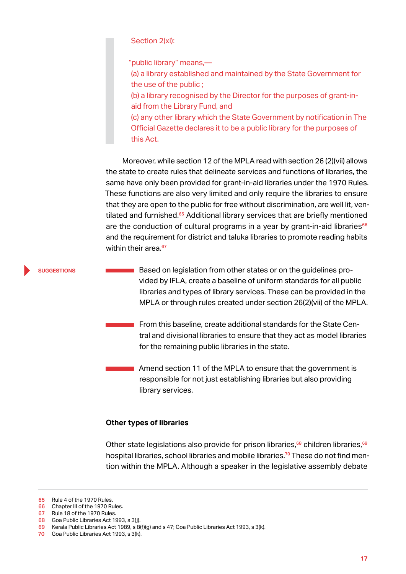Section 2(xi):

"public library" means,—

(a) a library established and maintained by the State Government for the use of the public ;

(b) a library recognised by the Director for the purposes of grant-inaid from the Library Fund, and

(c) any other library which the State Government by notification in The Official Gazette declares it to be a public library for the purposes of this Act.

Moreover, while section 12 of the MPLA read with section 26 (2)(vii) allows the state to create rules that delineate services and functions of libraries, the same have only been provided for grant-in-aid libraries under the 1970 Rules. These functions are also very limited and only require the libraries to ensure that they are open to the public for free without discrimination, are well lit, ventilated and furnished.<sup>65</sup> Additional library services that are briefly mentioned are the conduction of cultural programs in a year by grant-in-aid libraries $66$ and the requirement for district and taluka libraries to promote reading habits within their area.<sup>67</sup>

**suggestions**

Based on legislation from other states or on the guidelines provided by IFLA, create a baseline of uniform standards for all public libraries and types of library services. These can be provided in the MPLA or through rules created under section 26(2)(vii) of the MPLA.

From this baseline, create additional standards for the State Central and divisional libraries to ensure that they act as model libraries for the remaining public libraries in the state.

Amend section 11 of the MPLA to ensure that the government is responsible for not just establishing libraries but also providing library services.

#### **Other types of libraries**

Other state legislations also provide for prison libraries, $68$  children libraries,  $69$ hospital libraries, school libraries and mobile libraries.<sup>70</sup> These do not find mention within the MPLA. Although a speaker in the legislative assembly debate

<sup>65</sup> Rule 4 of the 1970 Rules.

<sup>66</sup> Chapter III of the 1970 Rules.

<sup>67</sup> Rule 18 of the 1970 Rules.

<sup>68</sup> Goa Public Libraries Act 1993, s 3(j).

<sup>69</sup> Kerala Public Libraries Act 1989, s 8(f)(g) and s 47; Goa Public Libraries Act 1993, s 3(k).

<sup>70</sup> Goa Public Libraries Act 1993, s 3(k).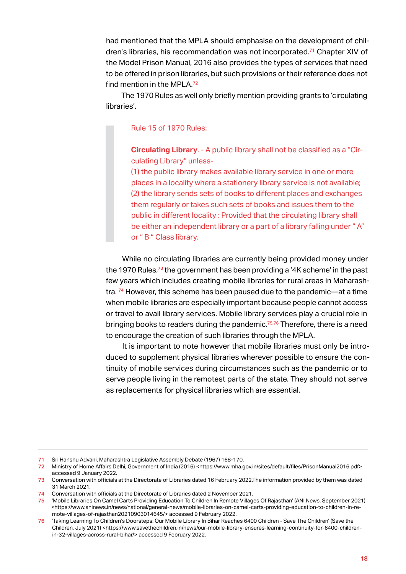<span id="page-23-0"></span>had mentioned that the MPLA should emphasise on the development of children's libraries, his recommendation was not incorporated.<sup>71</sup> Chapter XIV of the Model Prison Manual, 2016 also provides the types of services that need to be offered in prison libraries, but such provisions or their reference does not find mention in the MPLA.<sup>72</sup>

The 1970 Rules as well only briefly mention providing grants to 'circulating libraries'.

Rule 15 of 1970 Rules:

**Circulating Library**. - A public library shall not be classified as a "Circulating Library" unless-

(1) the public library makes available library service in one or more places in a locality where a stationery library service is not available; (2) the library sends sets of books to different places and exchanges them regularly or takes such sets of books and issues them to the public in different locality : Provided that the circulating library shall be either an independent library or a part of a library falling under "A" or " B " Class library.

While no circulating libraries are currently being provided money under the 1970 Rules,<sup>73</sup> the government has been providing a '4K scheme' in the past few years which includes creating mobile libraries for rural areas in Maharashtra. <sup>74</sup> However, this scheme has been paused due to the pandemic—at a time when mobile libraries are especially important because people cannot access or travel to avail library services. Mobile library services play a crucial role in bringing books to readers during the pandemic.<sup>75,76</sup> Therefore, there is a need to encourage the creation of such libraries through the MPLA.

It is important to note however that mobile libraries must only be introduced to supplement physical libraries wherever possible to ensure the continuity of mobile services during circumstances such as the pandemic or to serve people living in the remotest parts of the state. They should not serve as replacements for physical libraries which are essential.

<sup>71</sup> Sri Hanshu Advani, Maharashtra Legislative Assembly Debate (1967) 168-170. 72 Ministry of Home Affairs Delhi, Government of India (2016) <https://www.mha.gov.in/sites/default/files/PrisonManual2016.pdf> accessed 9 January 2022.

<sup>73</sup> Conversation with officials at the Directorate of Libraries dated 16 February 2022.The information provided by them was dated 31 March 2021.

<sup>74</sup> Conversation with officials at the Directorate of Libraries dated 2 November 2021.<br>75 Yolohile Libraries On Camel Carts Providing Education To Children In Remote Village

<sup>75</sup> 'Mobile Libraries On Camel Carts Providing Education To Children In Remote Villages Of Rajasthan' (ANI News, September 2021) <https://www.aninews.in/news/national/general-news/mobile-libraries-on-camel-carts-providing-education-to-children-in-remote-villages-of-rajasthan20210903014645/> accessed 9 February 2022.

<sup>76</sup> 'Taking Learning To Children's Doorsteps: Our Mobile Library In Bihar Reaches 6400 Children - Save The Children' (Save the Children, July 2021) <https://www.savethechildren.in/news/our-mobile-library-ensures-learning-continuity-for-6400-childrenin-32-villages-across-rural-bihar/> accessed 9 February 2022.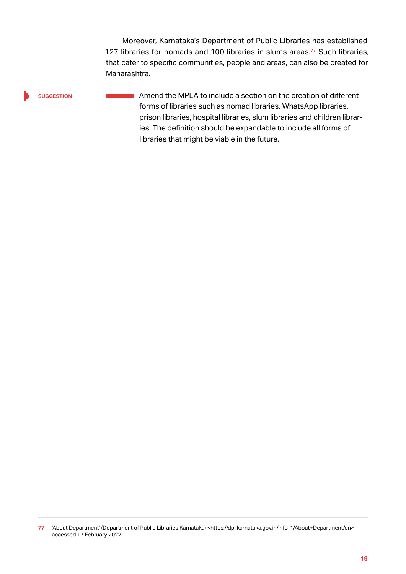Moreover, Karnataka's Department of Public Libraries has established 127 libraries for nomads and 100 libraries in slums areas.<sup>77</sup> Such libraries, that cater to specific communities, people and areas, can also be created for Maharashtra.

#### **suggestion**

**Amend the MPLA to include a section on the creation of different** forms of libraries such as nomad libraries, WhatsApp libraries, prison libraries, hospital libraries, slum libraries and children libraries. The definition should be expandable to include all forms of libraries that might be viable in the future.

<sup>77 &#</sup>x27;About Department' (Department of Public Libraries Karnataka) <https://dpl.karnataka.gov.in/info-1/About+Department/en> accessed 17 February 2022.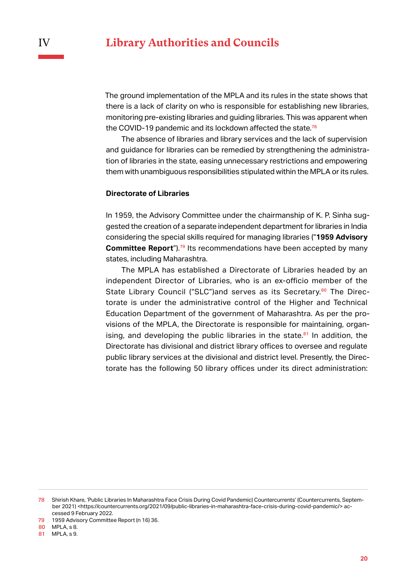<span id="page-25-0"></span>The ground implementation of the MPLA and its rules in the state shows that there is a lack of clarity on who is responsible for establishing new libraries, monitoring pre-existing libraries and guiding libraries. This was apparent when the COVID-19 pandemic and its lockdown affected the state.<sup>78</sup>

The absence of libraries and library services and the lack of supervision and guidance for libraries can be remedied by strengthening the administration of libraries in the state, easing unnecessary restrictions and empowering them with unambiguous responsibilities stipulated within the MPLA or its rules.

#### **Directorate of Libraries**

In 1959, the Advisory Committee under the chairmanship of K. P. Sinha suggested the creation of a separate independent department for libraries in India considering the special skills required for managing libraries ("**1959 Advisory Committee Report**").<sup>79</sup> Its recommendations have been accepted by many states, including Maharashtra.

The MPLA has established a Directorate of Libraries headed by an independent Director of Libraries, who is an ex-officio member of the State Library Council ("SLC")and serves as its Secretary.<sup>80</sup> The Directorate is under the administrative control of the Higher and Technical Education Department of the government of Maharashtra. As per the provisions of the MPLA, the Directorate is responsible for maintaining, organising, and developing the public libraries in the state. $81$  In addition, the Directorate has divisional and district library offices to oversee and regulate public library services at the divisional and district level. Presently, the Directorate has the following 50 library offices under its direct administration:

81 MPLA, s 9.

<sup>78</sup> Shirish Khare, 'Public Libraries In Maharashtra Face Crisis During Covid Pandemic| Countercurrents' (Countercurrents, September 2021) <https://countercurrents.org/2021/09/public-libraries-in-maharashtra-face-crisis-during-covid-pandemic/>accessed 9 February 2022.

<sup>79</sup> 1959 Advisory Committee Report (n 16) 36.

<sup>80</sup> MPLA, s 8.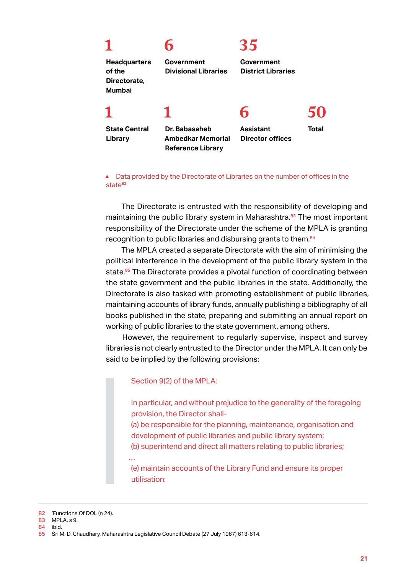|                                                                | h                                         | 35                                          |              |
|----------------------------------------------------------------|-------------------------------------------|---------------------------------------------|--------------|
| <b>Headquarters</b><br>of the<br>Directorate,<br><b>Mumbai</b> | Government<br><b>Divisional Libraries</b> | Government<br><b>District Libraries</b>     |              |
|                                                                |                                           | h                                           |              |
| <b>State Central</b><br>Library                                | Dr. Babasaheb<br>Ambedkar Memorial        | <b>Assistant</b><br><b>Director offices</b> | <b>Total</b> |

**Reference Library**

▲ Data provided by the Directorate of Libraries on the number of offices in the state<sup>82</sup>

The Directorate is entrusted with the responsibility of developing and maintaining the public library system in Maharashtra.<sup>83</sup> The most important responsibility of the Directorate under the scheme of the MPLA is granting recognition to public libraries and disbursing grants to them.<sup>84</sup>

The MPLA created a separate Directorate with the aim of minimising the political interference in the development of the public library system in the state.<sup>85</sup> The Directorate provides a pivotal function of coordinating between the state government and the public libraries in the state. Additionally, the Directorate is also tasked with promoting establishment of public libraries, maintaining accounts of library funds, annually publishing a bibliography of all books published in the state, preparing and submitting an annual report on working of public libraries to the state government, among others.

However, the requirement to regularly supervise, inspect and survey libraries is not clearly entrusted to the Director under the MPLA. It can only be said to be implied by the following provisions:

#### Section 9(2) of the MPLA:

In particular, and without prejudice to the generality of the foregoing provision, the Director shall-

(a) be responsible for the planning, maintenance, organisation and development of public libraries and public library system;

(b) superintend and direct all matters relating to public libraries;

(e) maintain accounts of the Library Fund and ensure its proper utilisation:

- 83 MPLA, s 9.
- 84 ibid.

…

<sup>82</sup> 'Functions Of DOL (n 24).

<sup>85</sup> Sri M. D. Chaudhary, Maharashtra Legislative Council Debate (27 July 1967) 613-614.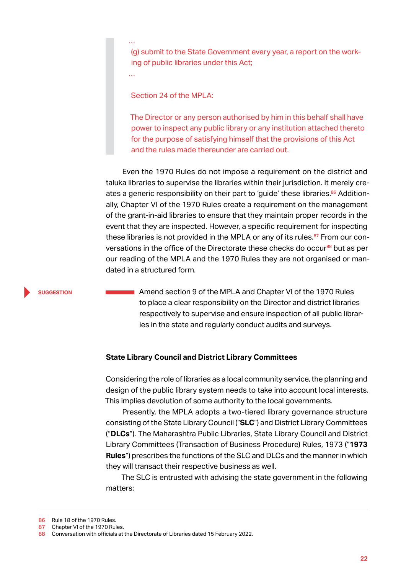(g) submit to the State Government every year, a report on the working of public libraries under this Act;

Section 24 of the MPLA:

<span id="page-27-0"></span>…

…

The Director or any person authorised by him in this behalf shall have power to inspect any public library or any institution attached thereto for the purpose of satisfying himself that the provisions of this Act and the rules made thereunder are carried out.

Even the 1970 Rules do not impose a requirement on the district and taluka libraries to supervise the libraries within their jurisdiction. It merely creates a generic responsibility on their part to 'guide' these libraries.<sup>86</sup> Additionally, Chapter VI of the 1970 Rules create a requirement on the management of the grant-in-aid libraries to ensure that they maintain proper records in the event that they are inspected. However, a specific requirement for inspecting these libraries is not provided in the MPLA or any of its rules.<sup>87</sup> From our conversations in the office of the Directorate these checks do occur<sup>88</sup> but as per our reading of the MPLA and the 1970 Rules they are not organised or mandated in a structured form.

#### **suggestion**

**Amend section 9 of the MPLA and Chapter VI of the 1970 Rules** to place a clear responsibility on the Director and district libraries respectively to supervise and ensure inspection of all public libraries in the state and regularly conduct audits and surveys.

#### **State Library Council and District Library Committees**

Considering the role of libraries as a local community service, the planning and design of the public library system needs to take into account local interests. This implies devolution of some authority to the local governments.

Presently, the MPLA adopts a two-tiered library governance structure consisting of the State Library Council ("**SLC**") and District Library Committees ("**DLCs**"). The Maharashtra Public Libraries, State Library Council and District Library Committees (Transaction of Business Procedure) Rules, 1973 ("**1973 Rules**") prescribes the functions of the SLC and DLCs and the manner in which they will transact their respective business as well.

The SLC is entrusted with advising the state government in the following matters:

<sup>86</sup> Rule 18 of the 1970 Rules.

<sup>87</sup> Chapter VI of the 1970 Rules.

<sup>88</sup> Conversation with officials at the Directorate of Libraries dated 15 February 2022.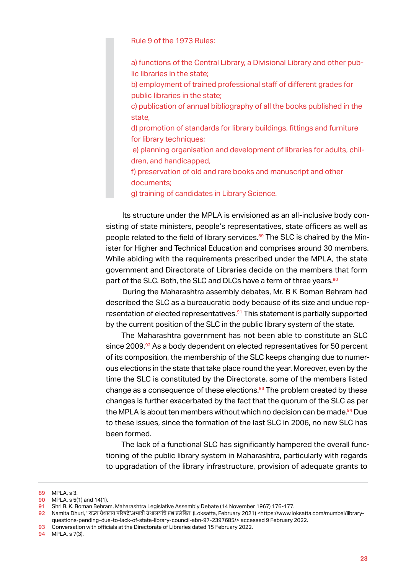Rule 9 of the 1973 Rules:

a) functions of the Central Library, a Divisional Library and other public libraries in the state;

b) employment of trained professional staff of different grades for public libraries in the state;

c) publication of annual bibliography of all the books published in the state,

d) promotion of standards for library buildings, fittings and furniture for library techniques;

 e) planning organisation and development of libraries for adults, children, and handicapped,

f) preservation of old and rare books and manuscript and other documents;

g) training of candidates in Library Science.

Its structure under the MPLA is envisioned as an all-inclusive body consisting of state ministers, people's representatives, state officers as well as people related to the field of library services.<sup>89</sup> The SLC is chaired by the Minister for Higher and Technical Education and comprises around 30 members. While abiding with the requirements prescribed under the MPLA, the state government and Directorate of Libraries decide on the members that form part of the SLC. Both, the SLC and DLCs have a term of three years.<sup>90</sup>

During the Maharashtra assembly debates, Mr. B K Boman Behram had described the SLC as a bureaucratic body because of its size and undue representation of elected representatives.<sup>91</sup> This statement is partially supported by the current position of the SLC in the public library system of the state.

The Maharashtra government has not been able to constitute an SLC since 2009.<sup>92</sup> As a body dependent on elected representatives for 50 percent of its composition, the membership of the SLC keeps changing due to numerous elections in the state that take place round the year. Moreover, even by the time the SLC is constituted by the Directorate, some of the members listed change as a consequence of these elections.<sup>93</sup> The problem created by these changes is further exacerbated by the fact that the quorum of the SLC as per the MPLA is about ten members without which no decision can be made.<sup>94</sup> Due to these issues, since the formation of the last SLC in 2006, no new SLC has been formed.

The lack of a functional SLC has significantly hampered the overall functioning of the public library system in Maharashtra, particularly with regards to upgradation of the library infrastructure, provision of adequate grants to

94 MPLA, s 7(3).

<sup>89</sup> MPLA, s 3.

**<sup>90</sup>** MPLA, s 5(1) and 14(1).<br>**91** Shri B. K. Boman Behrar

<sup>91</sup> Shri B. K. Boman Behram, Maharashtra Legislative Assembly Debate (14 November 1967) 176-177.

<sup>92</sup> Namita Dhuri, ''राज्य ग्रंथालय परिषदे 'अभावी ग्रंथालयां चे प्रश्न प्रलं बित' (Loksatta, February 2021) <https://www.loksatta.com/mumbai/libraryquestions-pending-due-to-lack-of-state-library-council-abn-97-2397685/> accessed 9 February 2022.

<sup>93</sup> Conversation with officials at the Directorate of Libraries dated 15 February 2022.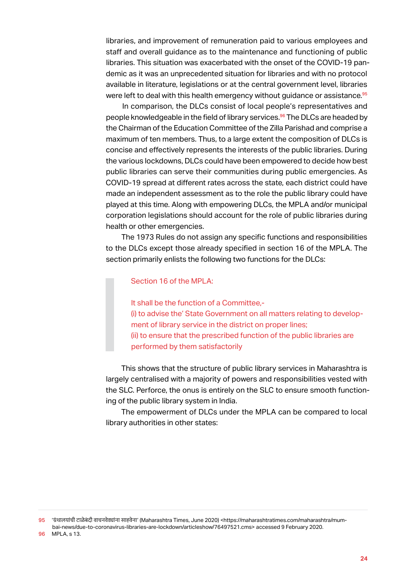libraries, and improvement of remuneration paid to various employees and staff and overall guidance as to the maintenance and functioning of public libraries. This situation was exacerbated with the onset of the COVID-19 pandemic as it was an unprecedented situation for libraries and with no protocol available in literature, legislations or at the central government level, libraries were left to deal with this health emergency without guidance or assistance.<sup>95</sup>

In comparison, the DLCs consist of local people's representatives and people knowledgeable in the field of library services.<sup>96</sup> The DLCs are headed by the Chairman of the Education Committee of the Zilla Parishad and comprise a maximum of ten members. Thus, to a large extent the composition of DLCs is concise and effectively represents the interests of the public libraries. During the various lockdowns, DLCs could have been empowered to decide how best public libraries can serve their communities during public emergencies. As COVID-19 spread at different rates across the state, each district could have made an independent assessment as to the role the public library could have played at this time. Along with empowering DLCs, the MPLA and/or municipal corporation legislations should account for the role of public libraries during health or other emergencies.

The 1973 Rules do not assign any specific functions and responsibilities to the DLCs except those already specified in section 16 of the MPLA. The section primarily enlists the following two functions for the DLCs:

#### Section 16 of the MPLA:

It shall be the function of a Committee,- (i) to advise the' State Government on all matters relating to development of library service in the district on proper lines; (ii) to ensure that the prescribed function of the public libraries are performed by them satisfactorily

This shows that the structure of public library services in Maharashtra is largely centralised with a majority of powers and responsibilities vested with the SLC. Perforce, the onus is entirely on the SLC to ensure smooth functioning of the public library system in India.

The empowerment of DLCs under the MPLA can be compared to local library authorities in other states:

<sup>95</sup> 'ग्रंथालयां ची टाळे बं दी वाचनवेड्यांना साहवेना' (Maharashtra Times, June 2020) <https://maharashtratimes.com/maharashtra/mumbai-news/due-to-coronavirus-libraries-are-lockdown/articleshow/76497521.cms> accessed 9 February 2020.

<sup>96</sup> MPLA, s 13.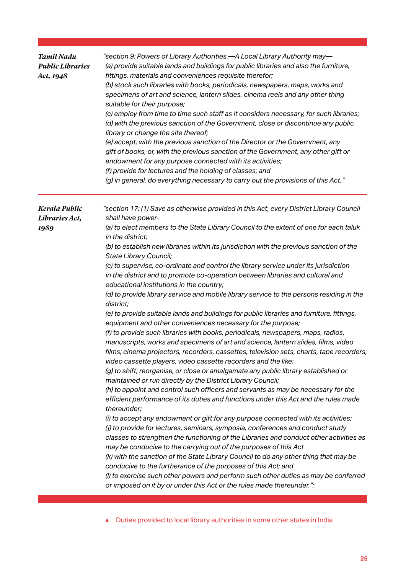| <b>Tamil Nadu</b><br><b>Public Libraries</b><br>Act, 1948 | "section 9: Powers of Library Authorities.-A Local Library Authority may-<br>(a) provide suitable lands and buildings for public libraries and also the furniture,<br>fittings, materials and conveniences requisite therefor;<br>(b) stock such libraries with books, periodicals, newspapers, maps, works and<br>specimens of art and science, lantern slides, cinema reels and any other thing<br>suitable for their purpose;<br>(c) employ from time to time such staff as it considers necessary, for such libraries;<br>(d) with the previous sanction of the Government, close or discontinue any public<br>library or change the site thereof;<br>(e) accept, with the previous sanction of the Director or the Government, any<br>gift of books, or, with the previous sanction of the Government, any other gift or<br>endowment for any purpose connected with its activities;<br>(f) provide for lectures and the holding of classes; and<br>(g) in general, do everything necessary to carry out the provisions of this Act."                                                                                                                                                                                                                                                                                                                                                                                                                                                                                                                                                                                                                                                                                                                                                                                                                                                                                                                                                                                                                                                                                                                                                       |
|-----------------------------------------------------------|--------------------------------------------------------------------------------------------------------------------------------------------------------------------------------------------------------------------------------------------------------------------------------------------------------------------------------------------------------------------------------------------------------------------------------------------------------------------------------------------------------------------------------------------------------------------------------------------------------------------------------------------------------------------------------------------------------------------------------------------------------------------------------------------------------------------------------------------------------------------------------------------------------------------------------------------------------------------------------------------------------------------------------------------------------------------------------------------------------------------------------------------------------------------------------------------------------------------------------------------------------------------------------------------------------------------------------------------------------------------------------------------------------------------------------------------------------------------------------------------------------------------------------------------------------------------------------------------------------------------------------------------------------------------------------------------------------------------------------------------------------------------------------------------------------------------------------------------------------------------------------------------------------------------------------------------------------------------------------------------------------------------------------------------------------------------------------------------------------------------------------------------------------------------------------------------------|
| Kerala Public<br>Libraries Act,<br>1989                   | "section 17: (1) Save as otherwise provided in this Act, every District Library Council<br>shall have power-<br>(a) to elect members to the State Library Council to the extent of one for each taluk<br>in the district;<br>(b) to establish new libraries within its jurisdiction with the previous sanction of the<br>State Library Council;<br>(c) to supervise, co-ordinate and control the library service under its jurisdiction<br>in the district and to promote co-operation between libraries and cultural and<br>educational institutions in the country;<br>(d) to provide library service and mobile library service to the persons residing in the<br>district;<br>(e) to provide suitable lands and buildings for public libraries and furniture, fittings,<br>equipment and other conveniences necessary for the purpose;<br>(f) to provide such libraries with books, periodicals, newspapers, maps, radios,<br>manuscripts, works and specimens of art and science, lantern slides, films, video<br>films; cinema projectors, recorders, cassettes, television sets, charts, tape recorders,<br>video cassette players, video cassette recorders and the like;<br>(g) to shift, reorganise, or close or amalgamate any public library established or<br>maintained or run directly by the District Library Council;<br>(h) to appoint and control such officers and servants as may be necessary for the<br>efficient performance of its duties and functions under this Act and the rules made<br>thereunder;<br>(i) to accept any endowment or gift for any purpose connected with its activities;<br>(i) to provide for lectures, seminars, symposia, conferences and conduct study<br>classes to strengthen the functioning of the Libraries and conduct other activities as<br>may be conducive to the carrying out of the purposes of this Act<br>(k) with the sanction of the State Library Council to do any other thing that may be<br>conducive to the furtherance of the purposes of this Act; and<br>(I) to exercise such other powers and perform such other duties as may be conferred<br>or imposed on it by or under this Act or the rules made thereunder."; |

#### ▲ Duties provided to local library authorities in some other states in India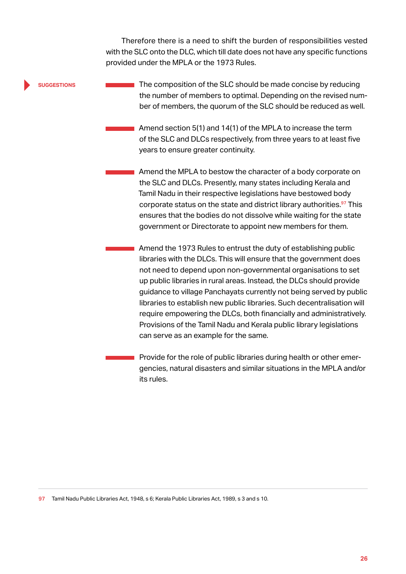Therefore there is a need to shift the burden of responsibilities vested with the SLC onto the DLC, which till date does not have any specific functions provided under the MPLA or the 1973 Rules.

#### **suggestions**

The composition of the SLC should be made concise by reducing the number of members to optimal. Depending on the revised number of members, the quorum of the SLC should be reduced as well.

Amend section 5(1) and 14(1) of the MPLA to increase the term of the SLC and DLCs respectively, from three years to at least five years to ensure greater continuity.

**Amend the MPLA to bestow the character of a body corporate on** the SLC and DLCs. Presently, many states including Kerala and Tamil Nadu in their respective legislations have bestowed body corporate status on the state and district library authorities.<sup>97</sup> This ensures that the bodies do not dissolve while waiting for the state government or Directorate to appoint new members for them.

Amend the 1973 Rules to entrust the duty of establishing public libraries with the DLCs. This will ensure that the government does not need to depend upon non-governmental organisations to set up public libraries in rural areas. Instead, the DLCs should provide guidance to village Panchayats currently not being served by public libraries to establish new public libraries. Such decentralisation will require empowering the DLCs, both financially and administratively. Provisions of the Tamil Nadu and Kerala public library legislations can serve as an example for the same.

Provide for the role of public libraries during health or other emergencies, natural disasters and similar situations in the MPLA and/or its rules.

97 Tamil Nadu Public Libraries Act, 1948, s 6; Kerala Public Libraries Act, 1989, s 3 and s 10.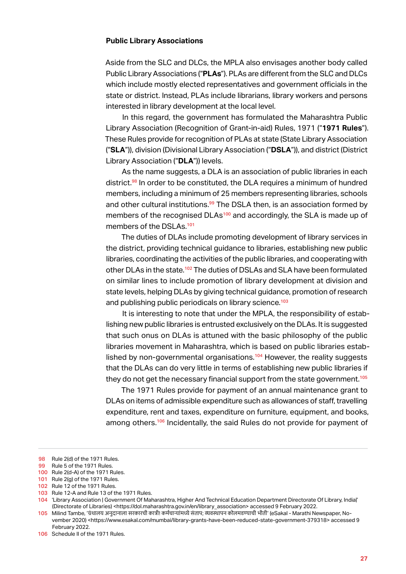#### <span id="page-32-0"></span>**Public Library Associations**

Aside from the SLC and DLCs, the MPLA also envisages another body called Public Library Associations ("**PLAs**"). PLAs are different from the SLC and DLCs which include mostly elected representatives and government officials in the state or district. Instead, PLAs include librarians, library workers and persons interested in library development at the local level.

In this regard, the government has formulated the Maharashtra Public Library Association (Recognition of Grant-in-aid) Rules, 1971 ("**1971 Rules**"). These Rules provide for recognition of PLAs at state (State Library Association ("**SLA**")), division (Divisional Library Association ("**DSLA**")), and district (District Library Association ("**DLA**")) levels.

As the name suggests, a DLA is an association of public libraries in each district.<sup>98</sup> In order to be constituted, the DLA requires a minimum of hundred members, including a minimum of 25 members representing libraries, schools and other cultural institutions.<sup>99</sup> The DSLA then, is an association formed by members of the recognised DLAs<sup>100</sup> and accordingly, the SLA is made up of members of the DSLAs.<sup>101</sup>

The duties of DLAs include promoting development of library services in the district, providing technical guidance to libraries, establishing new public libraries, coordinating the activities of the public libraries, and cooperating with other DLAs in the state.<sup>102</sup> The duties of DSLAs and SLA have been formulated on similar lines to include promotion of library development at division and state levels, helping DLAs by giving technical guidance, promotion of research and publishing public periodicals on library science.<sup>103</sup>

It is interesting to note that under the MPLA, the responsibility of establishing new public libraries is entrusted exclusively on the DLAs. It is suggested that such onus on DLAs is attuned with the basic philosophy of the public libraries movement in Maharashtra, which is based on public libraries established by non-governmental organisations.<sup>104</sup> However, the reality suggests that the DLAs can do very little in terms of establishing new public libraries if they do not get the necessary financial support from the state government.<sup>105</sup>

The 1971 Rules provide for payment of an annual maintenance grant to DLAs on items of admissible expenditure such as allowances of staff, travelling expenditure, rent and taxes, expenditure on furniture, equipment, and books, among others.<sup>106</sup> Incidentally, the said Rules do not provide for payment of

103 Rule 12-A and Rule 13 of the 1971 Rules.

<sup>98</sup> Rule 2(d) of the 1971 Rules.

<sup>99</sup> Rule 5 of the 1971 Rules.

<sup>100</sup> Rule 2(d-A) of the 1971 Rules.

<sup>101</sup> Rule 2(g) of the 1971 Rules.

<sup>102</sup> Rule 12 of the 1971 Rules.

<sup>104</sup> 'Library Association | Government Of Maharashtra, Higher And Technical Education Department Directorate Of Library, India|' (Directorate of Libraries) <https://dol.maharashtra.gov.in/en/library\_association> accessed 9 February 2022.

<sup>105</sup> Milind Tambe, 'ग्रंथालय अनु दानाला सरकारची कात्री! कर्मचाऱ्यांमध्ये सं ताप; व्यवस्थापन कोलमडण्याची भीती' (eSakal - Marathi Newspaper, November 2020) <https://www.esakal.com/mumbai/library-grants-have-been-reduced-state-government-379318> accessed 9 February 2022.

<sup>106</sup> Schedule II of the 1971 Rules.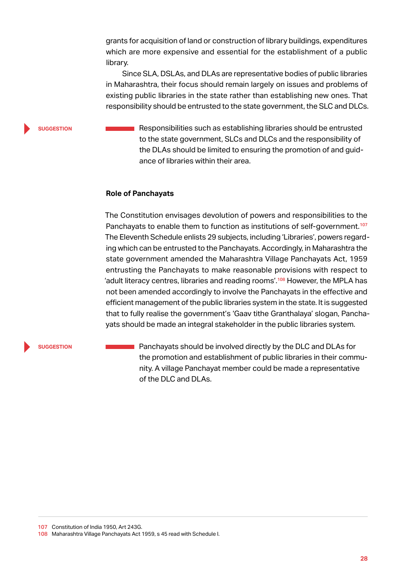<span id="page-33-0"></span>grants for acquisition of land or construction of library buildings, expenditures which are more expensive and essential for the establishment of a public library.

Since SLA, DSLAs, and DLAs are representative bodies of public libraries in Maharashtra, their focus should remain largely on issues and problems of existing public libraries in the state rather than establishing new ones. That responsibility should be entrusted to the state government, the SLC and DLCs.

**suggestion**

Responsibilities such as establishing libraries should be entrusted to the state government, SLCs and DLCs and the responsibility of the DLAs should be limited to ensuring the promotion of and guidance of libraries within their area.

#### **Role of Panchayats**

The Constitution envisages devolution of powers and responsibilities to the Panchayats to enable them to function as institutions of self-government.<sup>107</sup> The Eleventh Schedule enlists 29 subjects, including 'Libraries', powers regarding which can be entrusted to the Panchayats. Accordingly, in Maharashtra the state government amended the Maharashtra Village Panchayats Act, 1959 entrusting the Panchayats to make reasonable provisions with respect to 'adult literacy centres, libraries and reading rooms'.<sup>108</sup> However, the MPLA has not been amended accordingly to involve the Panchayats in the effective and efficient management of the public libraries system in the state. It is suggested that to fully realise the government's 'Gaav tithe Granthalaya' slogan, Panchayats should be made an integral stakeholder in the public libraries system.

**suggestion**

Panchayats should be involved directly by the DLC and DLAs for  $\sim$ the promotion and establishment of public libraries in their community. A village Panchayat member could be made a representative of the DLC and DLAs.

107 Constitution of India 1950, Art 243G. 108 Maharashtra Village Panchayats Act 1959, s 45 read with Schedule I.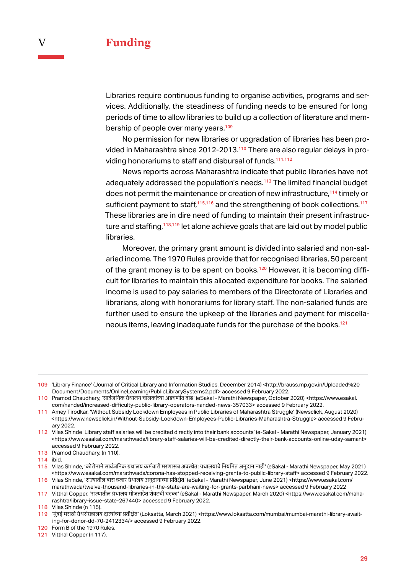<span id="page-34-0"></span>Libraries require continuous funding to organise activities, programs and services. Additionally, the steadiness of funding needs to be ensured for long periods of time to allow libraries to build up a collection of literature and membership of people over many years.<sup>109</sup>

No permission for new libraries or upgradation of libraries has been provided in Maharashtra since 2012-2013.110 There are also regular delays in providing honorariums to staff and disbursal of funds.<sup>111,112</sup>

News reports across Maharashtra indicate that public libraries have not adequately addressed the population's needs.<sup>113</sup> The limited financial budget does not permit the maintenance or creation of new infrastructure,<sup>114</sup> timely or sufficient payment to staff, $115,116$  and the strengthening of book collections.<sup>117</sup> These libraries are in dire need of funding to maintain their present infrastructure and staffing,<sup>118,119</sup> let alone achieve goals that are laid out by model public libraries.

Moreover, the primary grant amount is divided into salaried and non-salaried income. The 1970 Rules provide that for recognised libraries, 50 percent of the grant money is to be spent on books.<sup>120</sup> However, it is becoming difficult for libraries to maintain this allocated expenditure for books. The salaried income is used to pay salaries to members of the Directorate of Libraries and librarians, along with honorariums for library staff. The non-salaried funds are further used to ensure the upkeep of the libraries and payment for miscellaneous items, leaving inadequate funds for the purchase of the books.<sup>121</sup>

109 'Library Finance' (Journal of Critical Library and Information Studies, December 2014) <http://brauss.mp.gov.in/Uploaded%20 Document/Documents/OnlineLearning/PublicLibrarySystems2.pdf> accessed 9 February 2022.

110 Pramod Chaudhary, 'सार्वजनिक ग्रंथालय चालकांच्या अडचणीत वाढ' (eSakal - Marathi Newspaper, October 2020) <https://www.esakal. com/nanded/increased-difficulty-public-library-operators-nanded-news-357033> accessed 9 February 2022.

111 Amey Tirodkar, 'Without Subsidy Lockdown Employees in Public Libraries of Maharashtra Struggle' (Newsclick, August 2020) <https://www.newsclick.in/Without-Subsidy-Lockdown-Employees-Public-Libraries-Maharashtra-Struggle> accessed 9 February 2022.

112 Vilas Shinde 'Library staff salaries will be credited directly into their bank accounts' (e-Sakal - Marathi Newspaper, January 2021) <https://www.esakal.com/marathwada/library-staff-salaries-will-be-credited-directly-their-bank-accounts-online-uday-samant> accessed 9 February 2022.

113 Pramod Chaudhary, (n 110).

114 ibid.

115 Vilas Shinde, 'कोरोनानेसार्वजनिक ग्रंथालय कर्मचारी मरणासन्न अवस्थेत; ग्रंथालयां चेनियमित अनु दान नाही' (eSakal - Marathi Newspaper, May 2021) <https://www.esakal.com/marathwada/corona-has-stopped-receiving-grants-to-public-library-staff> accessed 9 February 2022.

116 Vilas Shinde, 'राज्यातील बारा हजार ग्रंथालय अनू दानाच्या प्रतिक्षेत' (eSakal - Marathi Newspaper, June 2021) <https://www.esakal.com/ marathwada/twelve-thousand-libraries-in-the-state-are-waiting-for-grants-parbhani-news> accessed 9 February 2022

117 Vitthal Copper, 'राज्यातील ग्रंथालय मोजताहेत शेवटची घटका' (eSakal - Marathi Newspaper, March 2020) <https://www.esakal.com/maharashtra/library-issue-state-267440> accessed 9 February 2022.

118 Vilas Shinde (n 115).

119 'मुंबई मराठी ग्रंथसंग्रहालय दात्यांच्या प्रतीक्षेत' (Loksatta, March 2021) <https://www.loksatta.com/mumbai/mumbai-marathi-library-awaiting-for-donor-dd-70-2412334/> accessed 9 February 2022.

120 Form B of the 1970 Rules.

121 Vitthal Copper (n 117).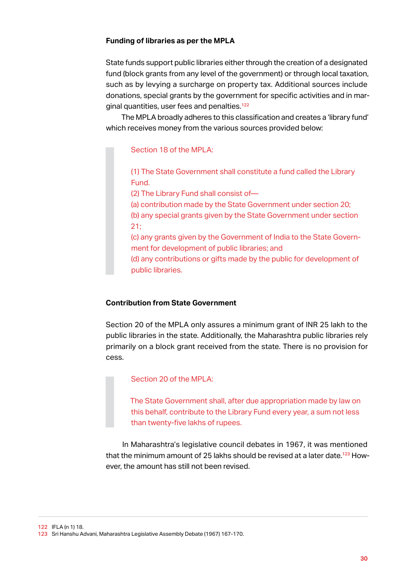#### <span id="page-35-0"></span>**Funding of libraries as per the MPLA**

State funds support public libraries either through the creation of a designated fund (block grants from any level of the government) or through local taxation, such as by levying a surcharge on property tax. Additional sources include donations, special grants by the government for specific activities and in marginal quantities, user fees and penalties.<sup>122</sup>

The MPLA broadly adheres to this classification and creates a 'library fund' which receives money from the various sources provided below:

#### Section 18 of the MPLA:

(1) The State Government shall constitute a fund called the Library Fund.

(2) The Library Fund shall consist of—

(a) contribution made by the State Government under section 20;

(b) any special grants given by the State Government under section 21;

(c) any grants given by the Government of India to the State Government for development of public libraries; and

(d) any contributions or gifts made by the public for development of public libraries.

#### **Contribution from State Government**

Section 20 of the MPLA only assures a minimum grant of INR 25 lakh to the public libraries in the state. Additionally, the Maharashtra public libraries rely primarily on a block grant received from the state. There is no provision for cess.

#### Section 20 of the MPLA:

The State Government shall, after due appropriation made by law on this behalf, contribute to the Library Fund every year, a sum not less than twenty-five lakhs of rupees.

In Maharashtra's legislative council debates in 1967, it was mentioned that the minimum amount of 25 lakhs should be revised at a later date.<sup>123</sup> However, the amount has still not been revised.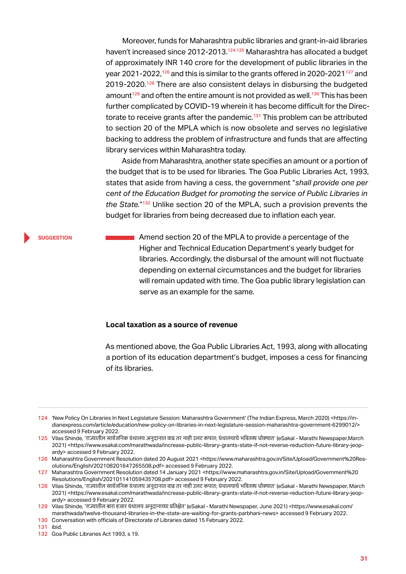Moreover, funds for Maharashtra public libraries and grant-in-aid libraries haven't increased since 2012-2013.<sup>124,125</sup> Maharashtra has allocated a budget of approximately INR 140 crore for the development of public libraries in the year 2021-2022,<sup>126</sup> and this is similar to the grants offered in 2020-2021<sup>127</sup> and 2019-2020.<sup>128</sup> There are also consistent delays in disbursing the budgeted amount<sup>129</sup> and often the entire amount is not provided as well.<sup>130</sup> This has been further complicated by COVID-19 wherein it has become difficult for the Directorate to receive grants after the pandemic.<sup>131</sup> This problem can be attributed to section 20 of the MPLA which is now obsolete and serves no legislative backing to address the problem of infrastructure and funds that are affecting library services within Maharashtra today.

Aside from Maharashtra, another state specifies an amount or a portion of the budget that is to be used for libraries. The Goa Public Libraries Act, 1993, states that aside from having a cess, the government "*shall provide one per cent of the Education Budget for promoting the service of Public Libraries in the State.*"<sup>132</sup> Unlike section 20 of the MPLA, such a provision prevents the budget for libraries from being decreased due to inflation each year.

### **suggestion**

Amend section 20 of the MPLA to provide a percentage of the Higher and Technical Education Department's yearly budget for libraries. Accordingly, the disbursal of the amount will not fluctuate depending on external circumstances and the budget for libraries will remain updated with time. The Goa public library legislation can serve as an example for the same.

## **Local taxation as a source of revenue**

As mentioned above, the Goa Public Libraries Act, 1993, along with allocating a portion of its education department's budget, imposes a cess for financing of its libraries.

<sup>124</sup> 'New Policy On Libraries In Next Legislature Session: Maharashtra Government' (The Indian Express, March 2020) <https://indianexpress.com/article/education/new-policy-on-libraries-in-next-legislature-session-maharashtra-government-6299012/> accessed 9 February 2022.

<sup>125</sup> Vilas Shinde, 'राज्यातील सार्वजनिक ग्रंथालय अनु दानात वाढ तर नाही उलट कपात; ग्रंथालयाचेभवितव्य धोक्यात' (eSakal - Marathi Newspaper,March 2021) <https://www.esakal.com/marathwada/increase-public-library-grants-state-if-not-reverse-reduction-future-library-jeopardy> accessed 9 February 2022.

<sup>126</sup> Maharashtra Government Resolution dated 20 August 2021 <https://www.maharashtra.gov.in/Site/Upload/Government%20Resolutions/English/202108201647265508.pdf> accessed 9 February 2022.

<sup>127</sup> Maharashtra Government Resolution dated 14 January 2021 <https://www.maharashtra.gov.in/Site/Upload/Government%20 Resolutions/English/202101141059435708.pdf> accessed 9 February 2022.

<sup>128</sup> Vilas Shinde, 'राज्यातील सार्वजनिक ग्रंथालय अनुदानात वाढ तर नाही उलट कपात; ग्रंथालयाचे भवितव्य धोक्यात' (eSakal - Marathi Newspaper, March 2021) <https://www.esakal.com/marathwada/increase-public-library-grants-state-if-not-reverse-reduction-future-library-jeopardy> accessed 9 February 2022.

<sup>129</sup> Vilas Shinde, 'राज्यातील बारा हजार ग्रंथालय अनू दानाच्या प्रतिक्षेत' (eSakal - Marathi Newspaper, June 2021) <https://www.esakal.com/ marathwada/twelve-thousand-libraries-in-the-state-are-waiting-for-grants-parbhani-news> accessed 9 February 2022.

<sup>130</sup> Conversation with officials of Directorate of Libraries dated 15 February 2022.

<sup>131</sup> ibid.

<sup>132</sup> Goa Public Libraries Act 1993, s 19.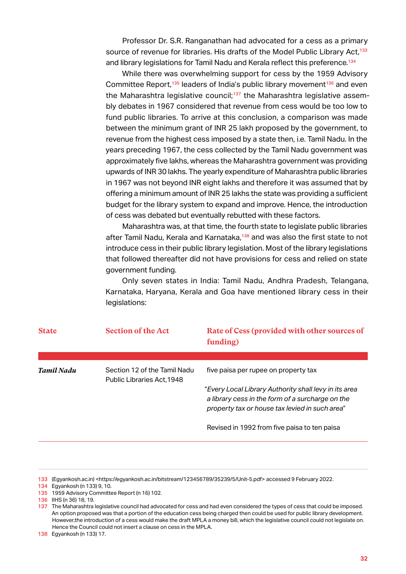Professor Dr. S.R. Ranganathan had advocated for a cess as a primary source of revenue for libraries. His drafts of the Model Public Library Act,<sup>133</sup> and library legislations for Tamil Nadu and Kerala reflect this preference.<sup>134</sup>

While there was overwhelming support for cess by the 1959 Advisory Committee Report,<sup>135</sup> leaders of India's public library movement<sup>136</sup> and even the Maharashtra legislative council;<sup>137</sup> the Maharashtra legislative assembly debates in 1967 considered that revenue from cess would be too low to fund public libraries. To arrive at this conclusion, a comparison was made between the minimum grant of INR 25 lakh proposed by the government, to revenue from the highest cess imposed by a state then, i.e. Tamil Nadu. In the years preceding 1967, the cess collected by the Tamil Nadu government was approximately five lakhs, whereas the Maharashtra government was providing upwards of INR 30 lakhs. The yearly expenditure of Maharashtra public libraries in 1967 was not beyond INR eight lakhs and therefore it was assumed that by offering a minimum amount of INR 25 lakhs the state was providing a sufficient budget for the library system to expand and improve. Hence, the introduction of cess was debated but eventually rebutted with these factors.

Maharashtra was, at that time, the fourth state to legislate public libraries after Tamil Nadu, Kerala and Karnataka,<sup>138</sup> and was also the first state to not introduce cess in their public library legislation. Most of the library legislations that followed thereafter did not have provisions for cess and relied on state government funding.

Only seven states in India: Tamil Nadu, Andhra Pradesh, Telangana, Karnataka, Haryana, Kerala and Goa have mentioned library cess in their legislations:

| <b>State</b> | <b>Section of the Act</b>                                  | Rate of Cess (provided with other sources of<br>funding)                                                                                                    |
|--------------|------------------------------------------------------------|-------------------------------------------------------------------------------------------------------------------------------------------------------------|
|              |                                                            |                                                                                                                                                             |
| Tamil Nadu   | Section 12 of the Tamil Nadu<br>Public Libraries Act, 1948 | five paisa per rupee on property tax                                                                                                                        |
|              |                                                            | "Every Local Library Authority shall levy in its area<br>a library cess in the form of a surcharge on the<br>property tax or house tax levied in such area" |
|              |                                                            | Revised in 1992 from five paisa to ten paisa                                                                                                                |

133 (Egyankosh.ac.in) <https://egyankosh.ac.in/bitstream/123456789/35239/5/Unit-5.pdf> accessed 9 February 2022.

134 Egyankosh (n 133) 9, 10.

<sup>135</sup> 1959 Advisory Committee Report (n 16) 102.

<sup>136</sup> IIHS (n 36) 18, 19.

<sup>137</sup> The Maharashtra legislative council had advocated for cess and had even considered the types of cess that could be imposed. An option proposed was that a portion of the education cess being charged then could be used for public library development. However,the introduction of a cess would make the draft MPLA a money bill, which the legislative council could not legislate on. Hence the Council could not insert a clause on cess in the MPLA.

<sup>138</sup> Egyankosh (n 133) 17.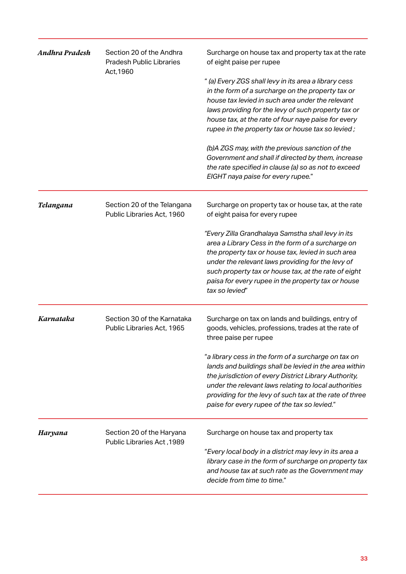| <b>Andhra Pradesh</b> | Section 20 of the Andhra<br><b>Pradesh Public Libraries</b><br>Act, 1960 | Surcharge on house tax and property tax at the rate<br>of eight paise per rupee                                                                                                                                                                                                                                                                    |  |
|-----------------------|--------------------------------------------------------------------------|----------------------------------------------------------------------------------------------------------------------------------------------------------------------------------------------------------------------------------------------------------------------------------------------------------------------------------------------------|--|
|                       |                                                                          | " (a) Every ZGS shall levy in its area a library cess<br>in the form of a surcharge on the property tax or<br>house tax levied in such area under the relevant<br>laws providing for the levy of such property tax or<br>house tax, at the rate of four naye paise for every<br>rupee in the property tax or house tax so levied;                  |  |
|                       |                                                                          | (b)A ZGS may, with the previous sanction of the<br>Government and shall if directed by them, increase<br>the rate specified in clause (a) so as not to exceed<br>EIGHT naya paise for every rupee."                                                                                                                                                |  |
| Telangana             | Section 20 of the Telangana<br>Public Libraries Act, 1960                | Surcharge on property tax or house tax, at the rate<br>of eight paisa for every rupee                                                                                                                                                                                                                                                              |  |
|                       |                                                                          | "Every Zilla Grandhalaya Samstha shall levy in its<br>area a Library Cess in the form of a surcharge on<br>the property tax or house tax, levied in such area<br>under the relevant laws providing for the levy of<br>such property tax or house tax, at the rate of eight<br>paisa for every rupee in the property tax or house<br>tax so levied" |  |
| Karnataka             | Section 30 of the Karnataka<br>Public Libraries Act, 1965                | Surcharge on tax on lands and buildings, entry of<br>goods, vehicles, professions, trades at the rate of<br>three paise per rupee                                                                                                                                                                                                                  |  |
|                       |                                                                          | "a library cess in the form of a surcharge on tax on<br>lands and buildings shall be levied in the area within<br>the jurisdiction of every District Library Authority,<br>under the relevant laws relating to local authorities<br>providing for the levy of such tax at the rate of three<br>paise for every rupee of the tax so levied."        |  |
| Haryana               | Section 20 of the Haryana<br>Public Libraries Act, 1989                  | Surcharge on house tax and property tax                                                                                                                                                                                                                                                                                                            |  |
|                       |                                                                          | "Every local body in a district may levy in its area a<br>library case in the form of surcharge on property tax<br>and house tax at such rate as the Government may<br>decide from time to time."                                                                                                                                                  |  |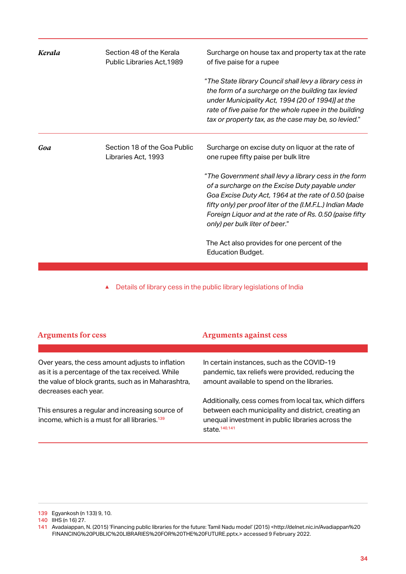| Kerala | Section 48 of the Kerala<br>Public Libraries Act, 1989 | Surcharge on house tax and property tax at the rate<br>of five paise for a rupee                                                                                                                                                                                                                                           |
|--------|--------------------------------------------------------|----------------------------------------------------------------------------------------------------------------------------------------------------------------------------------------------------------------------------------------------------------------------------------------------------------------------------|
|        |                                                        | "The State library Council shall levy a library cess in<br>the form of a surcharge on the building tax levied<br>under Municipality Act, 1994 (20 of 1994)] at the<br>rate of five paise for the whole rupee in the building<br>tax or property tax, as the case may be, so levied."                                       |
| Goa    | Section 18 of the Goa Public<br>Libraries Act, 1993    | Surcharge on excise duty on liquor at the rate of<br>one rupee fifty paise per bulk litre                                                                                                                                                                                                                                  |
|        |                                                        | "The Government shall levy a library cess in the form<br>of a surcharge on the Excise Duty payable under<br>Goa Excise Duty Act, 1964 at the rate of 0.50 (paise<br>fifty only) per proof liter of the (I.M.F.L.) Indian Made<br>Foreign Liquor and at the rate of Rs. 0.50 (paise fifty<br>only) per bulk liter of beer." |
|        |                                                        | The Act also provides for one percent of the<br><b>Education Budget.</b>                                                                                                                                                                                                                                                   |

▲ Details of library cess in the public library legislations of India

| <b>Arguments for cess</b>                                                                                                                                                          | <b>Arguments against cess</b>                                                                                                                                                                   |
|------------------------------------------------------------------------------------------------------------------------------------------------------------------------------------|-------------------------------------------------------------------------------------------------------------------------------------------------------------------------------------------------|
|                                                                                                                                                                                    |                                                                                                                                                                                                 |
| Over years, the cess amount adjusts to inflation<br>as it is a percentage of the tax received. While<br>the value of block grants, such as in Maharashtra,<br>decreases each year. | In certain instances, such as the COVID-19<br>pandemic, tax reliefs were provided, reducing the<br>amount available to spend on the libraries.                                                  |
| This ensures a regular and increasing source of<br>income, which is a must for all libraries. <sup>139</sup>                                                                       | Additionally, cess comes from local tax, which differs<br>between each municipality and district, creating an<br>unequal investment in public libraries across the<br>state. <sup>140,141</sup> |

139 Egyankosh (n 133) 9, 10.

140 IIHS (n 16) 27.

<sup>141</sup> Avadaiappan, N. (2015) 'Financing public libraries for the future: Tamil Nadu model' (2015) <http://delnet.nic.in/Avadiappan%20 FINANCING%20PUBLIC%20LIBRARIES%20FOR%20THE%20FUTURE.pptx.> accessed 9 February 2022.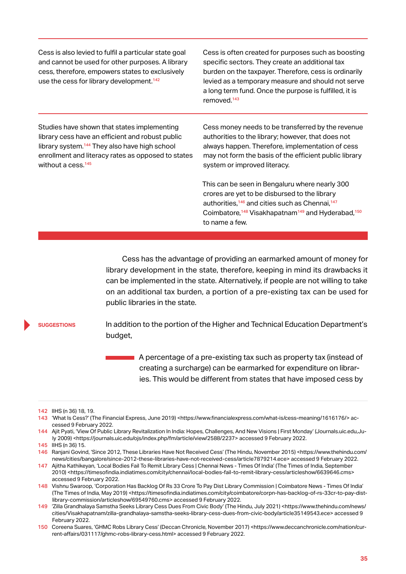Cess is also levied to fulfil a particular state goal and cannot be used for other purposes. A library cess, therefore, empowers states to exclusively use the cess for library development.<sup>142</sup>

Cess is often created for purposes such as boosting specific sectors. They create an additional tax burden on the taxpayer. Therefore, cess is ordinarily levied as a temporary measure and should not serve a long term fund. Once the purpose is fulfilled, it is removed.<sup>143</sup>

Studies have shown that states implementing library cess have an efficient and robust public library system.<sup>144</sup> They also have high school enrollment and literacy rates as opposed to states without a cess.<sup>145</sup>

Cess money needs to be transferred by the revenue authorities to the library; however, that does not always happen. Therefore, implementation of cess may not form the basis of the efficient public library system or improved literacy.

This can be seen in Bengaluru where nearly 300 crores are yet to be disbursed to the library authorities,<sup>146</sup> and cities such as Chennai,<sup>147</sup> Coimbatore,<sup>148</sup> Visakhapatnam<sup>149</sup> and Hyderabad,<sup>150</sup> to name a few.

Cess has the advantage of providing an earmarked amount of money for library development in the state, therefore, keeping in mind its drawbacks it can be implemented in the state. Alternatively, if people are not willing to take on an additional tax burden, a portion of a pre-existing tax can be used for public libraries in the state.

#### **suggestions**

In addition to the portion of the Higher and Technical Education Department's budget,

A percentage of a pre-existing tax such as property tax (instead of creating a surcharge) can be earmarked for expenditure on libraries. This would be different from states that have imposed cess by

<sup>142</sup> IIHS (n 36) 18, 19.

<sup>143 &#</sup>x27;What Is Cess?' (The Financial Express, June 2019) <https://www.financialexpress.com/what-is/cess-meaning/1616176/>accessed 9 February 2022.

<sup>144</sup> Ajit Pyati, 'View Of Public Library Revitalization In India: Hopes, Challenges, And New Visions | First Monday' (Journals.uic.edu,July 2009) <https://journals.uic.edu/ojs/index.php/fm/article/view/2588/2237> accessed 9 February 2022. 145 IIHS (n 36) 15.

<sup>146</sup> Ranjani Govind, 'Since 2012, These Libraries Have Not Received Cess' (The Hindu, November 2015) <https://www.thehindu.com/ news/cities/bangalore/since-2012-these-libraries-have-not-received-cess/article7879214.ece> accessed 9 February 2022.

<sup>147</sup> Ajitha Kathikeyan, 'Local Bodies Fail To Remit Library Cess | Chennai News - Times Of India' (The Times of India, September 2010) <https://timesofindia.indiatimes.com/city/chennai/local-bodies-fail-to-remit-library-cess/articleshow/6639646.cms> accessed 9 February 2022.

<sup>148</sup> Vishnu Swaroop, 'Corporation Has Backlog Of Rs 33 Crore To Pay Dist Library Commission | Coimbatore News - Times Of India' (The Times of India, May 2019) <https://timesofindia.indiatimes.com/city/coimbatore/corpn-has-backlog-of-rs-33cr-to-pay-distlibrary-commission/articleshow/69549760.cms> accessed 9 February 2022.

<sup>149</sup> 'Zilla Grandhalaya Samstha Seeks Library Cess Dues From Civic Body' (The Hindu, July 2021) <https://www.thehindu.com/news/ cities/Visakhapatnam/zilla-grandhalaya-samstha-seeks-library-cess-dues-from-civic-body/article35149543.ece> accessed 9 February 2022.

<sup>150</sup> Coreena Suares, 'GHMC Robs Library Cess' (Deccan Chronicle, November 2017) <https://www.deccanchronicle.com/nation/current-affairs/031117/ghmc-robs-library-cess.html> accessed 9 February 2022.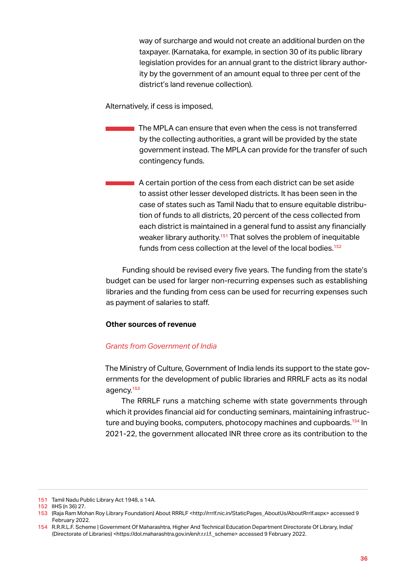way of surcharge and would not create an additional burden on the taxpayer. (Karnataka, for example, in section 30 of its public library legislation provides for an annual grant to the district library authority by the government of an amount equal to three per cent of the district's land revenue collection).

Alternatively, if cess is imposed,

The MPLA can ensure that even when the cess is not transferred by the collecting authorities, a grant will be provided by the state government instead. The MPLA can provide for the transfer of such contingency funds.

A certain portion of the cess from each district can be set aside to assist other lesser developed districts. It has been seen in the case of states such as Tamil Nadu that to ensure equitable distribution of funds to all districts, 20 percent of the cess collected from each district is maintained in a general fund to assist any financially weaker library authority.<sup>151</sup> That solves the problem of inequitable funds from cess collection at the level of the local bodies.<sup>152</sup>

Funding should be revised every five years. The funding from the state's budget can be used for larger non-recurring expenses such as establishing libraries and the funding from cess can be used for recurring expenses such as payment of salaries to staff.

# **Other sources of revenue**

# *Grants from Government of India*

The Ministry of Culture, Government of India lends its support to the state governments for the development of public libraries and RRRLF acts as its nodal agency.<sup>153</sup>

The RRRLF runs a matching scheme with state governments through which it provides financial aid for conducting seminars, maintaining infrastructure and buying books, computers, photocopy machines and cupboards.<sup>154</sup> In 2021-22, the government allocated INR three crore as its contribution to the

<sup>151</sup> Tamil Nadu Public Library Act 1948, s 14A.

<sup>152</sup> IIHS (n 36) 27.

<sup>153</sup> (Raja Ram Mohan Roy Library Foundation) About RRRLF <http://rrrlf.nic.in/StaticPages\_AboutUs/AboutRrrlf.aspx> accessed 9 February 2022.

<sup>154</sup> R.R.R.L.F. Scheme | Government Of Maharashtra, Higher And Technical Education Department Directorate Of Library, India|' (Directorate of Libraries) <https://dol.maharashtra.gov.in/en/r.r.r.l.f.\_scheme> accessed 9 February 2022.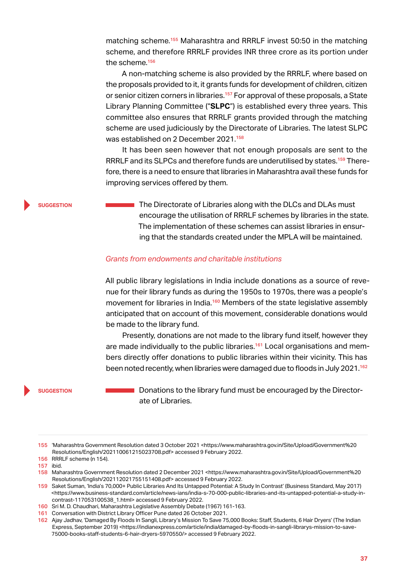matching scheme.<sup>155</sup> Maharashtra and RRRLF invest 50:50 in the matching scheme, and therefore RRRLF provides INR three crore as its portion under the scheme.<sup>156</sup>

A non-matching scheme is also provided by the RRRLF, where based on the proposals provided to it, it grants funds for development of children, citizen or senior citizen corners in libraries.<sup>157</sup> For approval of these proposals, a State Library Planning Committee ("**SLPC**") is established every three years. This committee also ensures that RRRLF grants provided through the matching scheme are used judiciously by the Directorate of Libraries. The latest SLPC was established on 2 December 2021.<sup>158</sup>

It has been seen however that not enough proposals are sent to the RRRLF and its SLPCs and therefore funds are underutilised by states.159 Therefore, there is a need to ensure that libraries in Maharashtra avail these funds for improving services offered by them.

#### **suggestion**

The Directorate of Libraries along with the DLCs and DLAs must encourage the utilisation of RRRLF schemes by libraries in the state. The implementation of these schemes can assist libraries in ensuring that the standards created under the MPLA will be maintained.

# *Grants from endowments and charitable institutions*

All public library legislations in India include donations as a source of revenue for their library funds as during the 1950s to 1970s, there was a people's movement for libraries in India.<sup>160</sup> Members of the state legislative assembly anticipated that on account of this movement, considerable donations would be made to the library fund.

Presently, donations are not made to the library fund itself, however they are made individually to the public libraries.<sup>161</sup> Local organisations and members directly offer donations to public libraries within their vicinity. This has been noted recently, when libraries were damaged due to floods in July 2021.<sup>162</sup>

#### **suggestion**

Donations to the library fund must be encouraged by the Directorate of Libraries.

155 'Maharashtra Government Resolution dated 3 October 2021 <https://www.maharashtra.gov.in/Site/Upload/Government%20 Resolutions/English/202110061215023708.pdf> accessed 9 February 2022.

- 156 RRRLF scheme (n 154).
- 157 ibid.

158 Maharashtra Government Resolution dated 2 December 2021 <https://www.maharashtra.gov.in/Site/Upload/Government%20 Resolutions/English/202112021755151408.pdf> accessed 9 February 2022.

159 Saket Suman, 'India's 70,000+ Public Libraries And Its Untapped Potential: A Study In Contrast' (Business Standard, May 2017) <https://www.business-standard.com/article/news-ians/india-s-70-000-public-libraries-and-its-untapped-potential-a-study-incontrast-117053100538\_1.html> accessed 9 February 2022.

160 Sri M. D. Chaudhari, Maharashtra Legislative Assembly Debate (1967) 161-163.

161 Conversation with District Library Officer Pune dated 26 October 2021.

162 Ajay Jadhav, 'Damaged By Floods In Sangli, Library's Mission To Save 75,000 Books: Staff, Students, 6 Hair Dryers' (The Indian Express, September 2019) <https://indianexpress.com/article/india/damaged-by-floods-in-sangli-librarys-mission-to-save-75000-books-staff-students-6-hair-dryers-5970550/> accessed 9 February 2022.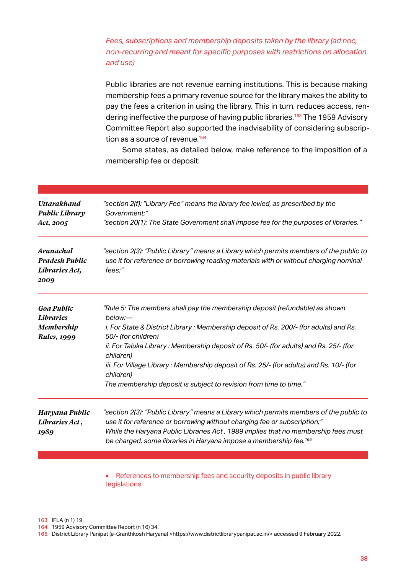# *Fees, subscriptions and membership deposits taken by the library (ad hoc, non-recurring and meant for specific purposes with restrictions on allocation and use)*

Public libraries are not revenue earning institutions. This is because making membership fees a primary revenue source for the library makes the ability to pay the fees a criterion in using the library. This in turn, reduces access, rendering ineffective the purpose of having public libraries.<sup>163</sup> The 1959 Advisory Committee Report also supported the inadvisability of considering subscription as a source of revenue.<sup>164</sup>

Some states, as detailed below, make reference to the imposition of a membership fee or deposit:

| <b>Uttarakhand</b><br><b>Public Library</b><br>Act, 2005     | "section 2(f): "Library Fee" means the library fee levied, as prescribed by the<br>Government;"<br>"section 20(1): The State Government shall impose fee for the purposes of libraries."                                                                                                                                                 |
|--------------------------------------------------------------|------------------------------------------------------------------------------------------------------------------------------------------------------------------------------------------------------------------------------------------------------------------------------------------------------------------------------------------|
| Arunachal<br><b>Pradesh Public</b><br>Libraries Act,<br>2009 | "section 2(3): "Public Library" means a Library which permits members of the public to<br>use it for reference or borrowing reading materials with or without charging nominal<br>fees;"                                                                                                                                                 |
| <b>Goa Public</b><br><b>Libraries</b>                        | "Rule 5: The members shall pay the membership deposit (refundable) as shown<br>below:-                                                                                                                                                                                                                                                   |
| Membership<br><b>Rules</b> , 1999                            | i. For State & District Library: Membership deposit of Rs. 200/- (for adults) and Rs.<br>50/- (for children)                                                                                                                                                                                                                             |
|                                                              | ii. For Taluka Library: Membership deposit of Rs. 50/- (for adults) and Rs. 25/- (for<br>children)                                                                                                                                                                                                                                       |
|                                                              | iii. For Village Library: Membership deposit of Rs. 25/- (for adults) and Rs. 10/- (for<br>children)                                                                                                                                                                                                                                     |
|                                                              | The membership deposit is subject to revision from time to time."                                                                                                                                                                                                                                                                        |
| Haryana Public<br>Libraries Act,<br>1989                     | "section 2(3): "Public Library" means a Library which permits members of the public to<br>use it for reference or borrowing without charging fee or subscription;"<br>While the Haryana Public Libraries Act, 1989 implies that no membership fees must<br>be charged, some libraries in Haryana impose a membership fee. <sup>165</sup> |
|                                                              |                                                                                                                                                                                                                                                                                                                                          |
|                                                              | References to membership fees and security deposits in public library<br>▲                                                                                                                                                                                                                                                               |

legislations

163 IFLA (n 1) 19.

164 1959 Advisory Committee Report (n 16) 34.

165 District Library Panipat (e-Granthkosh Haryana) <https://www.districtlibrarypanipat.ac.in/> accessed 9 February 2022.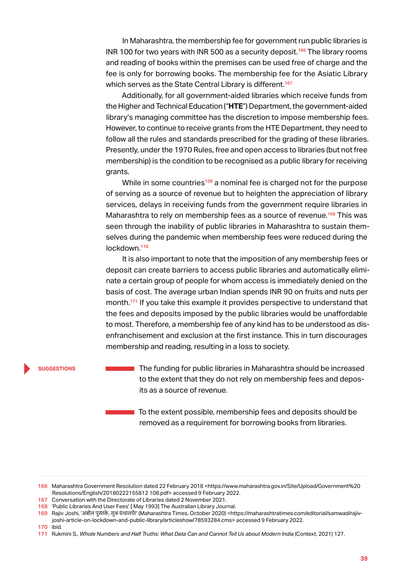In Maharashtra, the membership fee for government run public libraries is INR 100 for two years with INR 500 as a security deposit.<sup>166</sup> The library rooms and reading of books within the premises can be used free of charge and the fee is only for borrowing books. The membership fee for the Asiatic Library which serves as the State Central Library is different.<sup>167</sup>

Additionally, for all government-aided libraries which receive funds from the Higher and Technical Education ("**HTE**") Department, the government-aided library's managing committee has the discretion to impose membership fees. However, to continue to receive grants from the HTE Department, they need to follow all the rules and standards prescribed for the grading of these libraries. Presently, under the 1970 Rules, free and open access to libraries (but not free membership) is the condition to be recognised as a public library for receiving grants.

While in some countries<sup>168</sup> a nominal fee is charged not for the purpose of serving as a source of revenue but to heighten the appreciation of library services, delays in receiving funds from the government require libraries in Maharashtra to rely on membership fees as a source of revenue.<sup>169</sup> This was seen through the inability of public libraries in Maharashtra to sustain themselves during the pandemic when membership fees were reduced during the lockdown.<sup>170</sup>

It is also important to note that the imposition of any membership fees or deposit can create barriers to access public libraries and automatically eliminate a certain group of people for whom access is immediately denied on the basis of cost. The average urban Indian spends INR 90 on fruits and nuts per month.<sup>171</sup> If you take this example it provides perspective to understand that the fees and deposits imposed by the public libraries would be unaffordable to most. Therefore, a membership fee of any kind has to be understood as disenfranchisement and exclusion at the first instance. This in turn discourages membership and reading, resulting in a loss to society.

#### **suggestions**

The funding for public libraries in Maharashtra should be increased to the extent that they do not rely on membership fees and deposits as a source of revenue.

To the extent possible, membership fees and deposits should be removed as a requirement for borrowing books from libraries.

<sup>166</sup> Maharashtra Government Resolution dated 22 February 2018 <https://www.maharashtra.gov.in/Site/Upload/Government%20 Resolutions/English/20180222155812 108.pdf> accessed 9 February 2022.

<sup>167</sup> Conversation with the Directorate of Libraries dated 2 November 2021.

<sup>168</sup> 'Public Libraries And User Fees' [ May 1993] The Australian Library Journal.

<sup>169</sup> Rajiv Joshi, 'अबोल पुस्तके, सुन्न ग्रंथालये!' (Maharashtra Times, October 2020) <https://maharashtratimes.com/editorial/samwad/raiivjoshi-article-on-lockdown-and-public-library/articleshow/78593284.cms> accessed 9 February 2022.

<sup>170</sup> ibid.

<sup>171</sup> Rukmini S., *Whole Numbers and Half Truths: What Data Can and Cannot Tell Us about Modern India* (Context, 2021) 127.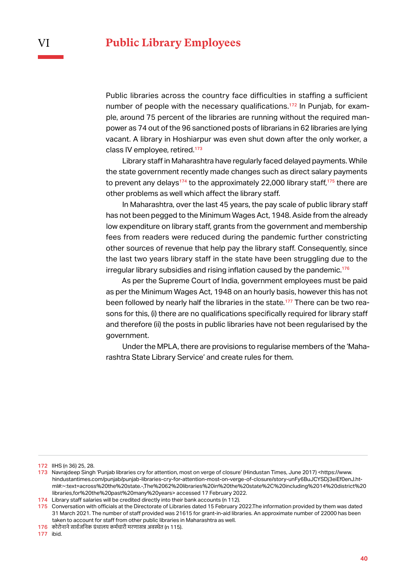Public libraries across the country face difficulties in staffing a sufficient number of people with the necessary qualifications.<sup>172</sup> In Punjab, for example, around 75 percent of the libraries are running without the required manpower as 74 out of the 96 sanctioned posts of librarians in 62 libraries are lying vacant. A library in Hoshiarpur was even shut down after the only worker, a class IV employee, retired.<sup>173</sup>

Library staff in Maharashtra have regularly faced delayed payments. While the state government recently made changes such as direct salary payments to prevent any delays<sup>174</sup> to the approximately 22,000 library staff,<sup>175</sup> there are other problems as well which affect the library staff.

In Maharashtra, over the last 45 years, the pay scale of public library staff has not been pegged to the Minimum Wages Act, 1948. Aside from the already low expenditure on library staff, grants from the government and membership fees from readers were reduced during the pandemic further constricting other sources of revenue that help pay the library staff. Consequently, since the last two years library staff in the state have been struggling due to the irregular library subsidies and rising inflation caused by the pandemic.<sup>176</sup>

As per the Supreme Court of India, government employees must be paid as per the Minimum Wages Act, 1948 on an hourly basis, however this has not been followed by nearly half the libraries in the state.<sup>177</sup> There can be two reasons for this, (i) there are no qualifications specifically required for library staff and therefore (ii) the posts in public libraries have not been regularised by the government.

Under the MPLA, there are provisions to regularise members of the 'Maharashtra State Library Service' and create rules for them.

<sup>172</sup> IIHS (n 36) 25, 28.

<sup>173</sup> Navrajdeep Singh 'Punjab libraries cry for attention, most on verge of closure' (Hindustan Times, June 2017) <https://www. hindustantimes.com/punjab/punjab-libraries-cry-for-attention-most-on-verge-of-closure/story-unFy6BuJCYSDj3eiEf0enJ.html#:~:text=across%20the%20state.-,The%2062%20libraries%20in%20the%20state%2C%20including%2014%20district%20 libraries,for%20the%20past%20many%20years> accessed 17 February 2022.

<sup>174</sup> Library staff salaries will be credited directly into their bank accounts (n 112).

<sup>175</sup> Conversation with officials at the Directorate of Libraries dated 15 February 2022.The information provided by them was dated 31 March 2021. The number of staff provided was 21615 for grant-in-aid libraries. An approximate number of 22000 has been taken to account for staff from other public libraries in Maharashtra as well.

<sup>176</sup> कोरोनाने सार्वजनिक ग्रंथालय कर्मचारी मरणासन्न अवस्थेत (n 115).

<sup>177</sup> ibid.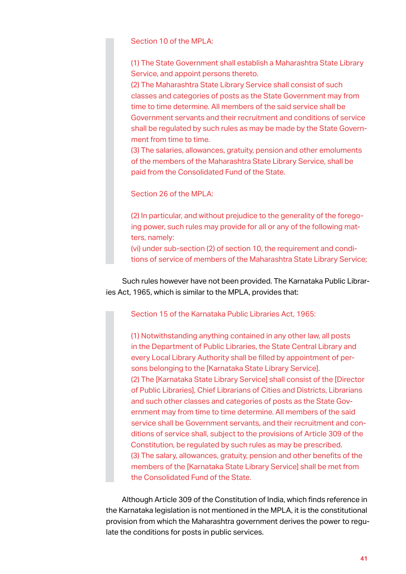Section 10 of the MPLA:

(1) The State Government shall establish a Maharashtra State Library Service, and appoint persons thereto.

(2) The Maharashtra State Library Service shall consist of such classes and categories of posts as the State Government may from time to time determine. All members of the said service shall be Government servants and their recruitment and conditions of service shall be regulated by such rules as may be made by the State Government from time to time.

(3) The salaries, allowances, gratuity, pension and other emoluments of the members of the Maharashtra State Library Service, shall be paid from the Consolidated Fund of the State.

Section 26 of the MPLA:

(2) In particular, and without prejudice to the generality of the foregoing power, such rules may provide for all or any of the following matters, namely:

(vi) under sub-section (2) of section 10, the requirement and conditions of service of members of the Maharashtra State Library Service;

Such rules however have not been provided. The Karnataka Public Libraries Act, 1965, which is similar to the MPLA, provides that:

Section 15 of the Karnataka Public Libraries Act, 1965:

(1) Notwithstanding anything contained in any other law, all posts in the Department of Public Libraries, the State Central Library and every Local Library Authority shall be filled by appointment of persons belonging to the [Karnataka State Library Service]. (2) The [Karnataka State Library Service] shall consist of the [Director of Public Libraries], Chief Librarians of Cities and Districts, Librarians and such other classes and categories of posts as the State Government may from time to time determine. All members of the said service shall be Government servants, and their recruitment and conditions of service shall, subject to the provisions of Article 309 of the Constitution, be regulated by such rules as may be prescribed. (3) The salary, allowances, gratuity, pension and other benefits of the members of the [Karnataka State Library Service] shall be met from the Consolidated Fund of the State.

Although Article 309 of the Constitution of India, which finds reference in the Karnataka legislation is not mentioned in the MPLA, it is the constitutional provision from which the Maharashtra government derives the power to regulate the conditions for posts in public services.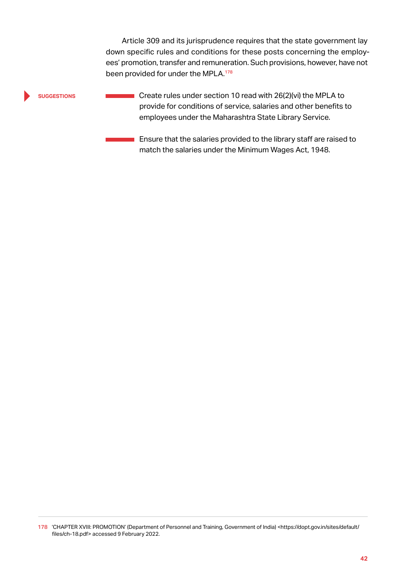Article 309 and its jurisprudence requires that the state government lay down specific rules and conditions for these posts concerning the employees' promotion, transfer and remuneration. Such provisions, however, have not been provided for under the MPLA.<sup>178</sup>

# **suggestions**

**Create rules under section 10 read with 26(2)(vi) the MPLA to** provide for conditions of service, salaries and other benefits to employees under the Maharashtra State Library Service.

Ensure that the salaries provided to the library staff are raised to match the salaries under the Minimum Wages Act, 1948.

<sup>178</sup> 'CHAPTER XVIII: PROMOTION' (Department of Personnel and Training, Government of India) <https://dopt.gov.in/sites/default/ files/ch-18.pdf> accessed 9 February 2022.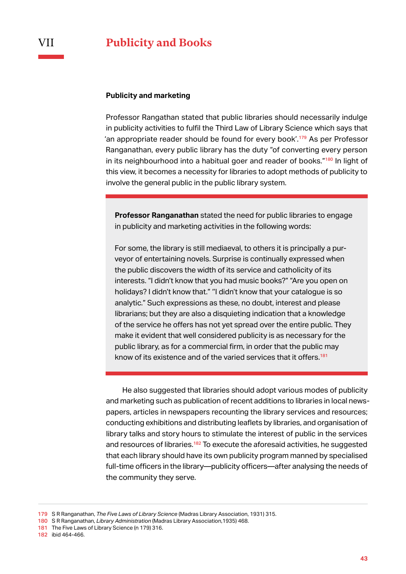# VII **Publicity and Books**

## **Publicity and marketing**

Professor Rangathan stated that public libraries should necessarily indulge in publicity activities to fulfil the Third Law of Library Science which says that 'an appropriate reader should be found for every book'.<sup>179</sup> As per Professor Ranganathan, every public library has the duty "of converting every person in its neighbourhood into a habitual goer and reader of books."<sup>180</sup> In light of this view, it becomes a necessity for libraries to adopt methods of publicity to involve the general public in the public library system.

**Professor Ranganathan** stated the need for public libraries to engage in publicity and marketing activities in the following words:

For some, the library is still mediaeval, to others it is principally a purveyor of entertaining novels. Surprise is continually expressed when the public discovers the width of its service and catholicity of its interests. "I didn't know that you had music books?" "Are you open on holidays? I didn't know that." ''I didn't know that your catalogue is so analytic." Such expressions as these, no doubt, interest and please librarians; but they are also a disquieting indication that a knowledge of the service he offers has not yet spread over the entire public. They make it evident that well considered publicity is as necessary for the public library, as for a commercial firm, in order that the public may know of its existence and of the varied services that it offers.<sup>181</sup>

He also suggested that libraries should adopt various modes of publicity and marketing such as publication of recent additions to libraries in local newspapers, articles in newspapers recounting the library services and resources; conducting exhibitions and distributing leaflets by libraries, and organisation of library talks and story hours to stimulate the interest of public in the services and resources of libraries.<sup>182</sup> To execute the aforesaid activities, he suggested that each library should have its own publicity program manned by specialised full-time officers in the library—publicity officers—after analysing the needs of the community they serve.

181 The Five Laws of Library Science (n 179) 316.

<sup>179</sup> S R Ranganathan, *The Five Laws of Library Science* (Madras Library Association, 1931) 315.

<sup>180</sup> S R Ranganathan, *Library Administration* (Madras Library Association,1935) 468.

<sup>182</sup> ibid 464-466.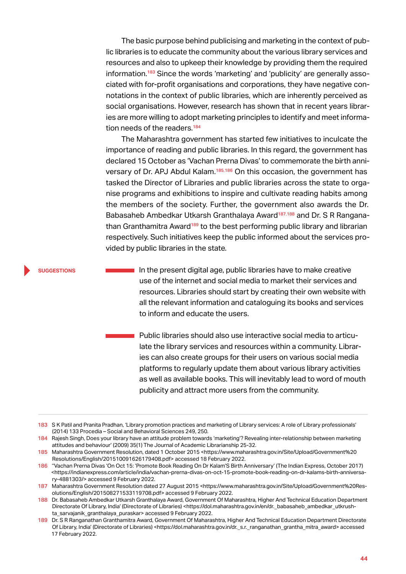The basic purpose behind publicising and marketing in the context of public libraries is to educate the community about the various library services and resources and also to upkeep their knowledge by providing them the required information.<sup>183</sup> Since the words 'marketing' and 'publicity' are generally associated with for-profit organisations and corporations, they have negative connotations in the context of public libraries, which are inherently perceived as social organisations. However, research has shown that in recent years libraries are more willing to adopt marketing principles to identify and meet information needs of the readers.<sup>184</sup>

The Maharashtra government has started few initiatives to inculcate the importance of reading and public libraries. In this regard, the government has declared 15 October as 'Vachan Prerna Divas' to commemorate the birth anniversary of Dr. APJ Abdul Kalam.<sup>185,186</sup> On this occasion, the government has tasked the Director of Libraries and public libraries across the state to organise programs and exhibitions to inspire and cultivate reading habits among the members of the society. Further, the government also awards the Dr. Babasaheb Ambedkar Utkarsh Granthalaya Award<sup>187,188</sup> and Dr. S R Ranganathan Granthamitra Award<sup>189</sup> to the best performing public library and librarian respectively. Such initiatives keep the public informed about the services provided by public libraries in the state.

**suggestions**

 $\blacksquare$  In the present digital age, public libraries have to make creative use of the internet and social media to market their services and resources. Libraries should start by creating their own website with all the relevant information and cataloguing its books and services to inform and educate the users.

Public libraries should also use interactive social media to articulate the library services and resources within a community. Libraries can also create groups for their users on various social media platforms to regularly update them about various library activities as well as available books. This will inevitably lead to word of mouth publicity and attract more users from the community.

<sup>183</sup> S K Patil and Pranita Pradhan, 'Library promotion practices and marketing of Library services: A role of Library professionals' (2014) 133 Procedia – Social and Behavioral Sciences 249, 250.

<sup>184</sup> Rajesh Singh, Does your library have an attitude problem towards 'marketing'? Revealing inter-relationship between marketing attitudes and behaviour' (2009) 35(1) The Journal of Academic Librarianship 25-32.

<sup>185</sup> Maharashtra Government Resolution, dated 1 October 2015 <https://www.maharashtra.gov.in/Site/Upload/Government%20 Resolutions/English/201510091626179408.pdf> accessed 18 February 2022.

<sup>186</sup> ''Vachan Prerna Divas 'On Oct 15: 'Promote Book Reading On Dr Kalam'S Birth Anniversary' (The Indian Express, October 2017) <https://indianexpress.com/article/india/vachan-prerna-divas-on-oct-15-promote-book-reading-on-dr-kalams-birth-anniversary-4881303/> accessed 9 February 2022.

<sup>187</sup> Maharashtra Government Resolution dated 27 August 2015 <https://www.maharashtra.gov.in/Site/Upload/Government%20Resolutions/English/201508271533119708.pdf> accessed 9 February 2022.

<sup>188</sup> Dr. Babasaheb Ambedkar Utkarsh Granthalaya Award, Government Of Maharashtra, Higher And Technical Education Department Directorate Of Library, India' (Directorate of Libraries) <https://dol.maharashtra.gov.in/en/dr.\_babasaheb\_ambedkar\_utkrushta\_sarvajanik\_granthalaya\_puraskar> accessed 9 February 2022.

<sup>189</sup> Dr. S R Ranganathan Granthamitra Award, Government Of Maharashtra, Higher And Technical Education Department Directorate Of Library, India' (Directorate of Libraries) <https://dol.maharashtra.gov.in/dr.\_s.r.\_ranganathan\_grantha\_mitra\_award> accessed 17 February 2022.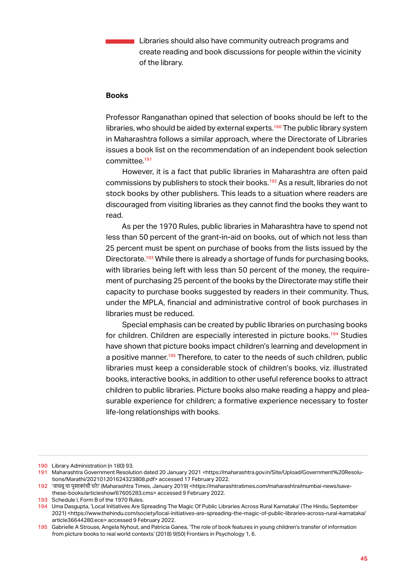**Libraries should also have community outreach programs and** create reading and book discussions for people within the vicinity of the library.

# **Books**

Professor Ranganathan opined that selection of books should be left to the libraries, who should be aided by external experts.<sup>190</sup> The public library system in Maharashtra follows a similar approach, where the Directorate of Libraries issues a book list on the recommendation of an independent book selection committee.<sup>191</sup>

However, it is a fact that public libraries in Maharashtra are often paid commissions by publishers to stock their books.<sup>192</sup> As a result, libraries do not stock books by other publishers. This leads to a situation where readers are discouraged from visiting libraries as they cannot find the books they want to read.

As per the 1970 Rules, public libraries in Maharashtra have to spend not less than 50 percent of the grant-in-aid on books, out of which not less than 25 percent must be spent on purchase of books from the lists issued by the Directorate.<sup>193</sup> While there is already a shortage of funds for purchasing books, with libraries being left with less than 50 percent of the money, the requirement of purchasing 25 percent of the books by the Directorate may stifle their capacity to purchase books suggested by readers in their community. Thus, under the MPLA, financial and administrative control of book purchases in libraries must be reduced.

Special emphasis can be created by public libraries on purchasing books for children. Children are especially interested in picture books.<sup>194</sup> Studies have shown that picture books impact children's learning and development in a positive manner.<sup>195</sup> Therefore, to cater to the needs of such children, public libraries must keep a considerable stock of children's books, viz. illustrated books, interactive books, in addition to other useful reference books to attract children to public libraries. Picture books also make reading a happy and pleasurable experience for children; a formative experience necessary to foster life-long relationships with books.

<sup>190</sup> Library Administration (n 180) 93.

<sup>191</sup> Maharashtra Government Resolution dated 20 January 2021 <https://maharashtra.gov.in/Site/Upload/Government%20Resolutions/Marathi/202101201624323808.pdf> accessed 17 February 2022.

<sup>192</sup> 'वाचवू या पुस्तकां ची घरे !' (Maharashtra Times, January 2019) <https://maharashtratimes.com/maharashtra/mumbai-news/savethese-books/articleshow/67605283.cms> accessed 9 February 2022.

<sup>193</sup> Schedule I, Form B of the 1970 Rules.

<sup>194</sup> Uma Dasgupta, 'Local Initiatives Are Spreading The Magic Of Public Libraries Across Rural Karnataka' (The Hindu, September 2021) <https://www.thehindu.com/society/local-initiatives-are-spreading-the-magic-of-public-libraries-across-rural-karnataka/ article36644280.ece> accessed 9 February 2022.

<sup>195</sup> Gabrielle A Strouse, Angela Nyhout, and Patricia Ganea, 'The role of book features in young children's transfer of information from picture books to real world contexts' (2018) 9(50) Frontiers in Psychology 1, 6.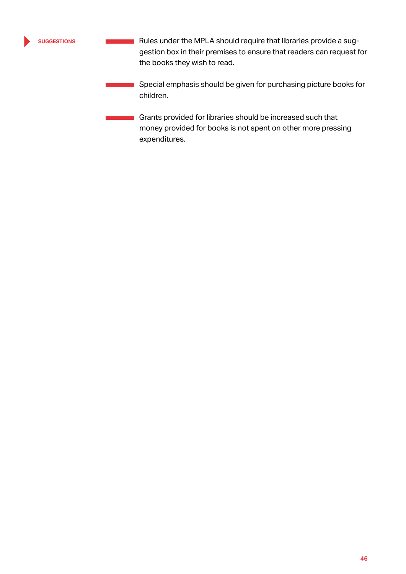**suggestions**

Rules under the MPLA should require that libraries provide a suggestion box in their premises to ensure that readers can request for the books they wish to read.

Special emphasis should be given for purchasing picture books for children.

Grants provided for libraries should be increased such that money provided for books is not spent on other more pressing expenditures.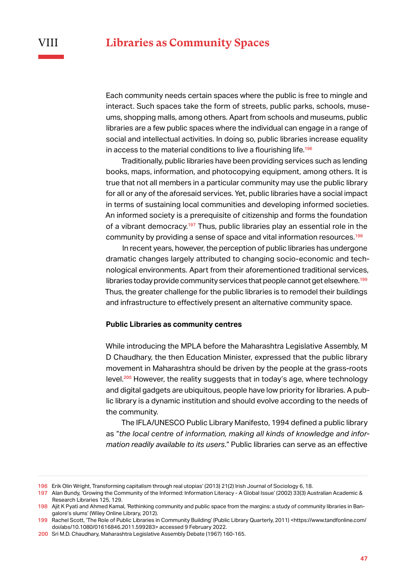Each community needs certain spaces where the public is free to mingle and interact. Such spaces take the form of streets, public parks, schools, museums, shopping malls, among others. Apart from schools and museums, public libraries are a few public spaces where the individual can engage in a range of social and intellectual activities. In doing so, public libraries increase equality in access to the material conditions to live a flourishing life.<sup>196</sup>

Traditionally, public libraries have been providing services such as lending books, maps, information, and photocopying equipment, among others. It is true that not all members in a particular community may use the public library for all or any of the aforesaid services. Yet, public libraries have a social impact in terms of sustaining local communities and developing informed societies. An informed society is a prerequisite of citizenship and forms the foundation of a vibrant democracy.<sup>197</sup> Thus, public libraries play an essential role in the community by providing a sense of space and vital information resources.<sup>198</sup>

In recent years, however, the perception of public libraries has undergone dramatic changes largely attributed to changing socio-economic and technological environments. Apart from their aforementioned traditional services, libraries today provide community services that people cannot get elsewhere.<sup>199</sup> Thus, the greater challenge for the public libraries is to remodel their buildings and infrastructure to effectively present an alternative community space.

# **Public Libraries as community centres**

While introducing the MPLA before the Maharashtra Legislative Assembly, M D Chaudhary, the then Education Minister, expressed that the public library movement in Maharashtra should be driven by the people at the grass-roots level.<sup>200</sup> However, the reality suggests that in today's age, where technology and digital gadgets are ubiquitous, people have low priority for libraries. A public library is a dynamic institution and should evolve according to the needs of the community.

The IFLA/UNESCO Public Library Manifesto, 1994 defined a public library as "*the local centre of information, making all kinds of knowledge and information readily available to its users*." Public libraries can serve as an effective

<sup>196</sup> Erik Olin Wright, Transforming capitalism through real utopias' (2013) 21(2) Irish Journal of Sociology 6, 18.

<sup>197</sup> Alan Bundy, 'Growing the Community of the Informed: Information Literacy - A Global Issue' (2002) 33(3) Australian Academic & Research Libraries 125, 129.

<sup>198</sup> Ajit K Pyati and Ahmed Kamal, 'Rethinking community and public space from the margins: a study of community libraries in Bangalore's slums' (Wiley Online Library, 2012).

<sup>199</sup> Rachel Scott, 'The Role of Public Libraries in Community Building' (Public Library Quarterly, 2011) <https://www.tandfonline.com/ doi/abs/10.1080/01616846.2011.599283> accessed 9 February 2022.

<sup>200</sup> Sri M.D. Chaudhary, Maharashtra Legislative Assembly Debate (1967) 160-165.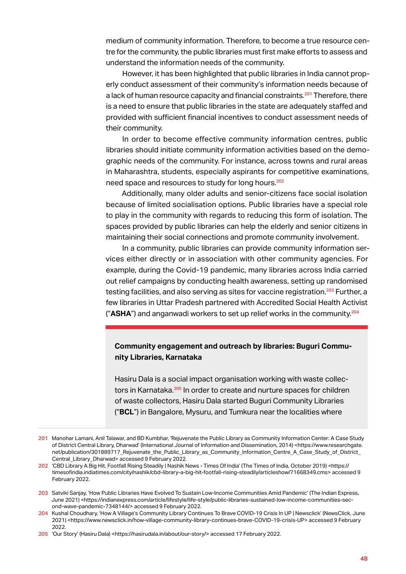medium of community information. Therefore, to become a true resource centre for the community, the public libraries must first make efforts to assess and understand the information needs of the community.

However, it has been highlighted that public libraries in India cannot properly conduct assessment of their community's information needs because of a lack of human resource capacity and financial constraints.<sup>201</sup> Therefore, there is a need to ensure that public libraries in the state are adequately staffed and provided with sufficient financial incentives to conduct assessment needs of their community.

In order to become effective community information centres, public libraries should initiate community information activities based on the demographic needs of the community. For instance, across towns and rural areas in Maharashtra, students, especially aspirants for competitive examinations, need space and resources to study for long hours.<sup>202</sup>

Additionally, many older adults and senior-citizens face social isolation because of limited socialisation options. Public libraries have a special role to play in the community with regards to reducing this form of isolation. The spaces provided by public libraries can help the elderly and senior citizens in maintaining their social connections and promote community involvement.

In a community, public libraries can provide community information services either directly or in association with other community agencies. For example, during the Covid-19 pandemic, many libraries across India carried out relief campaigns by conducting health awareness, setting up randomised testing facilities, and also serving as sites for vaccine registration.<sup>203</sup> Further, a few libraries in Uttar Pradesh partnered with Accredited Social Health Activist ("**ASHA**") and anganwadi workers to set up relief works in the community.<sup>204</sup>

# **Community engagement and outreach by libraries: Buguri Community Libraries, Karnataka**

Hasiru Dala is a social impact organisation working with waste collectors in Karnataka.<sup>205</sup> In order to create and nurture spaces for children of waste collectors, Hasiru Dala started Buguri Community Libraries ("**BCL**") in Bangalore, Mysuru, and Tumkura near the localities where

<sup>201</sup> Manohar Lamani, Anil Talawar, and BD Kumbhar, 'Rejuvenate the Public Library as Community Information Center: A Case Study of District Central Library, Dharwad' (International Journal of Information and Dissemination, 2014) <https://www.researchgate. net/publication/301889717\_Rejuvenate\_the\_Public\_Library\_as\_Community\_Information\_Centre\_A\_Case\_Study\_of\_District Central\_Library\_Dharwad> accessed 9 February 2022.

<sup>202</sup> 'CBD Library A Big Hit, Footfall Rising Steadily | Nashik News - Times Of India' (The Times of India, October 2019) <https:// timesofindia.indiatimes.com/city/nashik/cbd-library-a-big-hit-footfall-rising-steadily/articleshow/71668349.cms> accessed 9 February 2022.

<sup>203</sup> Satviki Sanjay, 'How Public Libraries Have Evolved To Sustain Low-Income Communities Amid Pandemic' (The Indian Express, June 2021) <https://indianexpress.com/article/lifestyle/life-style/public-libraries-sustained-low-income-communities-second-wave-pandemic-7348144/> accessed 9 February 2022.

<sup>204</sup> Kushal Choudhary, 'How A Village's Community Library Continues To Brave COVID-19 Crisis In UP | Newsclick' (NewsClick, June 2021) <https://www.newsclick.in/how-village-community-library-continues-brave-COVID-19-crisis-UP> accessed 9 February 2022.

<sup>205 &#</sup>x27;Our Story' (Hasiru Dala) <https://hasirudala.in/about/our-story/> accessed 17 February 2022.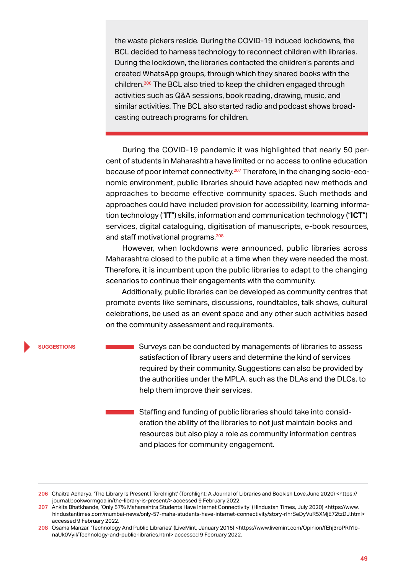the waste pickers reside. During the COVID-19 induced lockdowns, the BCL decided to harness technology to reconnect children with libraries. During the lockdown, the libraries contacted the children's parents and created WhatsApp groups, through which they shared books with the children.<sup>206</sup> The BCL also tried to keep the children engaged through activities such as Q&A sessions, book reading, drawing, music, and similar activities. The BCL also started radio and podcast shows broadcasting outreach programs for children.

During the COVID-19 pandemic it was highlighted that nearly 50 percent of students in Maharashtra have limited or no access to online education because of poor internet connectivity.<sup>207</sup> Therefore, in the changing socio-economic environment, public libraries should have adapted new methods and approaches to become effective community spaces. Such methods and approaches could have included provision for accessibility, learning information technology ("**IT**") skills, information and communication technology ("**ICT**") services, digital cataloguing, digitisation of manuscripts, e-book resources, and staff motivational programs.<sup>208</sup>

However, when lockdowns were announced, public libraries across Maharashtra closed to the public at a time when they were needed the most. Therefore, it is incumbent upon the public libraries to adapt to the changing scenarios to continue their engagements with the community.

Additionally, public libraries can be developed as community centres that promote events like seminars, discussions, roundtables, talk shows, cultural celebrations, be used as an event space and any other such activities based on the community assessment and requirements.

### **suggestions**

Surveys can be conducted by managements of libraries to assess m. satisfaction of library users and determine the kind of services required by their community. Suggestions can also be provided by the authorities under the MPLA, such as the DLAs and the DLCs, to help them improve their services.

Staffing and funding of public libraries should take into consideration the ability of the libraries to not just maintain books and resources but also play a role as community information centres and places for community engagement.

<sup>206</sup> Chaitra Acharya, 'The Library Is Present | Torchlight' (Torchlight: A Journal of Libraries and Bookish Love,June 2020) <https:// journal.bookwormgoa.in/the-library-is-present/> accessed 9 February 2022.

<sup>207</sup> Ankita Bhatkhande, 'Only 57% Maharashtra Students Have Internet Connectivity' (Hindustan Times, July 2020) <https://www. hindustantimes.com/mumbai-news/only-57-maha-students-have-internet-connectivity/story-rIhrSeDyVuR5XMjE72tzDJ.html> accessed 9 February 2022.

<sup>208</sup> Osama Manzar, 'Technology And Public Libraries' (LiveMint, January 2015) <https://www.livemint.com/Opinion/fEhj3roPRIYlbnaUk0VyiI/Technology-and-public-libraries.html> accessed 9 February 2022.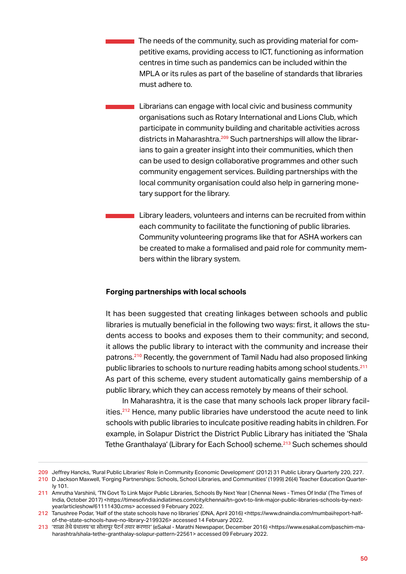The needs of the community, such as providing material for competitive exams, providing access to ICT, functioning as information centres in time such as pandemics can be included within the MPLA or its rules as part of the baseline of standards that libraries must adhere to.

Librarians can engage with local civic and business community organisations such as Rotary International and Lions Club, which participate in community building and charitable activities across districts in Maharashtra.<sup>209</sup> Such partnerships will allow the librarians to gain a greater insight into their communities, which then can be used to design collaborative programmes and other such community engagement services. Building partnerships with the local community organisation could also help in garnering monetary support for the library.

Library leaders, volunteers and interns can be recruited from within each community to facilitate the functioning of public libraries. Community volunteering programs like that for ASHA workers can be created to make a formalised and paid role for community members within the library system.

# **Forging partnerships with local schools**

It has been suggested that creating linkages between schools and public libraries is mutually beneficial in the following two ways: first, it allows the students access to books and exposes them to their community; and second, it allows the public library to interact with the community and increase their patrons.<sup>210</sup> Recently, the government of Tamil Nadu had also proposed linking public libraries to schools to nurture reading habits among school students.<sup>211</sup> As part of this scheme, every student automatically gains membership of a public library, which they can access remotely by means of their school.

In Maharashtra, it is the case that many schools lack proper library facilities.<sup>212</sup> Hence, many public libraries have understood the acute need to link schools with public libraries to inculcate positive reading habits in children. For example, in Solapur District the District Public Library has initiated the 'Shala Tethe Granthalaya' (Library for Each School) scheme.<sup>213</sup> Such schemes should

<sup>209</sup> Jeffrey Hancks, 'Rural Public Libraries' Role in Community Economic Development' (2012) 31 Public Library Quarterly 220, 227.

<sup>210</sup> D Jackson Maxwell, 'Forging Partnerships: Schools, School Libraries, and Communities' (1999) 26(4) Teacher Education Quarterly 101.

<sup>211</sup> Amrutha Varshinii, 'TN Govt To Link Major Public Libraries, Schools By Next Year | Chennai News - Times Of India' (The Times of India, October 2017) <https://timesofindia.indiatimes.com/city/chennai/tn-govt-to-link-major-public-libraries-schools-by-nextyear/articleshow/61111430.cms> accessed 9 February 2022.

<sup>212</sup> Tanushree Podar, 'Half of the state schools have no libraries' (DNA, April 2016) <https://www.dnaindia.com/mumbai/report-halfof-the-state-schools-have-no-library-2199326> accessed 14 February 2022.

<sup>213</sup> 'शाळा तेथेग्रंथालय'चा सोलापू र पॅ टर्न तयार करणार' (eSakal - Marathi Newspaper, December 2016) <https://www.esakal.com/paschim-maharashtra/shala-tethe-granthalay-solapur-pattern-22561> accessed 09 February 2022.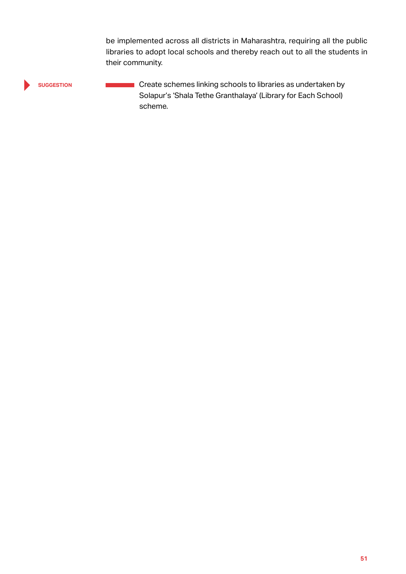be implemented across all districts in Maharashtra, requiring all the public libraries to adopt local schools and thereby reach out to all the students in their community.

**suggestion**

**Create schemes linking schools to libraries as undertaken by** Solapur's 'Shala Tethe Granthalaya' (Library for Each School) scheme.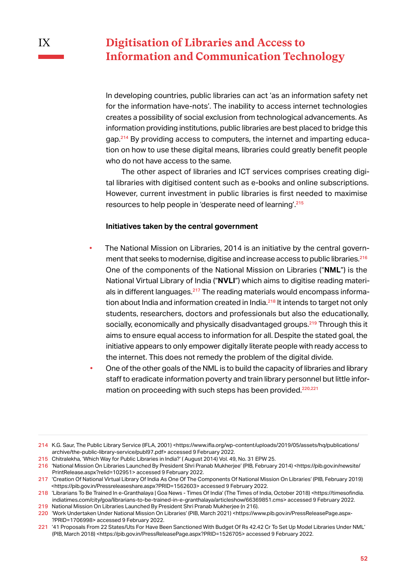# **Digitisation of Libraries and Access to Information and Communication Technology**

In developing countries, public libraries can act 'as an information safety net for the information have-nots'. The inability to access internet technologies creates a possibility of social exclusion from technological advancements. As information providing institutions, public libraries are best placed to bridge this gap.214 By providing access to computers, the internet and imparting education on how to use these digital means, libraries could greatly benefit people who do not have access to the same.

The other aspect of libraries and ICT services comprises creating digital libraries with digitised content such as e-books and online subscriptions. However, current investment in public libraries is first needed to maximise resources to help people in 'desperate need of learning'.<sup>215</sup>

## **Initiatives taken by the central government**

- The National Mission on Libraries, 2014 is an initiative by the central government that seeks to modernise, digitise and increase access to public libraries.<sup>216</sup> One of the components of the National Mission on Libraries ("**NML**") is the National Virtual Library of India ("**NVLI**") which aims to digitise reading materials in different languages.<sup>217</sup> The reading materials would encompass information about India and information created in India.<sup>218</sup> It intends to target not only students, researchers, doctors and professionals but also the educationally, socially, economically and physically disadvantaged groups.<sup>219</sup> Through this it aims to ensure equal access to information for all. Despite the stated goal, the initiative appears to only empower digitally literate people with ready access to the internet. This does not remedy the problem of the digital divide.
- One of the other goals of the NML is to build the capacity of libraries and library staff to eradicate information poverty and train library personnel but little information on proceeding with such steps has been provided.<sup>220,221</sup>

<sup>214</sup> K.G. Saur, The Public Library Service (IFLA, 2001) <https://www.ifla.org/wp-content/uploads/2019/05/assets/hq/publications/ archive/the-public-library-service/publ97.pdf> accessed 9 February 2022.

<sup>215</sup> Chitralekha, 'Which Way for Public Libraries in India?' ( August 2014) Vol. 49, No. 31 EPW 25.

<sup>216</sup> 'National Mission On Libraries Launched By President Shri Pranab Mukherjee' (PIB, February 2014) <https://pib.gov.in/newsite/ PrintRelease.aspx?relid=102951> accessed 9 February 2022.

<sup>217</sup> 'Creation Of National Virtual Library Of India As One Of The Components Of National Mission On Libraries' (PIB, February 2019) <https://pib.gov.in/Pressreleaseshare.aspx?PRID=1562603> accessed 9 February 2022.

<sup>218</sup> 'Librarians To Be Trained In e-Granthalaya | Goa News - Times Of India' (The Times of India, October 2018) <https://timesofindia. indiatimes.com/city/goa/librarians-to-be-trained-in-e-granthalaya/articleshow/66369851.cms> accessed 9 February 2022.

<sup>219</sup> National Mission On Libraries Launched By President Shri Pranab Mukherjee (n 216).

<sup>220</sup> 'Work Undertaken Under National Mission On Libraries' (PIB, March 2021) <https://www.pib.gov.in/PressReleasePage.aspx- ?PRID=1706998> accessed 9 February 2022.

<sup>221</sup> '41 Proposals From 22 States/Uts For Have Been Sanctioned With Budget Of Rs 42.42 Cr To Set Up Model Libraries Under NML' (PIB, March 2018) <https://pib.gov.in/PressReleasePage.aspx?PRID=1526705> accessed 9 February 2022.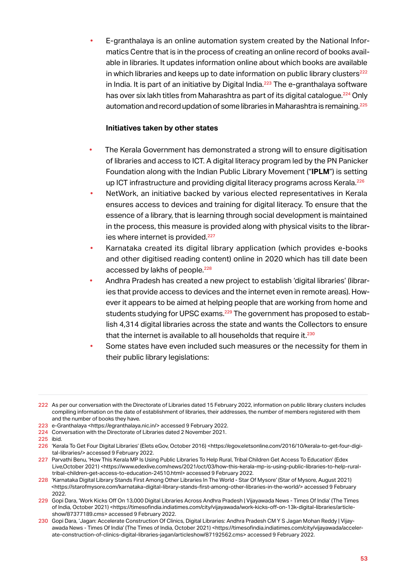• E-granthalaya is an online automation system created by the National Informatics Centre that is in the process of creating an online record of books available in libraries. It updates information online about which books are available in which libraries and keeps up to date information on public library clusters $^{222}$ in India. It is part of an initiative by Digital India.<sup>223</sup> The e-granthalaya software has over six lakh titles from Maharashtra as part of its digital catalogue.<sup>224</sup> Only automation and record updation of some libraries in Maharashtra is remaining.<sup>225</sup>

# **Initiatives taken by other states**

- The Kerala Government has demonstrated a strong will to ensure digitisation of libraries and access to ICT. A digital literacy program led by the PN Panicker Foundation along with the Indian Public Library Movement ("**IPLM**") is setting up ICT infrastructure and providing digital literacy programs across Kerala.<sup>226</sup>
- NetWork, an initiative backed by various elected representatives in Kerala ensures access to devices and training for digital literacy. To ensure that the essence of a library, that is learning through social development is maintained in the process, this measure is provided along with physical visits to the libraries where internet is provided.<sup>227</sup>
- Karnataka created its digital library application (which provides e-books and other digitised reading content) online in 2020 which has till date been accessed by lakhs of people.<sup>228</sup>
- Andhra Pradesh has created a new project to establish 'digital libraries' (libraries that provide access to devices and the internet even in remote areas). However it appears to be aimed at helping people that are working from home and students studying for UPSC exams.<sup>229</sup> The government has proposed to establish 4,314 digital libraries across the state and wants the Collectors to ensure that the internet is available to all households that require it. $^{230}$
- Some states have even included such measures or the necessity for them in their public library legislations:

225 ibid.

<sup>222</sup> As per our conversation with the Directorate of Libraries dated 15 February 2022, information on public library clusters includes compiling information on the date of establishment of libraries, their addresses, the number of members registered with them and the number of books they have.

<sup>223</sup> e-Granthalaya <https://egranthalaya.nic.in/> accessed 9 February 2022.

<sup>224</sup> Conversation with the Directorate of Libraries dated 2 November 2021.

<sup>226 &#</sup>x27;Kerala To Get Four Digital Libraries' (Elets eGov, October 2016) <https://egov.eletsonline.com/2016/10/kerala-to-get-four-digital-libraries/> accessed 9 February 2022.

<sup>227</sup> Parvathi Benu, 'How This Kerala MP Is Using Public Libraries To Help Rural, Tribal Children Get Access To Education' (Edex Live,October 2021) <https://www.edexlive.com/news/2021/oct/03/how-this-kerala-mp-is-using-public-libraries-to-help-ruraltribal-children-get-access-to-education-24510.html> accessed 9 February 2022.

<sup>228</sup> 'Karnataka Digital Library Stands First Among Other Libraries In The World - Star Of Mysore' (Star of Mysore, August 2021) <https://starofmysore.com/karnataka-digital-library-stands-first-among-other-libraries-in-the-world/> accessed 9 February 2022.

<sup>229</sup> Gopi Dara, 'Work Kicks Off On 13,000 Digital Libraries Across Andhra Pradesh | Vijayawada News - Times Of India' (The Times of India, October 2021) <https://timesofindia.indiatimes.com/city/vijayawada/work-kicks-off-on-13k-digital-libraries/articleshow/87377189.cms> accessed 9 February 2022.

<sup>230</sup> Gopi Dara, 'Jagan: Accelerate Construction Of Clinics, Digital Libraries: Andhra Pradesh CM Y S Jagan Mohan Reddy | Vijayawada News - Times Of India' (The Times of India, October 2021) <https://timesofindia.indiatimes.com/city/vijayawada/accelerate-construction-of-clinics-digital-libraries-jagan/articleshow/87192562.cms> accessed 9 February 2022.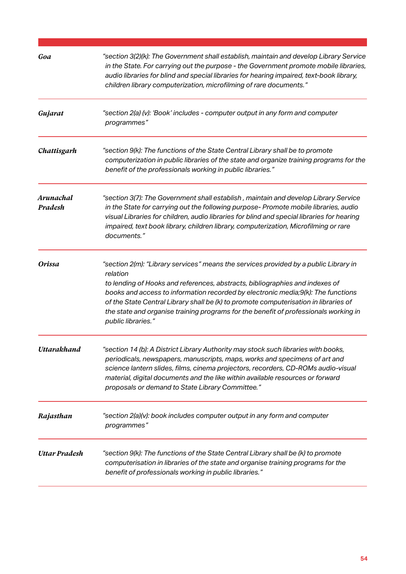| Goa                  | "section 3(2)(k): The Government shall establish, maintain and develop Library Service<br>in the State. For carrying out the purpose - the Government promote mobile libraries,<br>audio libraries for blind and special libraries for hearing impaired, text-book library,<br>children library computerization, microfilming of rare documents."                                                                                                                          |
|----------------------|----------------------------------------------------------------------------------------------------------------------------------------------------------------------------------------------------------------------------------------------------------------------------------------------------------------------------------------------------------------------------------------------------------------------------------------------------------------------------|
| Gujarat              | "section 2(a) (v): 'Book' includes - computer output in any form and computer<br>programmes"                                                                                                                                                                                                                                                                                                                                                                               |
| Chattisgarh          | "section 9(k): The functions of the State Central Library shall be to promote<br>computerization in public libraries of the state and organize training programs for the<br>benefit of the professionals working in public libraries."                                                                                                                                                                                                                                     |
| Arunachal<br>Pradesh | "section 3(7): The Government shall establish, maintain and develop Library Service<br>in the State for carrying out the following purpose- Promote mobile libraries, audio<br>visual Libraries for children, audio libraries for blind and special libraries for hearing<br>impaired, text book library, children library, computerization, Microfilming or rare<br>documents."                                                                                           |
| <b>Orissa</b>        | "section 2(m): "Library services" means the services provided by a public Library in<br>relation<br>to lending of Hooks and references, abstracts, bibliographies and indexes of<br>books and access to information recorded by electronic media;9(k): The functions<br>of the State Central Library shall be (k) to promote computerisation in libraries of<br>the state and organise training programs for the benefit of professionals working in<br>public libraries." |
| Uttarakhand          | "section 14 (b): A District Library Authority may stock such libraries with books,<br>periodicals, newspapers, manuscripts, maps, works and specimens of art and<br>science lantern slides, films, cinema projectors, recorders, CD-ROMs audio-visual<br>material, digital documents and the like within available resources or forward<br>proposals or demand to State Library Committee."                                                                                |
| Rajasthan            | "section 2(a)(v): book includes computer output in any form and computer<br>programmes"                                                                                                                                                                                                                                                                                                                                                                                    |
| Uttar Pradesh        | "section 9(k): The functions of the State Central Library shall be (k) to promote<br>computerisation in libraries of the state and organise training programs for the<br>benefit of professionals working in public libraries."                                                                                                                                                                                                                                            |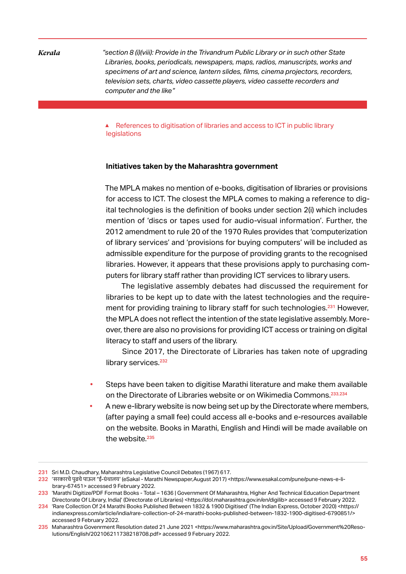*Kerala "section 8 (i)(viii): Provide in the Trivandrum Public Library or in such other State Libraries, books, periodicals, newspapers, maps, radios, manuscripts, works and specimens of art and science, lantern slides, films, cinema projectors, recorders, television sets, charts, video cassette players, video cassette recorders and computer and the like"*

> ▲ References to digitisation of libraries and access to ICT in public library legislations

## **Initiatives taken by the Maharashtra government**

The MPLA makes no mention of e-books, digitisation of libraries or provisions for access to ICT. The closest the MPLA comes to making a reference to digital technologies is the definition of books under section 2(i) which includes mention of 'discs or tapes used for audio-visual information'. Further, the 2012 amendment to rule 20 of the 1970 Rules provides that 'computerization of library services' and 'provisions for buying computers' will be included as admissible expenditure for the purpose of providing grants to the recognised libraries. However, it appears that these provisions apply to purchasing computers for library staff rather than providing ICT services to library users.

The legislative assembly debates had discussed the requirement for libraries to be kept up to date with the latest technologies and the requirement for providing training to library staff for such technologies.<sup>231</sup> However, the MPLA does not reflect the intention of the state legislative assembly. Moreover, there are also no provisions for providing ICT access or training on digital literacy to staff and users of the library.

Since 2017, the Directorate of Libraries has taken note of upgrading library services.<sup>232</sup>

- Steps have been taken to digitise Marathi literature and make them available on the Directorate of Libraries website or on Wikimedia Commons.<sup>233</sup>,<sup>234</sup>
- A new e-library website is now being set up by the Directorate where members, (after paying a small fee) could access all e-books and e-resources available on the website. Books in Marathi, English and Hindi will be made available on the website.<sup>235</sup>

<sup>231</sup> Sri M.D. Chaudhary, Maharashtra Legislative Council Debates (1967) 617.

<sup>232</sup> 'सरकारचेपु ढचेपाऊल "ई-ग्रंथालय' (eSakal - Marathi Newspaper,August 2017) <https://www.esakal.com/pune/pune-news-e-library-67451> accessed 9 February 2022.

<sup>233</sup> 'Marathi Digitize/PDF Format Books - Total – 1636 | Government Of Maharashtra, Higher And Technical Education Department Directorate Of Library, India|' (Directorate of Libraries) <https://dol.maharashtra.gov.in/en/digilib> accessed 9 February 2022.

<sup>234</sup> 'Rare Collection Of 24 Marathi Books Published Between 1832 & 1900 Digitised' (The Indian Express, October 2020) <https:// indianexpress.com/article/india/rare-collection-of-24-marathi-books-published-between-1832-1900-digitised-6790851/> accessed 9 February 2022.

<sup>235</sup> Maharashtra Govenrment Resolution dated 21 June 2021 <https://www.maharashtra.gov.in/Site/Upload/Government%20Resolutions/English/202106211738218708.pdf> accessed 9 February 2022.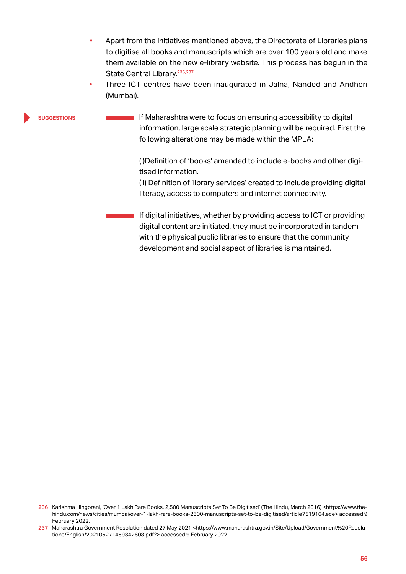- Apart from the initiatives mentioned above, the Directorate of Libraries plans to digitise all books and manuscripts which are over 100 years old and make them available on the new e-library website. This process has begun in the State Central Library.<sup>236,237</sup>
- Three ICT centres have been inaugurated in Jalna, Nanded and Andheri (Mumbai).

### **suggestions**

 $\blacksquare$  If Maharashtra were to focus on ensuring accessibility to digital information, large scale strategic planning will be required. First the following alterations may be made within the MPLA:

> (i)Definition of 'books' amended to include e-books and other digitised information.

(ii) Definition of 'library services' created to include providing digital literacy, access to computers and internet connectivity.

If digital initiatives, whether by providing access to ICT or providing digital content are initiated, they must be incorporated in tandem with the physical public libraries to ensure that the community development and social aspect of libraries is maintained.

<sup>236</sup> Karishma Hingorani, 'Over 1 Lakh Rare Books, 2,500 Manuscripts Set To Be Digitised' (The Hindu, March 2016) <https://www.thehindu.com/news/cities/mumbai/over-1-lakh-rare-books-2500-manuscripts-set-to-be-digitised/article7519164.ece> accessed 9 February 2022.

<sup>237</sup> Maharashtra Government Resolution dated 27 May 2021 <https://www.maharashtra.gov.in/Site/Upload/Government%20Resolutions/English/202105271459342608.pdf?> accessed 9 February 2022.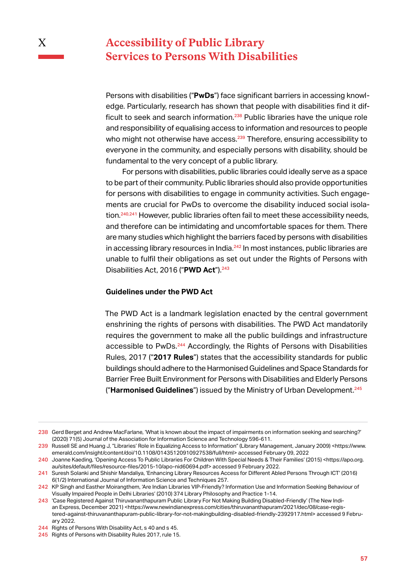# **Accessibility of Public Library Services to Persons With Disabilities**

X

Persons with disabilities ("**PwDs**") face significant barriers in accessing knowledge. Particularly, research has shown that people with disabilities find it difficult to seek and search information.<sup>238</sup> Public libraries have the unique role and responsibility of equalising access to information and resources to people who might not otherwise have access.<sup>239</sup> Therefore, ensuring accessibility to everyone in the community, and especially persons with disability, should be fundamental to the very concept of a public library.

For persons with disabilities, public libraries could ideally serve as a space to be part of their community. Public libraries should also provide opportunities for persons with disabilities to engage in community activities. Such engagements are crucial for PwDs to overcome the disability induced social isolation.<sup>240</sup>,<sup>241</sup> However, public libraries often fail to meet these accessibility needs, and therefore can be intimidating and uncomfortable spaces for them. There are many studies which highlight the barriers faced by persons with disabilities in accessing library resources in India.<sup>242</sup> In most instances, public libraries are unable to fulfil their obligations as set out under the Rights of Persons with Disabilities Act, 2016 ("PWD Act").<sup>243</sup>

# **Guidelines under the PWD Act**

The PWD Act is a landmark legislation enacted by the central government enshrining the rights of persons with disabilities. The PWD Act mandatorily requires the government to make all the public buildings and infrastructure accessible to PwDs.<sup>244</sup> Accordingly, the Rights of Persons with Disabilities Rules, 2017 ("**2017 Rules**") states that the accessibility standards for public buildings should adhere to the Harmonised Guidelines and Space Standards for Barrier Free Built Environment for Persons with Disabilities and Elderly Persons ("**Harmonised Guidelines**") issued by the Ministry of Urban Development.<sup>245</sup>

<sup>238</sup> Gerd Berget and Andrew MacFarlane, 'What is known about the impact of impairments on information seeking and searching?' (2020) 71(5) Journal of the Association for Information Science and Technology 596-611.

<sup>239</sup> Russell SE and Huang J, "Libraries' Role in Equalizing Access to Information" (Library Management, January 2009) <https://www. emerald.com/insight/content/doi/10.1108/01435120910927538/full/html> accessed February 09, 2022

<sup>240</sup> Joanne Kaeding, 'Opening Access To Public Libraries For Children With Special Needs & Their Families' (2015) <https://apo.org. au/sites/default/files/resource-files/2015-10/apo-nid60694.pdf> accessed 9 February 2022.

<sup>241</sup> Suresh Solanki and Shishir Mandaliya, 'Enhancing Library Resources Access for Different Abled Persons Through ICT' (2016) 6(1/2) International Journal of Information Science and Techniques 257.

<sup>242</sup> KP Singh and Easther Moirangthem, 'Are Indian Libraries VIP-Friendly? Information Use and Information Seeking Behaviour of Visually Impaired People in Delhi Libraries' (2010) 374 Library Philosophy and Practice 1-14.

<sup>243</sup> 'Case Registered Against Thiruvananthapuram Public Library For Not Making Building Disabled-Friendly' (The New Indian Express, December 2021) <https://www.newindianexpress.com/cities/thiruvananthapuram/2021/dec/08/case-registered-against-thiruvananthapuram-public-library-for-not-makingbuilding-disabled-friendly-2392917.html> accessed 9 February 2022.

<sup>244</sup> Rights of Persons With Disability Act, s 40 and s 45.

<sup>245</sup> Rights of Persons with Disability Rules 2017, rule 15.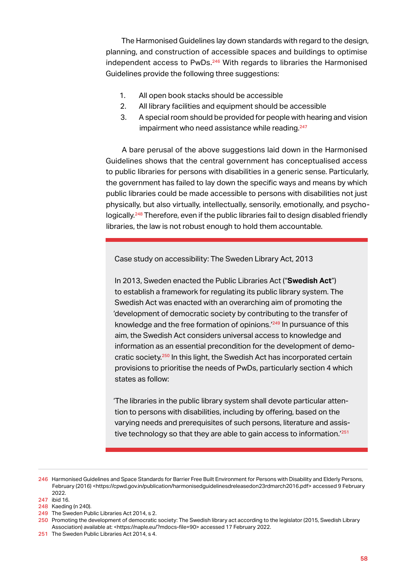The Harmonised Guidelines lay down standards with regard to the design, planning, and construction of accessible spaces and buildings to optimise independent access to PwDs.<sup>246</sup> With regards to libraries the Harmonised Guidelines provide the following three suggestions:

- 1. All open book stacks should be accessible
- 2. All library facilities and equipment should be accessible
- 3. A special room should be provided for people with hearing and vision impairment who need assistance while reading.<sup>247</sup>

A bare perusal of the above suggestions laid down in the Harmonised Guidelines shows that the central government has conceptualised access to public libraries for persons with disabilities in a generic sense. Particularly, the government has failed to lay down the specific ways and means by which public libraries could be made accessible to persons with disabilities not just physically, but also virtually, intellectually, sensorily, emotionally, and psychologically.<sup>248</sup> Therefore, even if the public libraries fail to design disabled friendly libraries, the law is not robust enough to hold them accountable.

Case study on accessibility: The Sweden Library Act, 2013

In 2013, Sweden enacted the Public Libraries Act ("**Swedish Act**") to establish a framework for regulating its public library system. The Swedish Act was enacted with an overarching aim of promoting the 'development of democratic society by contributing to the transfer of knowledge and the free formation of opinions.<sup>'249</sup> In pursuance of this aim, the Swedish Act considers universal access to knowledge and information as an essential precondition for the development of democratic society.<sup>250</sup> In this light, the Swedish Act has incorporated certain provisions to prioritise the needs of PwDs, particularly section 4 which states as follow:

'The libraries in the public library system shall devote particular attention to persons with disabilities, including by offering, based on the varying needs and prerequisites of such persons, literature and assistive technology so that they are able to gain access to information.<sup>'251</sup>

249 The Sweden Public Libraries Act 2014, s 2.

250 Promoting the development of democratic society: The Swedish library act according to the legislator (2015, Swedish Library Association) available at: <https://naple.eu/?mdocs-file=90> accessed 17 February 2022.

<sup>246</sup> Harmonised Guidelines and Space Standards for Barrier Free Built Environment for Persons with Disability and Elderly Persons, February (2016) <https://cpwd.gov.in/publication/harmonisedquidelinesdreleasedon23rdmarch2016.pdf> accessed 9 February 2022.

<sup>247</sup> ibid 16.

<sup>248</sup> Kaeding (n 240).

<sup>251</sup> The Sweden Public Libraries Act 2014, s 4.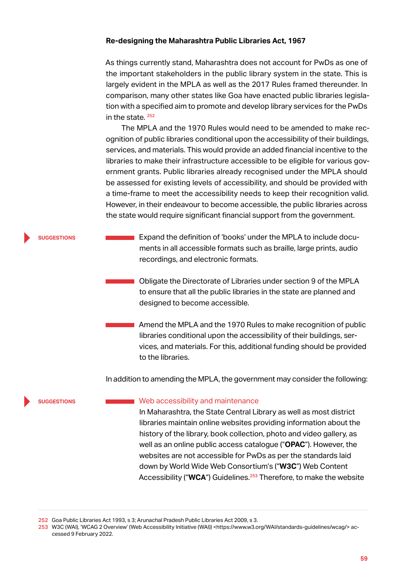## **Re-designing the Maharashtra Public Libraries Act, 1967**

As things currently stand, Maharashtra does not account for PwDs as one of the important stakeholders in the public library system in the state. This is largely evident in the MPLA as well as the 2017 Rules framed thereunder. In comparison, many other states like Goa have enacted public libraries legislation with a specified aim to promote and develop library services for the PwDs in the state. <sup>252</sup>

The MPLA and the 1970 Rules would need to be amended to make recognition of public libraries conditional upon the accessibility of their buildings, services, and materials. This would provide an added financial incentive to the libraries to make their infrastructure accessible to be eligible for various government grants. Public libraries already recognised under the MPLA should be assessed for existing levels of accessibility, and should be provided with a time-frame to meet the accessibility needs to keep their recognition valid. However, in their endeavour to become accessible, the public libraries across the state would require significant financial support from the government.

### **EXPALA EXPANDED EXPANDED EXPANDED** Expand the definition of 'books' under the MPLA to include documents in all accessible formats such as braille, large prints, audio recordings, and electronic formats. **suggestions**

Obligate the Directorate of Libraries under section 9 of the MPLA to ensure that all the public libraries in the state are planned and designed to become accessible.

Amend the MPLA and the 1970 Rules to make recognition of public libraries conditional upon the accessibility of their buildings, services, and materials. For this, additional funding should be provided to the libraries.

In addition to amending the MPLA, the government may consider the following:

#### **suggestions**

# Web accessibility and maintenance

In Maharashtra, the State Central Library as well as most district libraries maintain online websites providing information about the history of the library, book collection, photo and video gallery, as well as an online public access catalogue ("**OPAC**"). However, the websites are not accessible for PwDs as per the standards laid down by World Wide Web Consortium's ("**W3C**") Web Content Accessibility ("WCA") Guidelines.<sup>253</sup> Therefore, to make the website

<sup>252</sup> Goa Public Libraries Act 1993, s 3; Arunachal Pradesh Public Libraries Act 2009, s 3.

<sup>253</sup> W3C (WAI), 'WCAG 2 Overview' (Web Accessibility Initiative (WAI)) <https://www.w3.org/WAI/standards-guidelines/wcag/> accessed 9 February 2022.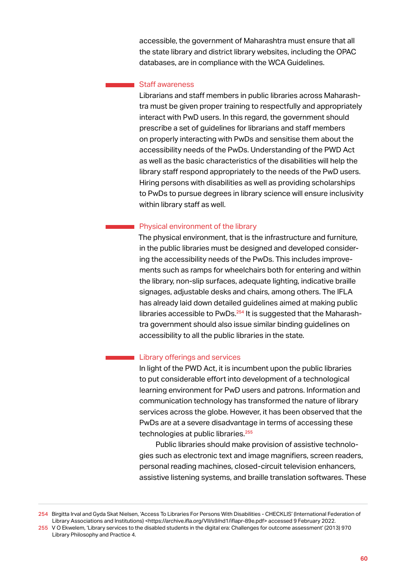accessible, the government of Maharashtra must ensure that all the state library and district library websites, including the OPAC databases, are in compliance with the WCA Guidelines.

## Staff awareness

Librarians and staff members in public libraries across Maharashtra must be given proper training to respectfully and appropriately interact with PwD users. In this regard, the government should prescribe a set of guidelines for librarians and staff members on properly interacting with PwDs and sensitise them about the accessibility needs of the PwDs. Understanding of the PWD Act as well as the basic characteristics of the disabilities will help the library staff respond appropriately to the needs of the PwD users. Hiring persons with disabilities as well as providing scholarships to PwDs to pursue degrees in library science will ensure inclusivity within library staff as well.

# Physical environment of the library

The physical environment, that is the infrastructure and furniture, in the public libraries must be designed and developed considering the accessibility needs of the PwDs. This includes improvements such as ramps for wheelchairs both for entering and within the library, non-slip surfaces, adequate lighting, indicative braille signages, adjustable desks and chairs, among others. The IFLA has already laid down detailed guidelines aimed at making public libraries accessible to PwDs.<sup>254</sup> It is suggested that the Maharashtra government should also issue similar binding guidelines on accessibility to all the public libraries in the state.

# Library offerings and services

In light of the PWD Act, it is incumbent upon the public libraries to put considerable effort into development of a technological learning environment for PwD users and patrons. Information and communication technology has transformed the nature of library services across the globe. However, it has been observed that the PwDs are at a severe disadvantage in terms of accessing these technologies at public libraries.<sup>255</sup>

Public libraries should make provision of assistive technologies such as electronic text and image magnifiers, screen readers, personal reading machines, closed-circuit television enhancers, assistive listening systems, and braille translation softwares. These

<sup>254</sup> Birgitta Irval and Gyda Skat Nielsen, 'Access To Libraries For Persons With Disabilities - CHECKLIS' (International Federation of Library Associations and Institutions) <https://archive.ifla.org/VII/s9/nd1/iflapr-89e.pdf> accessed 9 February 2022. 255 V O Ekwelem, 'Library services to the disabled students in the digital era: Challenges for outcome assessment' (2013) 970 Library Philosophy and Practice 4.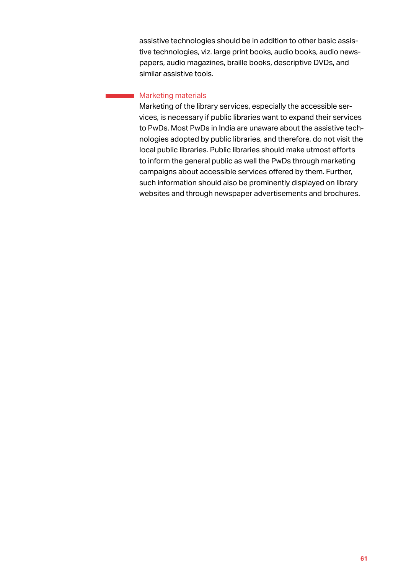assistive technologies should be in addition to other basic assistive technologies, viz. large print books, audio books, audio newspapers, audio magazines, braille books, descriptive DVDs, and similar assistive tools.

# **Marketing materials**

Marketing of the library services, especially the accessible services, is necessary if public libraries want to expand their services to PwDs. Most PwDs in India are unaware about the assistive technologies adopted by public libraries, and therefore, do not visit the local public libraries. Public libraries should make utmost efforts to inform the general public as well the PwDs through marketing campaigns about accessible services offered by them. Further, such information should also be prominently displayed on library websites and through newspaper advertisements and brochures.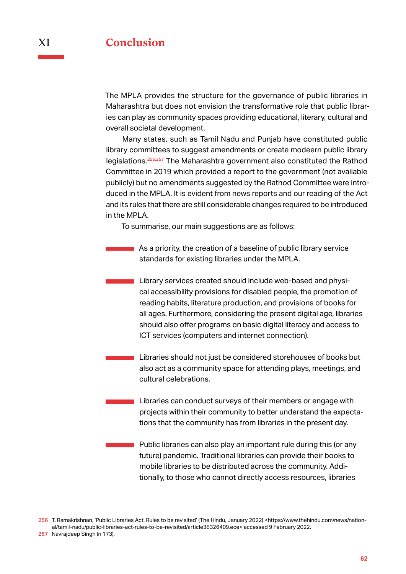The MPLA provides the structure for the governance of public libraries in Maharashtra but does not envision the transformative role that public libraries can play as community spaces providing educational, literary, cultural and overall societal development.

Many states, such as Tamil Nadu and Punjab have constituted public library committees to suggest amendments or create modeern public library legislations.<sup>256</sup>,<sup>257</sup> The Maharashtra government also constituted the Rathod Committee in 2019 which provided a report to the government (not available publicly) but no amendments suggested by the Rathod Committee were introduced in the MPLA. It is evident from news reports and our reading of the Act and its rules that there are still considerable changes required to be introduced in the MPLA.

To summarise, our main suggestions are as follows:

- **As a priority, the creation of a baseline of public library service** standards for existing libraries under the MPLA.
	- Library services created should include web-based and physical accessibility provisions for disabled people, the promotion of reading habits, literature production, and provisions of books for all ages. Furthermore, considering the present digital age, libraries should also offer programs on basic digital literacy and access to ICT services (computers and internet connection).
	- Libraries should not just be considered storehouses of books but also act as a community space for attending plays, meetings, and cultural celebrations.
- Libraries can conduct surveys of their members or engage with projects within their community to better understand the expectations that the community has from libraries in the present day.
	- Public libraries can also play an important rule during this (or any future) pandemic. Traditional libraries can provide their books to mobile libraries to be distributed across the community. Additionally, to those who cannot directly access resources, libraries

<sup>256</sup> T. Ramakrishnan, 'Public Libraries Act, Rules to be revisited' (The Hindu, January 2022) <https://www.thehindu.com/news/national/tamil-nadu/public-libraries-act-rules-to-be-revisited/article38326409.ece> accessed 9 February 2022. 257 Navrajdeep Singh (n 173).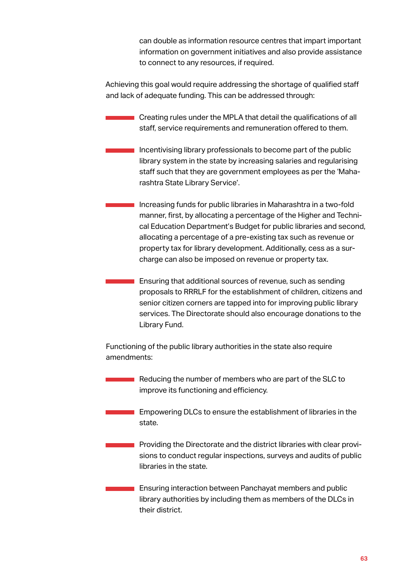can double as information resource centres that impart important information on government initiatives and also provide assistance to connect to any resources, if required.

Achieving this goal would require addressing the shortage of qualified staff and lack of adequate funding. This can be addressed through:

- Creating rules under the MPLA that detail the qualifications of all staff, service requirements and remuneration offered to them.
- Incentivising library professionals to become part of the public library system in the state by increasing salaries and regularising staff such that they are government employees as per the 'Maharashtra State Library Service'.
- Increasing funds for public libraries in Maharashtra in a two-fold manner, first, by allocating a percentage of the Higher and Technical Education Department's Budget for public libraries and second, allocating a percentage of a pre-existing tax such as revenue or property tax for library development. Additionally, cess as a surcharge can also be imposed on revenue or property tax.
- Ensuring that additional sources of revenue, such as sending proposals to RRRLF for the establishment of children, citizens and senior citizen corners are tapped into for improving public library services. The Directorate should also encourage donations to the Library Fund.

Functioning of the public library authorities in the state also require amendments:

- Reducing the number of members who are part of the SLC to improve its functioning and efficiency.
- **Empowering DLCs to ensure the establishment of libraries in the** state.
	- Providing the Directorate and the district libraries with clear provisions to conduct regular inspections, surveys and audits of public libraries in the state.

**Ensuring interaction between Panchayat members and public** library authorities by including them as members of the DLCs in their district.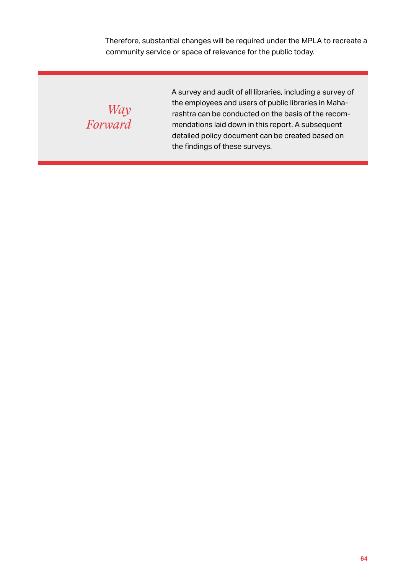Therefore, substantial changes will be required under the MPLA to recreate a community service or space of relevance for the public today.

*Way Forward* A survey and audit of all libraries, including a survey of the employees and users of public libraries in Maharashtra can be conducted on the basis of the recommendations laid down in this report. A subsequent detailed policy document can be created based on the findings of these surveys.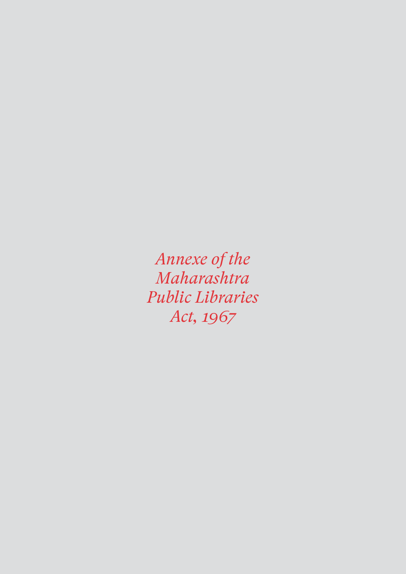*Annexe of the Maharashtra Public Libraries Act, 1967*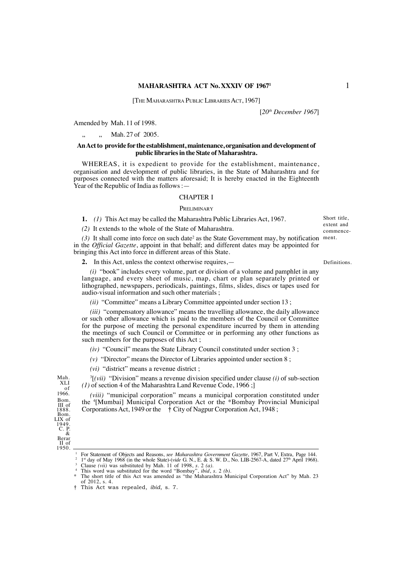## **MAHARASHTRA ACT No. XXXIV OF 1967<sup>1</sup> 1**

[THE MAHARASHTRA PUBLIC LIBRARIES ACT, 1967]

[*20th December 1967*]

Amended by Mah. 11 of 1998.

Mah. 27 of 2005.

#### **AnAct to provide for the establishment, maintenance, organisation and development of public libraries in the State of Maharashtra.**

WHEREAS, it is expedient to provide for the establishment, maintenance, organisation and development of public libraries, in the State of Maharashtra and for purposes connected with the matters aforesaid; It is hereby enacted in the Eighteenth Year of the Republic of India as follows : -

### CHAPTER I

#### **PRELIMINARY**

**1.** *(1)* This Act may be called the Maharashtra Public Libraries Act, 1967.

*(2)* It extends to the whole of the State of Maharashtra.

 $(3)$  It shall come into force on such date<sup>2</sup> as the State Government may, by notification in the *Official Gazette*, appoint in that behalf; and different dates may be appointed for bringing this Act into force in different areas of this State.

**2.** In this Act, unless the context otherwise requires,—

*(i)* "book" includes every volume, part or division of a volume and pamphlet in any language, and every sheet of music, map, chart or plan separately printed or lithographed, newspapers, periodicals, paintings, films, slides, discs or tapes used for audio-visual information and such other materials ;

*(ii)* "Committee" means a Library Committee appointed under section 13;

*(iii)* "compensatory allowance" means the travelling allowance, the daily allowance or such other allowance which is paid to the members of the Council or Committee for the purpose of meeting the personal expenditure incurred by them in attending the meetings of such Council or Committee or in performing any other functions as such members for the purposes of this Act ;

*(iv)* "Council" means the State Library Council constituted under section 3 ;

*(v)* "Director" means the Director of Libraries appointed under section 8 ;

*(vi)* "district" means a revenue district ;

3 [*(vii)* "Division" means a revenue division specified under clause *(i)* of sub-section *(1)* of section 4 of the Maharashtra Land Revenue Code, 1966 ;]

*(viii)* "municipal corporation" means a municipal corporation constituted under the <sup>4</sup> [Mumbai] Municipal Corporation Act or the \*Bombay Provincial Municipal Corporations Act, 1949 or the  $\dot{\tau}$  City of Nagpur Corporation Act, 1948 ;

Mah. XLI of 1966. Bom. III of 1888. Bom. LIX of 1949. C. P. & Berar

II of 1950.

Short title, extent and commencement.

Definitions.

For Statement of Objects and Reasons, see Maharashtra Government Gazette, 1967, Part V, Extra, Page 144. I<sup>st</sup> day of May 1968 (in the whole State)-(*vide* G. N., E. & S. W. D., No. LIB-2567-A, dated 27<sup>th</sup> April 1968). C

of 2012, s. 4.

<sup>†</sup> This Act was repealed, *ibid*, s. 7.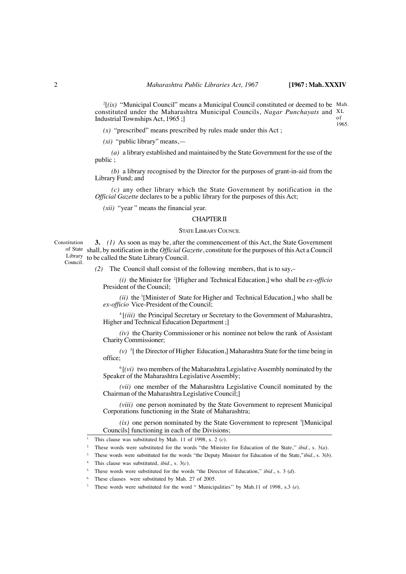$^{2}$ [ $(ix)$  "Municipal Council" means a Municipal Council constituted or deemed to be Mah. constituted under the Maharashtra Municipal Councils, *Nagar Punchayats* and <sup>XL</sup> of 1965. Industrial Townships Act, 1965 ;]

*(x)* "prescribed" means prescribed by rules made under this Act ;

*(xi)* "public library" means,—

*(a)* a library established and maintained by the State Government for the use of the public ;

*(b)* a library recognised by the Director for the purposes of grant-in-aid from the Library Fund; and

*(c)* any other library which the State Government by notification in the *Official Gazette* declares to be a public library for the purposes of this Act;

*(xii)* "year " means the financial year.

### CHAPTER II

#### STATE LIBRARY COUNCIL

Constitution of State shall, by notification in the *Official Gazette*, constitute for the purposes of this Act a Council Library to be called the State Library Council. Council. **3.** *(1)* As soon as may be, after the commencement of this Act, the State Government

*(2)* The Council shall consist of the following members, that is to say,–

*(i)* the Minister for <sup>2</sup> [Higher and Technical Education,] who shall be *ex-officio* President of the Council;

 $(iii)$  the <sup>3</sup>[Minister of State for Higher and Technical Education,] who shall be *ex-officio* Vice-President of the Council;

<sup>4</sup> [*(iii)* the Principal Secretary or Secretary to the Government of Maharashtra, Higher and Technical Education Department ;]

*(iv)* the Charity Commissioner or his nominee not below the rank of Assistant Charity Commissioner;

*(v)* <sup>5</sup> [ the Director of Higher Education,] Maharashtra State for the time being in office;

 $<sup>6</sup>$  [(vi) two members of the Maharashtra Legislative Assembly nominated by the</sup> Speaker of the Maharashtra Legislative Assembly;

*(vii)* one member of the Maharashtra Legislative Council nominated by the Chairman of the Maharashtra Legislative Council;]

*(viii)* one person nominated by the State Government to represent Municipal Corporations functioning in the State of Maharashtra;

 $(ix)$  one person nominated by the State Government to represent <sup>7</sup>[Municipal Councils] functioning in each of the Divisions;

This clause was substituted by Mah. 11 of 1998, s. 2  $(c)$ .

<sup>2.</sup> These words were substituted for the words "the Minister for Education of the State,'' *ibid*., s. 3(*a*).

<sup>3.</sup> These words were substituted for the words "the Deputy Minister for Education of the State,''*ibid*., s. 3(*b*).

<sup>4.</sup> This clause was substituted, *ibid*., s. 3(*c*).

<sup>5.</sup> These words were substituted for the words "the Director of Education,'' *ibid*., s. 3 (*d*).

These clauses were substituted by Mah. 27 of 2005.

<sup>7.</sup> These words were substituted for the word " Municipalities'' by Mah.11 of 1998, s.3 (*e*).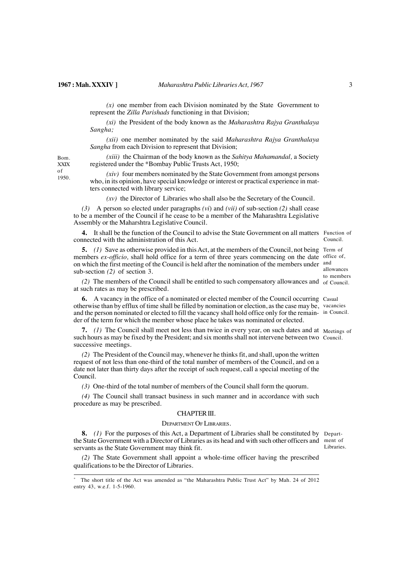*(x)* one member from each Division nominated by the State Government to represent the *Zilla Parishads* functioning in that Division;

*(xi)* the President of the body known as the *Maharashtra Rajya Granthalaya Sangha;*

*(xii)* one member nominated by the said *Maharashtra Rajya Granthalaya Sangha* from each Division to represent that Division;

*(xiii)* the Chairman of the body known as the *Sahitya Mahamandal,* a Society registered under the \*Bombay Public Trusts Act, 1950;

XXIX of 1950.

Bom.

*(xiv)* four members nominated by the State Government from amongst persons who, in its opinion, have special knowledge or interest or practical experience in matters connected with library service;

*(xv)* the Director of Libraries who shall also be the Secretary of the Council.

*(3)* A person so elected under paragraphs *(vi*) and *(vii)* of sub-section *(2)* shall cease to be a member of the Council if he cease to be a member of the Maharashtra Legislative Assembly or the Maharshtra Legislative Council.

**4.** It shall be the function of the Council to advise the State Government on all matters Function of connected with the administration of this Act. Council.

**5.** (1) Save as otherwise provided in this Act, at the members of the Council, not being Term of members ex-officio, shall hold office for a term of three years commencing on the date office of on which the first meeting of the Council is held after the nomination of the members under and sub-section *(2)* of section 3.

allowances to members

 $(2)$  The members of the Council shall be entitled to such compensatory allowances and  $\sigma$  Council. at such rates as may be prescribed.

**6.** A vacancy in the office of a nominated or elected member of the Council occurring Casual otherwise than by efflux of time shall be filled by nomination or election, as the case may be, vacancies and the person nominated or elected to fill the vacancy shall hold office only for the remain-in Council. der of the term for which the member whose place he takes was nominated or elected.

**7.** (1) The Council shall meet not less than twice in every year, on such dates and at Meetings of such hours as may be fixed by the President; and six months shall not intervene between two Council. successive meetings.

*(2)* The President of the Council may, whenever he thinks fit, and shall, upon the written request of not less than one-third of the total number of members of the Council, and on a date not later than thirty days after the receipt of such request, call a special meeting of the Council.

*(3)* One-third of the total number of members of the Council shall form the quorum.

*(4)* The Council shall transact business in such manner and in accordance with such procedure as may be prescribed.

# CHAPTER III.

## DEPARTMENT OF LIBRARIES.

**8.** *(1)* For the purposes of this Act, a Department of Libraries shall be constituted by Departthe State Government with a Director of Libraries as its head and with such other officers and ment of servants as the State Government may think fit. Libraries.

*(2)* The State Government shall appoint a whole-time officer having the prescribed qualifications to be the Director of Libraries.

The short title of the Act was amended as "the Maharashtra Public Trust Act" by Mah. 24 of 2012 entry 43, w.e.f. 1-5-1960.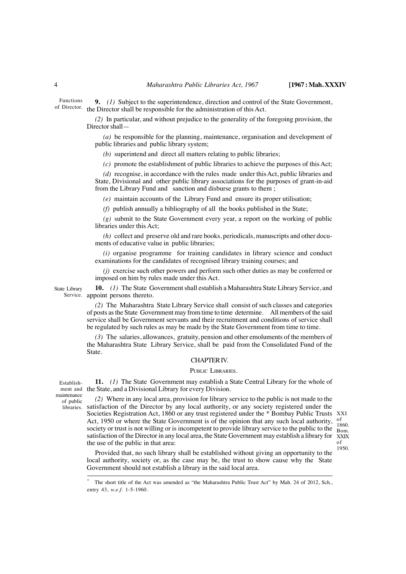Functions of Director. **9.** *(1)* Subject to the superintendence, direction and control of the State Government, the Director shall be responsible for the administration of this Act.

> *(2)* In particular, and without prejudice to the generality of the foregoing provision, the Director shall—

*(a)* be responsible for the planning, maintenance, organisation and development of public libraries and public library system;

*(b)* superintend and direct all matters relating to public libraries;

*(c)* promote the establishment of public libraries to achieve the purposes of this Act;

*(d)* recognise, in accordance with the rules made under this Act, public libraries and State, Divisional and other public library associations for the purposes of grant-in-aid from the Library Fund and sanction and disburse grants to them ;

*(e)* maintain accounts of the Library Fund and ensure its proper utilisation;

*(f)* publish annually a bibliography of all the books published in the State;

*(g)* submit to the State Government every year, a report on the working of public libraries under this Act;

*(h)* collect and preserve old and rare books, periodicals, manuscripts and other documents of educative value in public libraries;

*(i)* organise programme for training candidates in library science and conduct examinations for the candidates of recognised library training courses; and

*(j)* exercise such other powers and perform such other duties as may be conferred or imposed on him by rules made under this Act.

State Library Service. appoint persons thereto. **10.** *(1)* The State Government shall establish a Maharashtra State Library Service, and

> *(2)* The Maharashtra State Library Service shall consist of such classes and categories of posts as the State Government may from time to time determine. All members of the said service shall be Government servants and their recruitment and conditions of service shall be regulated by such rules as may be made by the State Government from time to time.

> *(3)* The salaries, allowances, gratuity, pension and other emoluments of the members of the Maharashtra State Library Service, shall be paid from the Consolidated Fund of the State.

## CHAPTER IV.

# PUBLIC LIBRARIES.

Establishmaintenance of public

libraries.

**11.** *(1)* The State Government may establish a State Central Library for the whole of ment and the State, and a Divisional Library for every Division.

*(2)* Where in any local area, provision for library service to the public is not made to the satisfaction of the Director by any local authority, or any society registered under the Societies Registration Act, 1860 or any trust registered under the \* Bombay Public Trusts XXI Act, 1950 or where the State Government is of the opinion that any such local authority, society or trust is not willing or is incompetent to provide library service to the public to the Rom satisfaction of the Director in any local area, the State Government may establish a library for the use of the public in that area:

 $\frac{\text{of}}{\text{1860}}$ Bom. XXIX of 1950.

Provided that, no such library shall be established without giving an opportunity to the local authority, society or, as the case may be, the trust to show cause why the State Government should not establish a library in the said local area.

The short title of the Act was amended as "the Maharashtra Public Trust Act" by Mah. 24 of 2012, Sch., entry 43, *w.e.f.* 1-5-1960.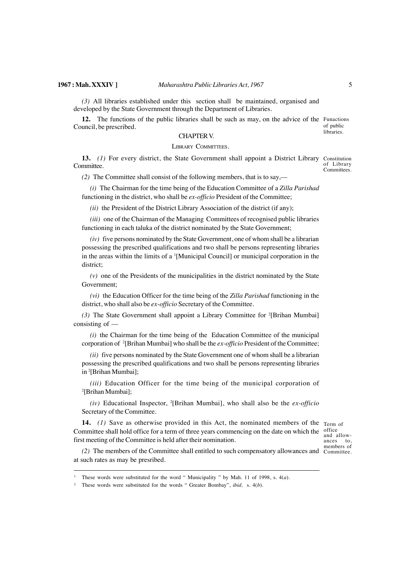*(3)* All libraries established under this section shall be maintained, organised and developed by the State Government through the Department of Libraries.

**12.** The functions of the public libraries shall be such as may, on the advice of the Funactions Council, be prescribed.

of public libraries.

# CHAPTER V.

# LIBRARY COMMITTEES.

**13.** *(1)* For every district, the State Government shall appoint a District Library Committee. Constitution of Library Committees.

*(2)* The Committee shall consist of the following members, that is to say,––

*(i)* The Chairman for the time being of the Education Committee of a *Zilla Parishad* functioning in the district, who shall be *ex-officio* President of the Committee;

*(ii)* the President of the District Library Association of the district (if any);

*(iii)* one of the Chairman of the Managing Committees of recognised public libraries functioning in each taluka of the district nominated by the State Government;

*(iv)* five persons nominated by the State Government, one of whom shall be a librarian possessing the prescribed qualifications and two shall be persons representing libraries in the areas within the limits of a <sup>1</sup>[Municipal Council] or municipal corporation in the district;

*(v)* one of the Presidents of the municipalities in the district nominated by the State Government;

*(vi)* the Education Officer for the time being of the *Zilla Parishad* functioning in the district, who shall also be *ex-officio* Secretary of the Committee.

(3) The State Government shall appoint a Library Committee for <sup>2</sup>[Brihan Mumbai] consisting of ––

*(i)* the Chairman for the time being of the Education Committee of the municipal corporation of 2[Brihan Mumbai] who shall be the *ex-officio* President of the Committee;

*(ii)* five persons nominated by the State Government one of whom shall be a librarian possessing the prescribed qualifications and two shall be persons representing libraries in <sup>2</sup> [Brihan Mumbai];

*(iii)* Education Officer for the time being of the municipal corporation of 2 [Brihan Mumbai];

*(iv)* Educational Inspector, <sup>2</sup> [Brihan Mumbai], who shall also be the *ex-officio* Secretary of the Committee.

**14.** *(1)* Save as otherwise provided in this Act, the nominated members of the Term of Committee shall hold office for a term of three years commencing on the date on which the office first meeting of the Committee is held after their nomination.

and allowances to, members of

*(2)* The members of the Committee shall entitled to such compensatory allowances and Committee. at such rates as may be presribed.

<sup>&</sup>lt;sup>1.</sup> These words were substituted for the word " Municipality " by Mah. 11 of 1998, s. 4(*a*).

<sup>2.</sup> These words were substituted for the words " Greater Bombay", *ibid,* s. 4(*b*).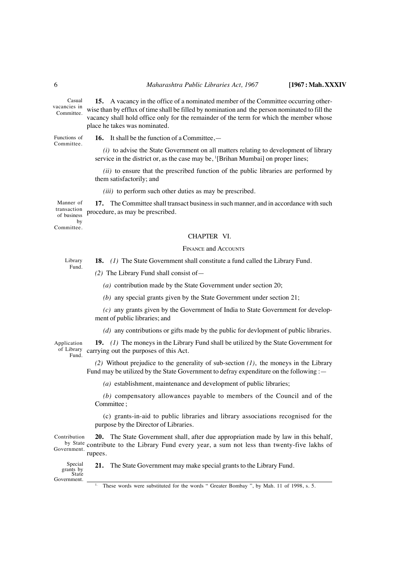Casual vacancies in Committee.

Functions of Committee.

**16.** It shall be the function of a Committee,—

place he takes was nominated.

*(i)* to advise the State Government on all matters relating to development of library service in the district or, as the case may be, <sup>1</sup>[Brihan Mumbai] on proper lines;

**15.** A vacancy in the office of a nominated member of the Committee occurring otherwise than by efflux of time shall be filled by nomination and the person nominated to fill the vacancy shall hold office only for the remainder of the term for which the member whose

*(ii)* to ensure that the prescribed function of the public libraries are performed by them satisfactorily; and

*(iii)* to perform such other duties as may be prescribed.

**17.** The Committee shall transact business in such manner, and in accordance with such procedure, as may be prescribed. Manner of transaction of business

by Committee.

#### CHAPTER VI.

#### FINANCE and ACCOUNTS

**18.** *(1)* The State Government shall constitute a fund called the Library Fund. Library Fund.

*(2)* The Library Fund shall consist of—

*(a)* contribution made by the State Government under section 20;

*(b)* any special grants given by the State Government under section 21;

*(c)* any grants given by the Government of India to State Government for development of public libraries; and

*(d)* any contributions or gifts made by the public for devlopment of public libraries.

Application of Library Fund.

**19.** *(1)* The moneys in the Library Fund shall be utilized by the State Government for carrying out the purposes of this Act.

*(2)* Without prejudice to the generality of sub-section *(1)*, the moneys in the Library Fund may be utilized by the State Government to defray expenditure on the following :—

*(a)* establishment, maintenance and development of public libraries;

*(b)* compensatory allowances payable to members of the Council and of the Committee ;

(c) grants-in-aid to public libraries and library associations recognised for the purpose by the Director of Libraries.

**20.** The State Government shall, after due appropriation made by law in this behalf, by State contribute to the Library Fund every year, a sum not less than twenty-five lakhs of Government. rupees. Contribution

**21.** The State Government may make special grants to the Library Fund. Special grants by State Government.

<sup>1.</sup> These words were substituted for the words " Greater Bombay ", by Mah. 11 of 1998, s. 5.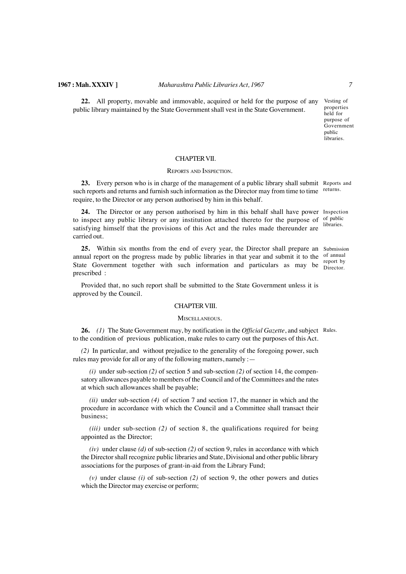### **1967 : Mah. XXXIV ]** *Maharashtra Public Libraries Act, 1967 7*

**22.** All property, movable and immovable, acquired or held for the purpose of any public library maintained by the State Government shall vest in the State Government.

Vesting of properties held for purpose of Government public libraries.

#### CHAPTER VII.

### REPORTS AND INSPECTION.

23. Every person who is in charge of the management of a public library shall submit Reports and such reports and returns and furnish such information as the Director may from time to time <sup>returns.</sup> require, to the Director or any person authorised by him in this behalf.

**24.** The Director or any person authorised by him in this behalf shall have power Inspection to inspect any public library or any institution attached thereto for the purpose of  $\frac{0}{10}$  public satisfying himself that the provisions of this Act and the rules made thereunder are carried out. libraries.

25. Within six months from the end of every year, the Director shall prepare an Submission annual report on the progress made by public libraries in that year and submit it to the <sup>of annual</sup> State Government together with such information and particulars as may be  $\frac{1}{\text{Director}}$ prescribed : Director.

Provided that, no such report shall be submitted to the State Government unless it is approved by the Council.

#### CHAPTER VIII.

### MISCELLANEOUS.

26. (1) The State Government may, by notification in the *Official Gazette*, and subject Rules. to the condition of previous publication, make rules to carry out the purposes of this Act.

*(2)* In particular, and without prejudice to the generality of the foregoing power, such rules may provide for all or any of the following matters, namely :—

 $(i)$  under sub-section  $(2)$  of section 5 and sub-section  $(2)$  of section 14, the compensatory allowances payable to members of the Council and of the Committees and the rates at which such allowances shall be payable;

*(ii)* under sub-section *(4)* of section 7 and section 17, the manner in which and the procedure in accordance with which the Council and a Committee shall transact their business;

*(iii)* under sub-section *(2)* of section 8, the qualifications required for being appointed as the Director;

*(iv)* under clause *(d)* of sub-section *(2)* of section 9, rules in accordance with which the Director shall recognize public libraries and State, Divisional and other public library associations for the purposes of grant-in-aid from the Library Fund;

*(v)* under clause *(i)* of sub-section *(2)* of section 9, the other powers and duties which the Director may exercise or perform;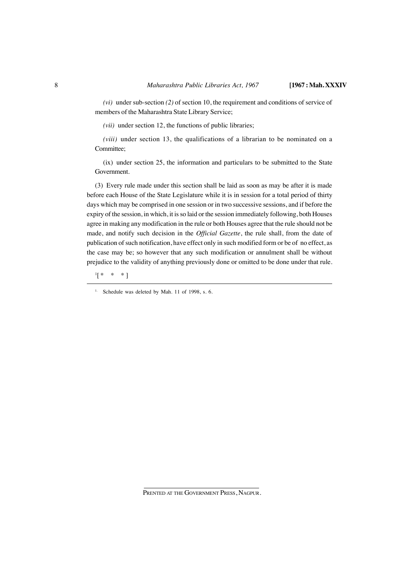*(vi)* under sub-section *(2)* of section 10, the requirement and conditions of service of members of the Maharashtra State Library Service;

*(vii)* under section 12, the functions of public libraries;

*(viii)* under section 13, the qualifications of a librarian to be nominated on a Committee;

(ix) under section 25, the information and particulars to be submitted to the State Government.

(3) Every rule made under this section shall be laid as soon as may be after it is made before each House of the State Legislature while it is in session for a total period of thirty days which may be comprised in one session or in two successive sessions, and if before the expiry of the session, in which, it is so laid or the session immediately following, both Houses agree in making any modification in the rule or both Houses agree that the rule should not be made, and notify such decision in the *Official Gazette*, the rule shall, from the date of publication of such notification, have effect only in such modified form or be of no effect, as the case may be; so however that any such modification or annulment shall be without prejudice to the validity of anything previously done or omitted to be done under that rule.

1 [ \* \* \*]

<sup>&</sup>lt;sup>1.</sup> Schedule was deleted by Mah. 11 of 1998, s. 6.

PRENTED AT THE GOVERNMENT PRESS, NAGPUR.